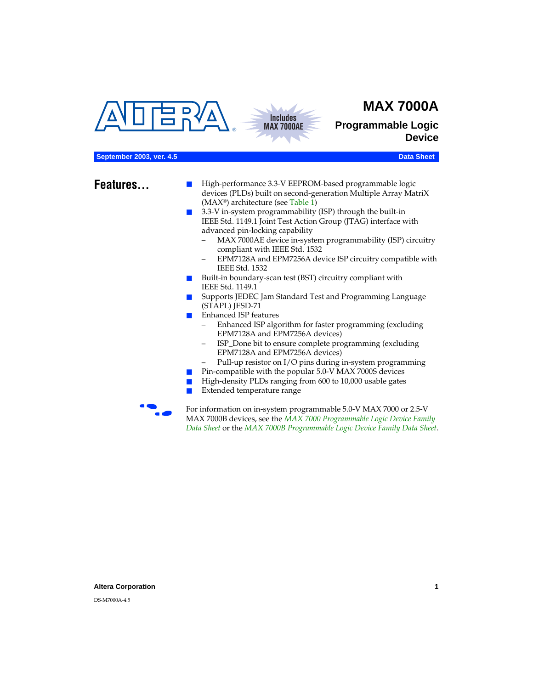# **MAX 7000A**

<span id="page-0-0"></span>



**Programmable Logic Device**

## **September 2003, ver. 4.5** Data Sheet **Data Sheet** Data Sheet **Data Sheet** Data Sheet

- **Features...** High-performance 3.3-V EEPROM-based programmable logic devices (PLDs) built on second-generation Multiple Array MatriX (MAX®) architecture (see [Table 1\)](#page-1-0)
	- 3.3-V in-system programmability (ISP) through the built-in IEEE Std. 1149.1 Joint Test Action Group (JTAG) interface with advanced pin-locking capability
		- MAX 7000AE device in-system programmability (ISP) circuitry compliant with IEEE Std. 1532
		- EPM7128A and EPM7256A device ISP circuitry compatible with IEEE Std. 1532
	- Built-in boundary-scan test (BST) circuitry compliant with IEEE Std. 1149.1
	- Supports JEDEC Jam Standard Test and Programming Language (STAPL) JESD-71
	- Enhanced ISP features
		- Enhanced ISP algorithm for faster programming (excluding EPM7128A and EPM7256A devices)
		- ISP\_Done bit to ensure complete programming (excluding EPM7128A and EPM7256A devices)
		- Pull-up resistor on I/O pins during in-system programming
	- Pin-compatible with the popular 5.0-V MAX 7000S devices
	- High-density PLDs ranging from 600 to 10,000 usable gates
	- Extended temperature range

For information on in-system programmable 5.0-V MAX 7000 or 2.5-V MAX 7000B devices, see the *MAX 7000 Programmable Logic Device Family Data Sheet* or the *MAX 7000B Programmable Logic Device Family Data Sheet*.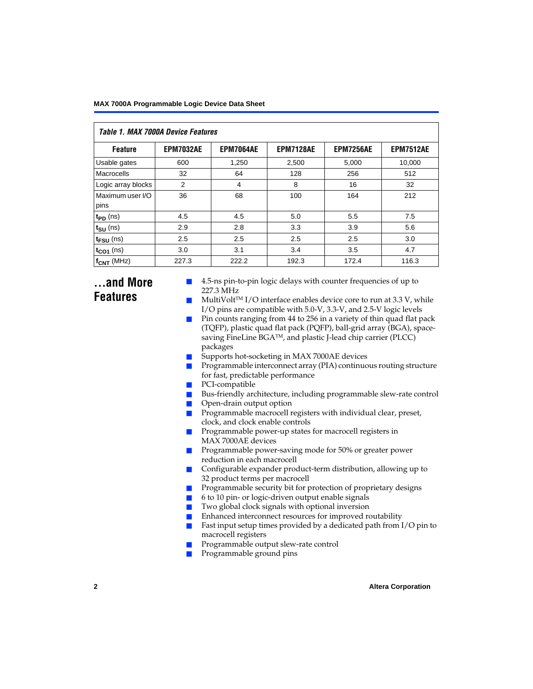<span id="page-1-0"></span>

| <b>Table 1. MAX 7000A Device Features</b> |                  |                  |                  |                  |                  |  |  |  |  |
|-------------------------------------------|------------------|------------------|------------------|------------------|------------------|--|--|--|--|
| <b>Feature</b>                            | <b>EPM7032AE</b> | <b>EPM7064AE</b> | <b>EPM7128AE</b> | <b>EPM7256AE</b> | <b>EPM7512AE</b> |  |  |  |  |
| Usable gates                              | 600              | 1,250            | 2,500            | 5,000            | 10,000           |  |  |  |  |
| Macrocells                                | 32               | 64               | 128              | 256              | 512              |  |  |  |  |
| Logic array blocks                        | 2                | 4                | 8                | 16               | 32               |  |  |  |  |
| Maximum user I/O<br>pins                  | 36               | 68               | 100              | 164              | 212              |  |  |  |  |
| $t_{PD}$ (ns)                             | 4.5              | 4.5              | 5.0              | 5.5              | 7.5              |  |  |  |  |
| $t_{SU}$ (ns)                             | 2.9              | 2.8              | 3.3              | 3.9              | 5.6              |  |  |  |  |
| $t_{\text{FSU}}$ (ns)                     | 2.5              | 2.5              | 2.5              | 2.5              | 3.0              |  |  |  |  |
| $t_{CO1}$ (ns)                            | 3.0              | 3.1              | 3.4              | 3.5              | 4.7              |  |  |  |  |
| $f_{\text{CNT}}$ (MHz)                    | 227.3            | 222.2            | 192.3            | 172.4            | 116.3            |  |  |  |  |

# **...and More Features**

- 4.5-ns pin-to-pin logic delays with counter frequencies of up to 227.3 MHz
- $Multivolt<sup>TM</sup> I/O interface enables device core to run at 3.3 V, while$ I/O pins are compatible with 5.0-V, 3.3-V, and 2.5-V logic levels
- Pin counts ranging from 44 to 256 in a variety of thin quad flat pack (TQFP), plastic quad flat pack (PQFP), ball-grid array (BGA), spacesaving FineLine BGA™, and plastic J-lead chip carrier (PLCC) packages
- Supports hot-socketing in MAX 7000AE devices
- Programmable interconnect array (PIA) continuous routing structure for fast, predictable performance
- PCI-compatible
- Bus-friendly architecture, including programmable slew-rate control
- Open-drain output option
- Programmable macrocell registers with individual clear, preset, clock, and clock enable controls
- Programmable power-up states for macrocell registers in MAX 7000AE devices
- Programmable power-saving mode for 50% or greater power reduction in each macrocell
- Configurable expander product-term distribution, allowing up to 32 product terms per macrocell
- Programmable security bit for protection of proprietary designs
- 6 to 10 pin- or logic-driven output enable signals
- Two global clock signals with optional inversion
- Enhanced interconnect resources for improved routability
- $\blacksquare$  Fast input setup times provided by a dedicated path from I/O pin to macrocell registers
- Programmable output slew-rate control
- Programmable ground pins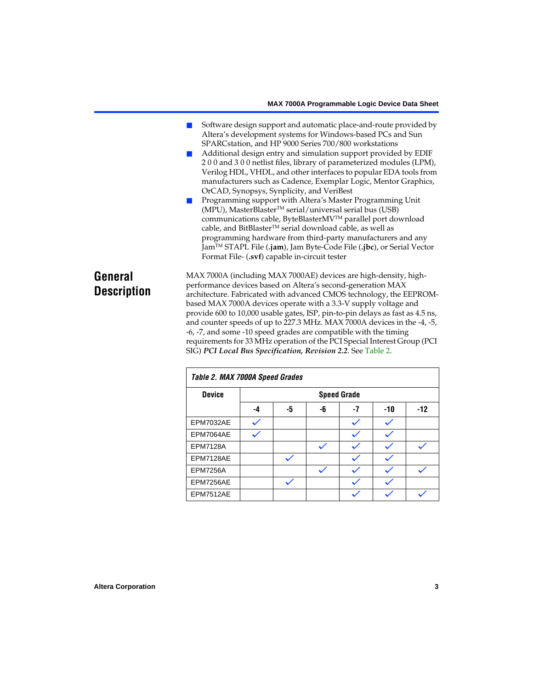- Software design support and automatic place-and-route provided by Altera's development systems for Windows-based PCs and Sun SPARCstation, and HP 9000 Series 700/800 workstations
	- Additional design entry and simulation support provided by EDIF 2 0 0 and 3 0 0 netlist files, library of parameterized modules (LPM), Verilog HDL, VHDL, and other interfaces to popular EDA tools from manufacturers such as Cadence, Exemplar Logic, Mentor Graphics, OrCAD, Synopsys, Synplicity, and VeriBest
- Programming support with Altera's Master Programming Unit (MPU), MasterBlaster<sup>™</sup> serial/universal serial bus (USB) communications cable, ByteBlasterMVTM parallel port download cable, and BitBlaster™ serial download cable, as well as programming hardware from third-party manufacturers and any JamTM STAPL File (**.jam**), Jam Byte-Code File (**.jbc**), or Serial Vector Format File- (**.svf**) capable in-circuit tester

# **General Description**

MAX 7000A (including MAX 7000AE) devices are high-density, highperformance devices based on Altera's second-generation MAX architecture. Fabricated with advanced CMOS technology, the EEPROMbased MAX 7000A devices operate with a 3.3-V supply voltage and provide 600 to 10,000 usable gates, ISP, pin-to-pin delays as fast as 4.5 ns, and counter speeds of up to 227.3 MHz. MAX 7000A devices in the -4, -5, -6, -7, and some -10 speed grades are compatible with the timing requirements for 33 MHz operation of the PCI Special Interest Group (PCI SIG) *PCI Local Bus Specification, Revision 2.2*. See [Table 2](#page-2-0).

<span id="page-2-0"></span>

| Table 2. MAX 7000A Speed Grades |    |    |    |                    |       |       |  |  |
|---------------------------------|----|----|----|--------------------|-------|-------|--|--|
| <b>Device</b>                   |    |    |    | <b>Speed Grade</b> |       |       |  |  |
|                                 | -4 | -5 | -6 | -7                 | $-10$ | $-12$ |  |  |
| EPM7032AE                       |    |    |    |                    |       |       |  |  |
| EPM7064AE                       |    |    |    |                    |       |       |  |  |
| <b>EPM7128A</b>                 |    |    |    |                    |       |       |  |  |
| EPM7128AE                       |    |    |    |                    |       |       |  |  |
| <b>EPM7256A</b>                 |    |    |    |                    |       |       |  |  |
| EPM7256AE                       |    |    |    |                    |       |       |  |  |
| EPM7512AE                       |    |    |    |                    |       |       |  |  |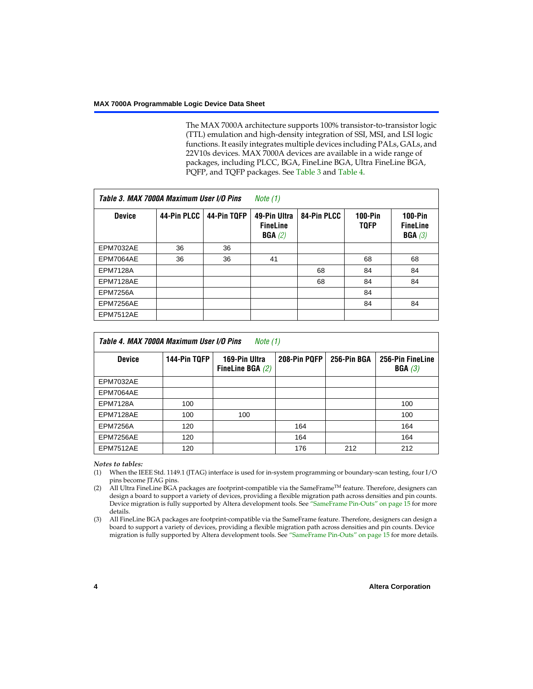The MAX 7000A architecture supports 100% transistor-to-transistor logic (TTL) emulation and high-density integration of SSI, MSI, and LSI logic functions. It easily integrates multiple devices including PALs, GALs, and 22V10s devices. MAX 7000A devices are available in a wide range of packages, including PLCC, BGA, FineLine BGA, Ultra FineLine BGA, PQFP, and TQFP packages. See [Table 3](#page-3-0) and [Table 4](#page-3-4).

<span id="page-3-0"></span>

| Table 3. MAX 7000A Maximum User I/O Pins |             |             | Note $(1)$                                |             |                          |                                        |
|------------------------------------------|-------------|-------------|-------------------------------------------|-------------|--------------------------|----------------------------------------|
| <b>Device</b>                            | 44-Pin PLCC | 44-Pin TQFP | 49-Pin Ultra<br><b>FineLine</b><br>BGA(2) | 84-Pin PLCC | $100-Pin$<br><b>TQFP</b> | $100-Pin$<br><b>FineLine</b><br>BGA(3) |
| <b>EPM7032AE</b>                         | 36          | 36          |                                           |             |                          |                                        |
| EPM7064AE                                | 36          | 36          | 41                                        |             | 68                       | 68                                     |
| <b>EPM7128A</b>                          |             |             |                                           | 68          | 84                       | 84                                     |
| EPM7128AE                                |             |             |                                           | 68          | 84                       | 84                                     |
| <b>EPM7256A</b>                          |             |             |                                           |             | 84                       |                                        |
| EPM7256AE                                |             |             |                                           |             | 84                       | 84                                     |
| <b>EPM7512AE</b>                         |             |             |                                           |             |                          |                                        |

<span id="page-3-4"></span>

| Table 4. MAX 7000A Maximum User I/O Pins<br>Note (1) |              |                                     |              |             |                            |  |  |  |  |
|------------------------------------------------------|--------------|-------------------------------------|--------------|-------------|----------------------------|--|--|--|--|
| <b>Device</b>                                        | 144-Pin TQFP | 169-Pin Ultra<br>FineLine BGA $(2)$ | 208-Pin PQFP | 256-Pin BGA | 256-Pin FineLine<br>BGA(3) |  |  |  |  |
| EPM7032AE                                            |              |                                     |              |             |                            |  |  |  |  |
| EPM7064AE                                            |              |                                     |              |             |                            |  |  |  |  |
| <b>EPM7128A</b>                                      | 100          |                                     |              |             | 100                        |  |  |  |  |
| EPM7128AE                                            | 100          | 100                                 |              |             | 100                        |  |  |  |  |
| <b>EPM7256A</b>                                      | 120          |                                     | 164          |             | 164                        |  |  |  |  |
| EPM7256AE                                            | 120          |                                     | 164          |             | 164                        |  |  |  |  |
| EPM7512AE                                            | 120          |                                     | 176          | 212         | 212                        |  |  |  |  |

## *Notes to tables:*

- <span id="page-3-1"></span>(1) When the IEEE Std. 1149.1 (JTAG) interface is used for in-system programming or boundary-scan testing, four I/O pins become JTAG pins.
- <span id="page-3-2"></span>(2) All Ultra FineLine BGA packages are footprint-compatible via the SameFrame<sup>TM</sup> feature. Therefore, designers can design a board to support a variety of devices, providing a flexible migration path across densities and pin counts. Device migration is fully supported by Altera development tools. See ["SameFrame Pin-Outs" on page 15](#page-14-0) for more details.
- <span id="page-3-3"></span>(3) All FineLine BGA packages are footprint-compatible via the SameFrame feature. Therefore, designers can design a board to support a variety of devices, providing a flexible migration path across densities and pin counts. Device migration is fully supported by Altera development tools. See ["SameFrame Pin-Outs" on page 15](#page-14-0) for more details.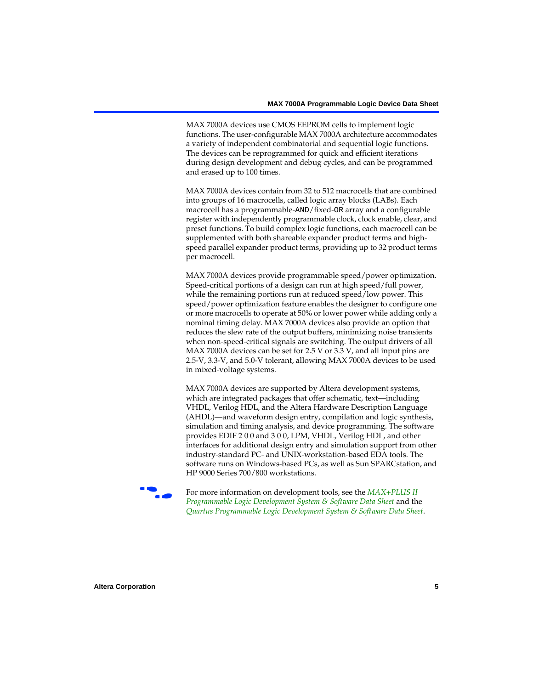MAX 7000A devices use CMOS EEPROM cells to implement logic functions. The user-configurable MAX 7000A architecture accommodates a variety of independent combinatorial and sequential logic functions. The devices can be reprogrammed for quick and efficient iterations during design development and debug cycles, and can be programmed and erased up to 100 times.

MAX 7000A devices contain from 32 to 512 macrocells that are combined into groups of 16 macrocells, called logic array blocks (LABs). Each macrocell has a programmable-AND/fixed-OR array and a configurable register with independently programmable clock, clock enable, clear, and preset functions. To build complex logic functions, each macrocell can be supplemented with both shareable expander product terms and highspeed parallel expander product terms, providing up to 32 product terms per macrocell.

MAX 7000A devices provide programmable speed/power optimization. Speed-critical portions of a design can run at high speed/full power, while the remaining portions run at reduced speed/low power. This speed/power optimization feature enables the designer to configure one or more macrocells to operate at 50% or lower power while adding only a nominal timing delay. MAX 7000A devices also provide an option that reduces the slew rate of the output buffers, minimizing noise transients when non-speed-critical signals are switching. The output drivers of all MAX 7000A devices can be set for 2.5 V or 3.3 V, and all input pins are 2.5-V, 3.3-V, and 5.0-V tolerant, allowing MAX 7000A devices to be used in mixed-voltage systems.

MAX 7000A devices are supported by Altera development systems, which are integrated packages that offer schematic, text—including VHDL, Verilog HDL, and the Altera Hardware Description Language (AHDL)—and waveform design entry, compilation and logic synthesis, simulation and timing analysis, and device programming. The software provides EDIF 2 0 0 and 3 0 0, LPM, VHDL, Verilog HDL, and other interfaces for additional design entry and simulation support from other industry-standard PC- and UNIX-workstation-based EDA tools. The software runs on Windows-based PCs, as well as Sun SPARCstation, and HP 9000 Series 700/800 workstations.

**For more information on development tools, see the** *MAX+PLUS II [Programmable Logic Development System & Software Data Sheet](#page-0-0)* and the *[Quartus Programmable Logic Development System & Software Data Sheet](#page-0-0)*.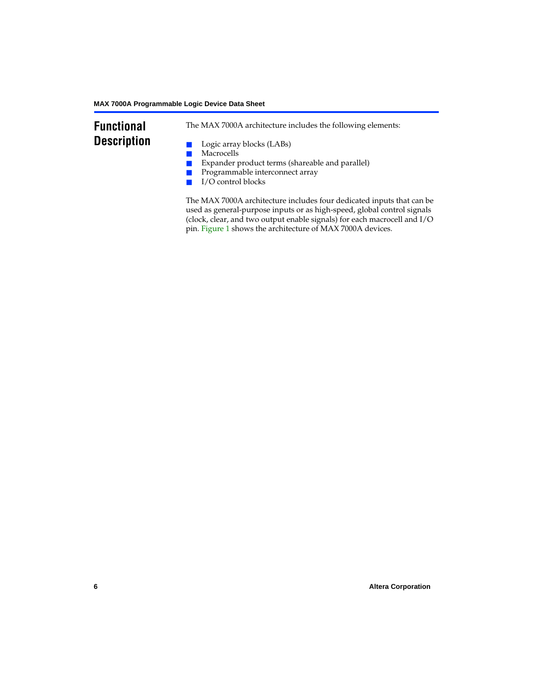# **Functional Description**

The MAX 7000A architecture includes the following elements:

- Logic array blocks (LABs)
- Macrocells
- Expander product terms (shareable and parallel)
- Programmable interconnect array
- I/O control blocks

The MAX 7000A architecture includes four dedicated inputs that can be used as general-purpose inputs or as high-speed, global control signals (clock, clear, and two output enable signals) for each macrocell and I/O pin. [Figure 1](#page-6-0) shows the architecture of MAX 7000A devices.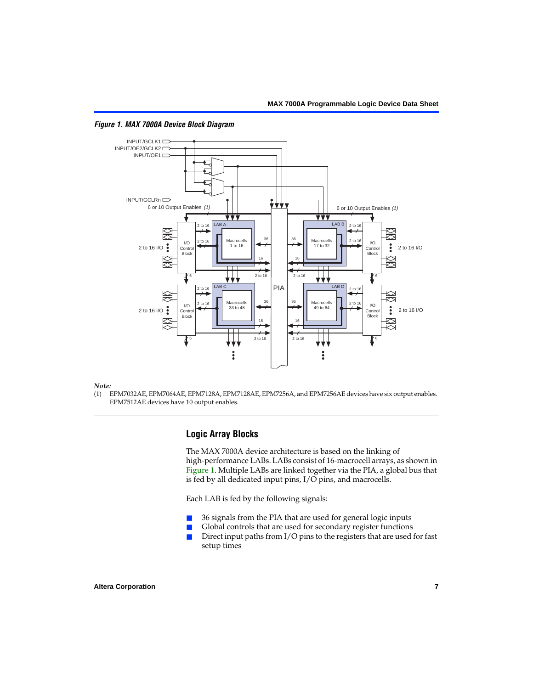

<span id="page-6-0"></span>*Figure 1. MAX 7000A Device Block Diagram*

#### *Note:*

(1) EPM7032AE, EPM7064AE, EPM7128A, EPM7128AE, EPM7256A, and EPM7256AE devices have six output enables. EPM7512AE devices have 10 output enables.

## **Logic Array Blocks**

The MAX 7000A device architecture is based on the linking of high-performance LABs. LABs consist of 16-macrocell arrays, as shown in [Figure 1](#page-6-0). Multiple LABs are linked together via the PIA, a global bus that is fed by all dedicated input pins, I/O pins, and macrocells.

Each LAB is fed by the following signals:

- 36 signals from the PIA that are used for general logic inputs
- Global controls that are used for secondary register functions
- Direct input paths from  $I/O$  pins to the registers that are used for fast setup times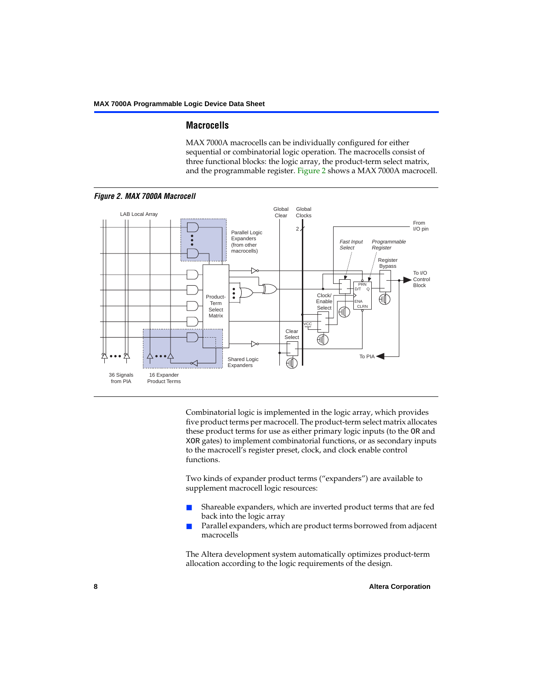## **Macrocells**

MAX 7000A macrocells can be individually configured for either sequential or combinatorial logic operation. The macrocells consist of three functional blocks: the logic array, the product-term select matrix, and the programmable register. [Figure 2](#page-7-0) shows a MAX 7000A macrocell.

<span id="page-7-0"></span>

Combinatorial logic is implemented in the logic array, which provides five product terms per macrocell. The product-term select matrix allocates these product terms for use as either primary logic inputs (to the OR and XOR gates) to implement combinatorial functions, or as secondary inputs to the macrocell's register preset, clock, and clock enable control functions.

Two kinds of expander product terms ("expanders") are available to supplement macrocell logic resources:

- Shareable expanders, which are inverted product terms that are fed back into the logic array
- Parallel expanders, which are product terms borrowed from adjacent macrocells

The Altera development system automatically optimizes product-term allocation according to the logic requirements of the design.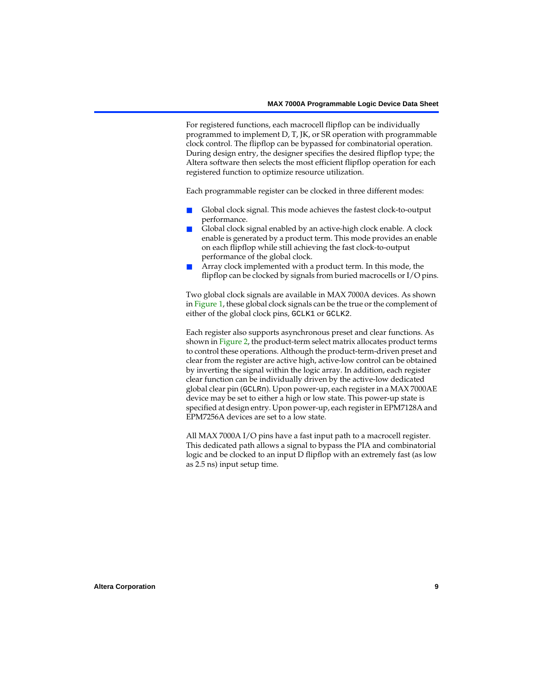For registered functions, each macrocell flipflop can be individually programmed to implement D, T, JK, or SR operation with programmable clock control. The flipflop can be bypassed for combinatorial operation. During design entry, the designer specifies the desired flipflop type; the Altera software then selects the most efficient flipflop operation for each registered function to optimize resource utilization.

Each programmable register can be clocked in three different modes:

- Global clock signal. This mode achieves the fastest clock-to-output performance.
- Global clock signal enabled by an active-high clock enable. A clock enable is generated by a product term. This mode provides an enable on each flipflop while still achieving the fast clock-to-output performance of the global clock.
- Array clock implemented with a product term. In this mode, the flipflop can be clocked by signals from buried macrocells or I/O pins.

Two global clock signals are available in MAX 7000A devices. As shown in [Figure 1](#page-6-0), these global clock signals can be the true or the complement of either of the global clock pins, GCLK1 or GCLK2.

Each register also supports asynchronous preset and clear functions. As shown in [Figure 2,](#page-7-0) the product-term select matrix allocates product terms to control these operations. Although the product-term-driven preset and clear from the register are active high, active-low control can be obtained by inverting the signal within the logic array. In addition, each register clear function can be individually driven by the active-low dedicated global clear pin (GCLRn). Upon power-up, each register in a MAX 7000AE device may be set to either a high or low state. This power-up state is specified at design entry. Upon power-up, each register in EPM7128A and EPM7256A devices are set to a low state.

All MAX 7000A I/O pins have a fast input path to a macrocell register. This dedicated path allows a signal to bypass the PIA and combinatorial logic and be clocked to an input D flipflop with an extremely fast (as low as 2.5 ns) input setup time.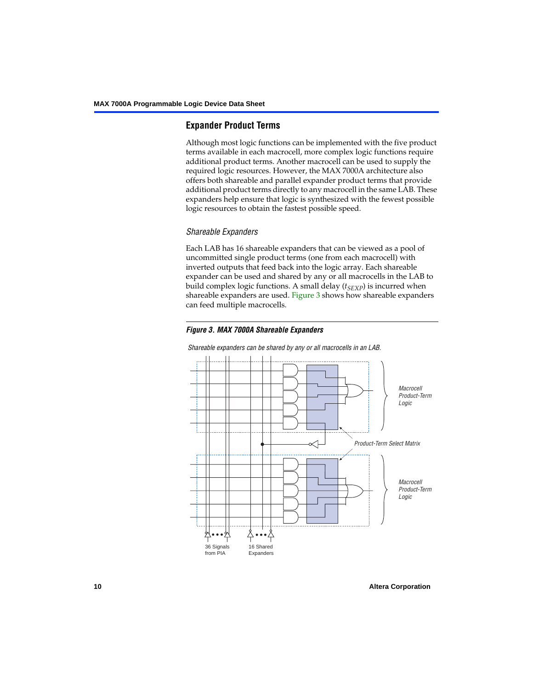# **Expander Product Terms**

Although most logic functions can be implemented with the five product terms available in each macrocell, more complex logic functions require additional product terms. Another macrocell can be used to supply the required logic resources. However, the MAX 7000A architecture also offers both shareable and parallel expander product terms that provide additional product terms directly to any macrocell in the same LAB. These expanders help ensure that logic is synthesized with the fewest possible logic resources to obtain the fastest possible speed.

## *Shareable Expanders*

Each LAB has 16 shareable expanders that can be viewed as a pool of uncommitted single product terms (one from each macrocell) with inverted outputs that feed back into the logic array. Each shareable expander can be used and shared by any or all macrocells in the LAB to build complex logic functions. A small delay  $(t_{SFXP})$  is incurred when shareable expanders are used. [Figure 3](#page-9-0) shows how shareable expanders can feed multiple macrocells.

<span id="page-9-0"></span>



*Shareable expanders can be shared by any or all macrocells in an LAB.*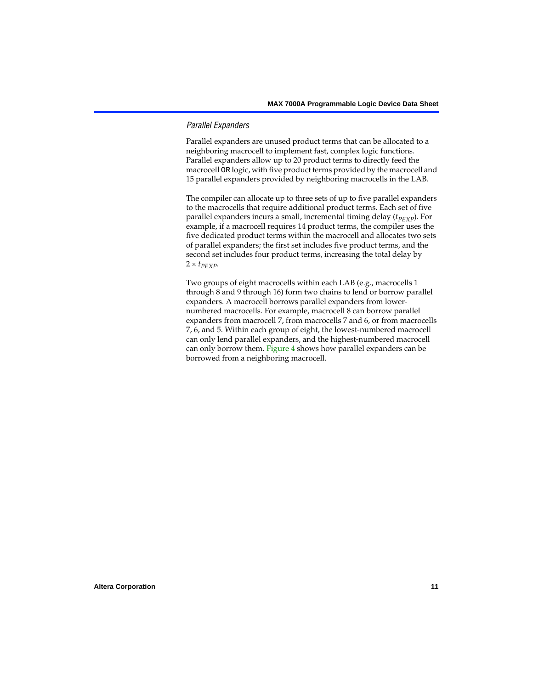## *Parallel Expanders*

Parallel expanders are unused product terms that can be allocated to a neighboring macrocell to implement fast, complex logic functions. Parallel expanders allow up to 20 product terms to directly feed the macrocell OR logic, with five product terms provided by the macrocell and 15 parallel expanders provided by neighboring macrocells in the LAB.

The compiler can allocate up to three sets of up to five parallel expanders to the macrocells that require additional product terms. Each set of five parallel expanders incurs a small, incremental timing delay (*t<sub>PEXP</sub>*). For example, if a macrocell requires 14 product terms, the compiler uses the five dedicated product terms within the macrocell and allocates two sets of parallel expanders; the first set includes five product terms, and the second set includes four product terms, increasing the total delay by  $2 \times t_{PEXP}$ .

Two groups of eight macrocells within each LAB (e.g., macrocells 1 through 8 and 9 through 16) form two chains to lend or borrow parallel expanders. A macrocell borrows parallel expanders from lowernumbered macrocells. For example, macrocell 8 can borrow parallel expanders from macrocell 7, from macrocells 7 and 6, or from macrocells 7, 6, and 5. Within each group of eight, the lowest-numbered macrocell can only lend parallel expanders, and the highest-numbered macrocell can only borrow them. [Figure 4](#page-11-0) shows how parallel expanders can be borrowed from a neighboring macrocell.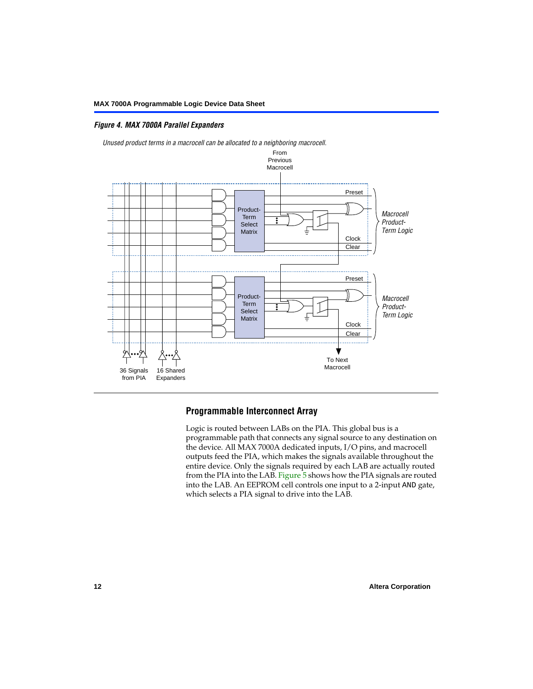## <span id="page-11-0"></span>*Figure 4. MAX 7000A Parallel Expanders*



# **Programmable Interconnect Array**

Logic is routed between LABs on the PIA. This global bus is a programmable path that connects any signal source to any destination on the device. All MAX 7000A dedicated inputs, I/O pins, and macrocell outputs feed the PIA, which makes the signals available throughout the entire device. Only the signals required by each LAB are actually routed from the PIA into the LAB. [Figure 5](#page-12-0) shows how the PIA signals are routed into the LAB. An EEPROM cell controls one input to a 2-input AND gate, which selects a PIA signal to drive into the LAB.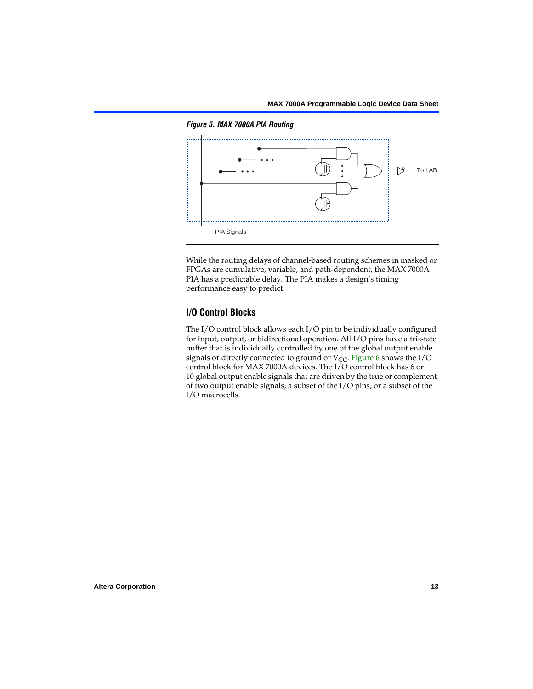<span id="page-12-0"></span>*Figure 5. MAX 7000A PIA Routing*



While the routing delays of channel-based routing schemes in masked or FPGAs are cumulative, variable, and path-dependent, the MAX 7000A PIA has a predictable delay. The PIA makes a design's timing performance easy to predict.

# **I/O Control Blocks**

The I/O control block allows each I/O pin to be individually configured for input, output, or bidirectional operation. All I/O pins have a tri-state buffer that is individually controlled by one of the global output enable signals or directly connected to ground or  $V_{CC}$ . [Figure 6](#page-13-0) shows the I/O control block for MAX 7000A devices. The I/O control block has 6 or 10 global output enable signals that are driven by the true or complement of two output enable signals, a subset of the I/O pins, or a subset of the I/O macrocells.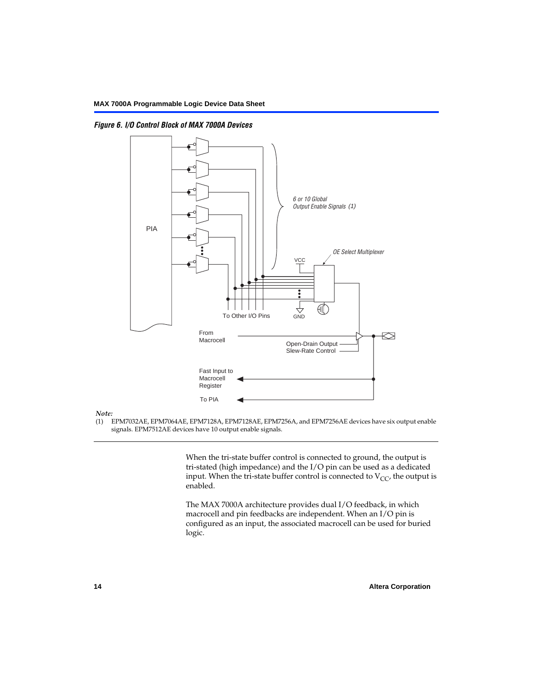<span id="page-13-0"></span>*Figure 6. I/O Control Block of MAX 7000A Devices*



#### *Note:*

(1) EPM7032AE, EPM7064AE, EPM7128A, EPM7128AE, EPM7256A, and EPM7256AE devices have six output enable signals. EPM7512AE devices have 10 output enable signals.

> When the tri-state buffer control is connected to ground, the output is tri-stated (high impedance) and the I/O pin can be used as a dedicated input. When the tri-state buffer control is connected to  $V_{CC}$ , the output is enabled.

The MAX 7000A architecture provides dual I/O feedback, in which macrocell and pin feedbacks are independent. When an I/O pin is configured as an input, the associated macrocell can be used for buried logic.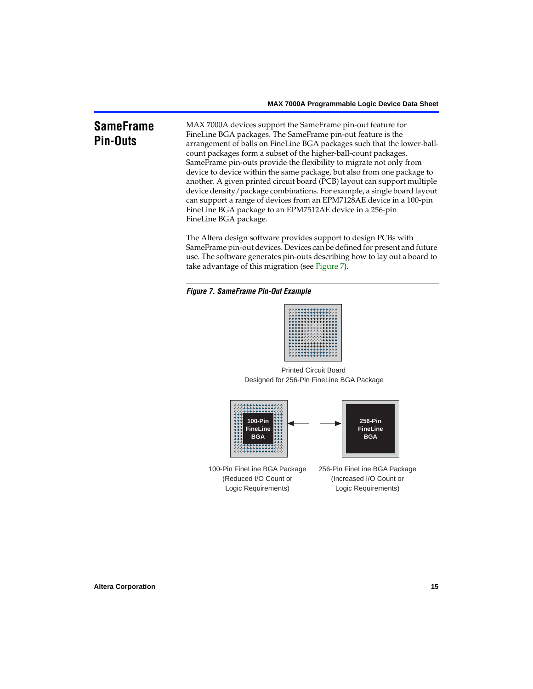# <span id="page-14-0"></span>**SameFrame Pin-Outs**

MAX 7000A devices support the SameFrame pin-out feature for FineLine BGA packages. The SameFrame pin-out feature is the arrangement of balls on FineLine BGA packages such that the lower-ballcount packages form a subset of the higher-ball-count packages. SameFrame pin-outs provide the flexibility to migrate not only from device to device within the same package, but also from one package to another. A given printed circuit board (PCB) layout can support multiple device density/package combinations. For example, a single board layout can support a range of devices from an EPM7128AE device in a 100-pin FineLine BGA package to an EPM7512AE device in a 256-pin FineLine BGA package.

The Altera design software provides support to design PCBs with SameFrame pin-out devices. Devices can be defined for present and future use. The software generates pin-outs describing how to lay out a board to take advantage of this migration (see [Figure 7](#page-14-1)).

<span id="page-14-1"></span>



Designed for 256-Pin FineLine BGA Package Printed Circuit Board



100-Pin FineLine BGA Package (Reduced I/O Count or Logic Requirements) 256-Pin FineLine BGA Package (Increased I/O Count or Logic Requirements)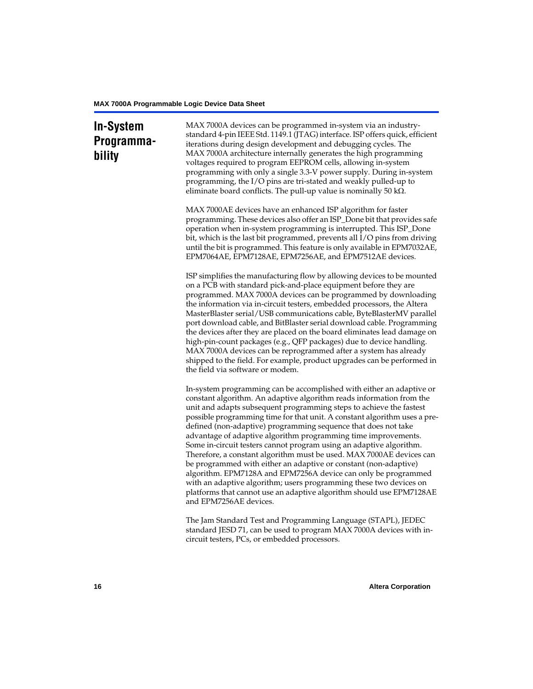# **In-System Programmability**

MAX 7000A devices can be programmed in-system via an industrystandard 4-pin IEEE Std. 1149.1 (JTAG) interface. ISP offers quick, efficient iterations during design development and debugging cycles. The MAX 7000A architecture internally generates the high programming voltages required to program EEPROM cells, allowing in-system programming with only a single 3.3-V power supply. During in-system programming, the I/O pins are tri-stated and weakly pulled-up to eliminate board conflicts. The pull-up value is nominally 50 k $\Omega$ .

MAX 7000AE devices have an enhanced ISP algorithm for faster programming. These devices also offer an ISP\_Done bit that provides safe operation when in-system programming is interrupted. This ISP\_Done bit, which is the last bit programmed, prevents all I/O pins from driving until the bit is programmed. This feature is only available in EPM7032AE, EPM7064AE, EPM7128AE, EPM7256AE, and EPM7512AE devices.

ISP simplifies the manufacturing flow by allowing devices to be mounted on a PCB with standard pick-and-place equipment before they are programmed. MAX 7000A devices can be programmed by downloading the information via in-circuit testers, embedded processors, the Altera MasterBlaster serial/USB communications cable, ByteBlasterMV parallel port download cable, and BitBlaster serial download cable. Programming the devices after they are placed on the board eliminates lead damage on high-pin-count packages (e.g., QFP packages) due to device handling. MAX 7000A devices can be reprogrammed after a system has already shipped to the field. For example, product upgrades can be performed in the field via software or modem.

In-system programming can be accomplished with either an adaptive or constant algorithm. An adaptive algorithm reads information from the unit and adapts subsequent programming steps to achieve the fastest possible programming time for that unit. A constant algorithm uses a predefined (non-adaptive) programming sequence that does not take advantage of adaptive algorithm programming time improvements. Some in-circuit testers cannot program using an adaptive algorithm. Therefore, a constant algorithm must be used. MAX 7000AE devices can be programmed with either an adaptive or constant (non-adaptive) algorithm. EPM7128A and EPM7256A device can only be programmed with an adaptive algorithm; users programming these two devices on platforms that cannot use an adaptive algorithm should use EPM7128AE and EPM7256AE devices.

The Jam Standard Test and Programming Language (STAPL), JEDEC standard JESD 71, can be used to program MAX 7000A devices with incircuit testers, PCs, or embedded processors.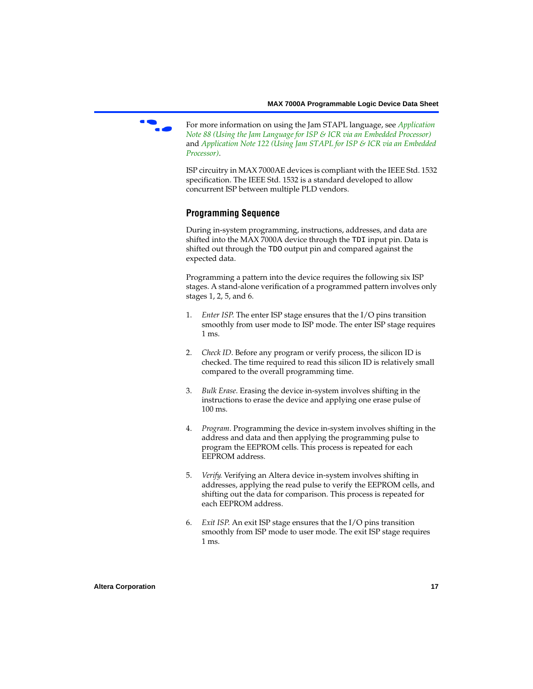

f For more information on using the Jam STAPL language, see *[Application](#page-0-0)  [Note 88 \(Using the Jam Language for ISP & ICR via an Embedded Processor\)](#page-0-0)*  and *[Application Note 122 \(Using Jam STAPL for ISP & ICR via an Embedded](#page-0-0)  [Processor\)](#page-0-0)*.

ISP circuitry in MAX 7000AE devices is compliant with the IEEE Std. 1532 specification. The IEEE Std. 1532 is a standard developed to allow concurrent ISP between multiple PLD vendors.

# <span id="page-16-0"></span>**Programming Sequence**

During in-system programming, instructions, addresses, and data are shifted into the MAX 7000A device through the TDI input pin. Data is shifted out through the TDO output pin and compared against the expected data.

Programming a pattern into the device requires the following six ISP stages. A stand-alone verification of a programmed pattern involves only stages 1, 2, 5, and 6.

- 1. *Enter ISP*. The enter ISP stage ensures that the I/O pins transition smoothly from user mode to ISP mode. The enter ISP stage requires 1 ms.
- 2. *Check ID*. Before any program or verify process, the silicon ID is checked. The time required to read this silicon ID is relatively small compared to the overall programming time.
- 3. *Bulk Erase*. Erasing the device in-system involves shifting in the instructions to erase the device and applying one erase pulse of 100 ms.
- 4. *Program*. Programming the device in-system involves shifting in the address and data and then applying the programming pulse to program the EEPROM cells. This process is repeated for each EEPROM address.
- 5. *Verify*. Verifying an Altera device in-system involves shifting in addresses, applying the read pulse to verify the EEPROM cells, and shifting out the data for comparison. This process is repeated for each EEPROM address.
- 6. *Exit ISP*. An exit ISP stage ensures that the I/O pins transition smoothly from ISP mode to user mode. The exit ISP stage requires 1 ms.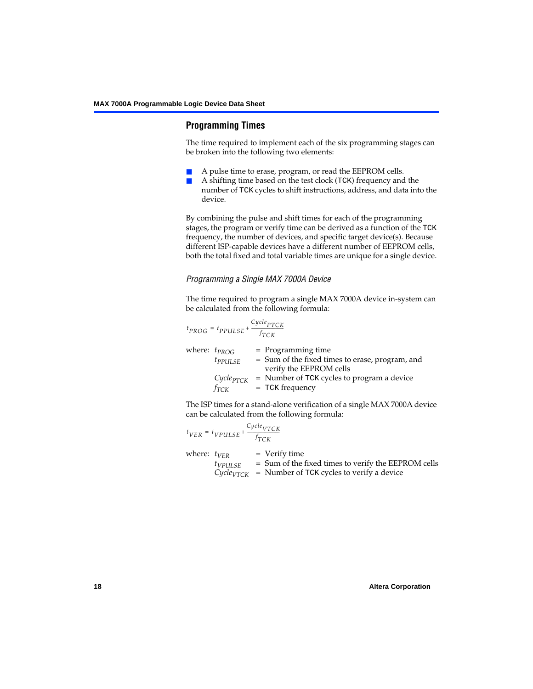# <span id="page-17-0"></span>**Programming Times**

The time required to implement each of the six programming stages can be broken into the following two elements:

- A pulse time to erase, program, or read the EEPROM cells.
- A shifting time based on the test clock (TCK) frequency and the number of TCK cycles to shift instructions, address, and data into the device.

By combining the pulse and shift times for each of the programming stages, the program or verify time can be derived as a function of the TCK frequency, the number of devices, and specific target device(s). Because different ISP-capable devices have a different number of EEPROM cells, both the total fixed and total variable times are unique for a single device.

## *Programming a Single MAX 7000A Device*

The time required to program a single MAX 7000A device in-system can be calculated from the following formula:

$$
t_{PROG} = t_{PPULSE} + \frac{c_{ycle_{PTCK}}}{f_{TCK}}
$$
  
where:  $t_{PROG}$  = Programming time  
 $t_{PPULSE}$  = Sum of the fixed times to erase, program, and  
verify the EEPROM cells  
 $C_{ycle_{PTCK}}$  = Number of TCK cycles to program a device  
 $f_{TCK}$  = TCK frequency

The ISP times for a stand-alone verification of a single MAX 7000A device can be calculated from the following formula:

$$
t_{VER} = t_{VPULSE} + \frac{C_{ycle_{VTCK}}}{f_{TCK}}
$$
  
where:  $t_{VER}$  = Verify time  
 $t_{VPULSE}$  = Sum of the fixed times to verify the EEPROM cells  
 $C_{ycle_{VTCK}}$  = Number of TCK cycles to verify a device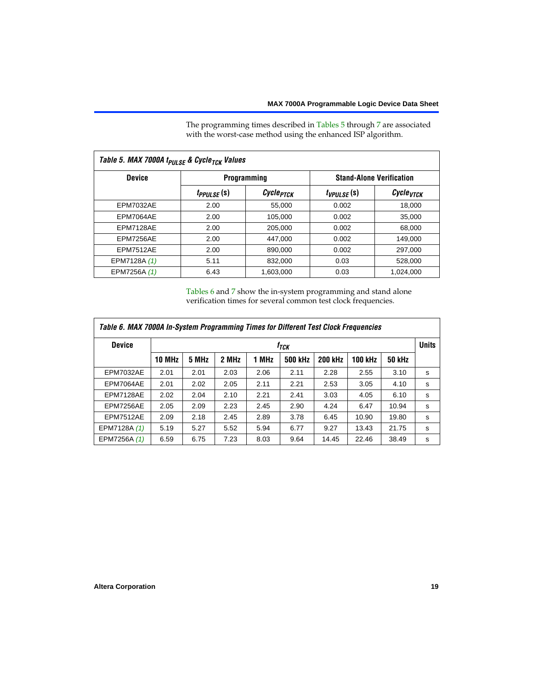The programming times described in [Tables 5](#page-18-0) through [7](#page-19-0) are associated with the worst-case method using the enhanced ISP algorithm.

<span id="page-18-0"></span>

| Table 5. MAX 7000A t <sub>PULSE</sub> & Cycle <sub>TCK</sub> Values |                 |                       |                 |                                 |  |  |  |  |  |
|---------------------------------------------------------------------|-----------------|-----------------------|-----------------|---------------------------------|--|--|--|--|--|
| <b>Device</b>                                                       |                 | <b>Programming</b>    |                 | <b>Stand-Alone Verification</b> |  |  |  |  |  |
|                                                                     | $t_{PPULSE}(s)$ | Cycle <sub>PTCK</sub> | $t_{VPULSE}(s)$ | $\mathcal C$ ycle $_{VTCK}$     |  |  |  |  |  |
| <b>EPM7032AE</b>                                                    | 2.00            | 55.000                | 0.002           | 18,000                          |  |  |  |  |  |
| EPM7064AE                                                           | 2.00            | 105.000               | 0.002           | 35,000                          |  |  |  |  |  |
| EPM7128AE                                                           | 2.00            | 205.000               | 0.002           | 68,000                          |  |  |  |  |  |
| EPM7256AE                                                           | 2.00            | 447,000               | 0.002           | 149.000                         |  |  |  |  |  |
| <b>EPM7512AE</b>                                                    | 2.00            | 890,000               | 0.002           | 297,000                         |  |  |  |  |  |
| EPM7128A (1)                                                        | 5.11            | 832,000               | 0.03            | 528,000                         |  |  |  |  |  |
| EPM7256A (1)                                                        | 6.43            | 1.603.000             | 0.03            | 1.024.000                       |  |  |  |  |  |

[Tables 6](#page-18-1) and [7](#page-19-0) show the in-system programming and stand alone verification times for several common test clock frequencies.

<span id="page-18-1"></span>

| Table 6. MAX 7000A In-System Programming Times for Different Test Clock Frequencies |               |                                  |       |       |                |                |                |               |   |
|-------------------------------------------------------------------------------------|---------------|----------------------------------|-------|-------|----------------|----------------|----------------|---------------|---|
| <b>Device</b>                                                                       |               | <b>Units</b><br>f <sub>ТСК</sub> |       |       |                |                |                |               |   |
|                                                                                     | <b>10 MHz</b> | 5 MHz                            | 2 MHz | 1 MHz | <b>500 kHz</b> | <b>200 kHz</b> | <b>100 kHz</b> | <b>50 kHz</b> |   |
| <b>EPM7032AE</b>                                                                    | 2.01          | 2.01                             | 2.03  | 2.06  | 2.11           | 2.28           | 2.55           | 3.10          | s |
| EPM7064AE                                                                           | 2.01          | 2.02                             | 2.05  | 2.11  | 2.21           | 2.53           | 3.05           | 4.10          | s |
| EPM7128AE                                                                           | 2.02          | 2.04                             | 2.10  | 2.21  | 2.41           | 3.03           | 4.05           | 6.10          | s |
| EPM7256AE                                                                           | 2.05          | 2.09                             | 2.23  | 2.45  | 2.90           | 4.24           | 6.47           | 10.94         | s |
| <b>EPM7512AE</b>                                                                    | 2.09          | 2.18                             | 2.45  | 2.89  | 3.78           | 6.45           | 10.90          | 19.80         | s |
| EPM7128A (1)                                                                        | 5.19          | 5.27                             | 5.52  | 5.94  | 6.77           | 9.27           | 13.43          | 21.75         | s |
| EPM7256A (1)                                                                        | 6.59          | 6.75                             | 7.23  | 8.03  | 9.64           | 14.45          | 22.46          | 38.49         | s |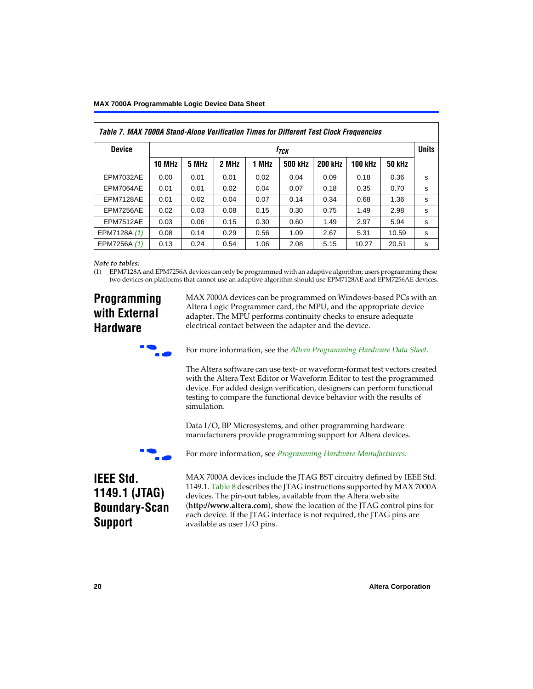<span id="page-19-0"></span>

| Table 7. MAX 7000A Stand-Alone Verification Times for Different Test Clock Frequencies |               |       |       |       |                |                |                |               |              |
|----------------------------------------------------------------------------------------|---------------|-------|-------|-------|----------------|----------------|----------------|---------------|--------------|
| <b>Device</b>                                                                          | $f_{TCK}$     |       |       |       |                |                |                |               | <b>Units</b> |
|                                                                                        | <b>10 MHz</b> | 5 MHz | 2 MHz | 1 MHz | <b>500 kHz</b> | <b>200 kHz</b> | <b>100 kHz</b> | <b>50 kHz</b> |              |
| <b>EPM7032AE</b>                                                                       | 0.00          | 0.01  | 0.01  | 0.02  | 0.04           | 0.09           | 0.18           | 0.36          | s            |
| EPM7064AE                                                                              | 0.01          | 0.01  | 0.02  | 0.04  | 0.07           | 0.18           | 0.35           | 0.70          | s            |
| EPM7128AE                                                                              | 0.01          | 0.02  | 0.04  | 0.07  | 0.14           | 0.34           | 0.68           | 1.36          | s            |
| EPM7256AE                                                                              | 0.02          | 0.03  | 0.08  | 0.15  | 0.30           | 0.75           | 1.49           | 2.98          | s            |
| EPM7512AE                                                                              | 0.03          | 0.06  | 0.15  | 0.30  | 0.60           | 1.49           | 2.97           | 5.94          | s            |
| EPM7128A (1)                                                                           | 0.08          | 0.14  | 0.29  | 0.56  | 1.09           | 2.67           | 5.31           | 10.59         | s            |
| EPM7256A (1)                                                                           | 0.13          | 0.24  | 0.54  | 1.06  | 2.08           | 5.15           | 10.27          | 20.51         | s            |

#### *Note to tables:*

<span id="page-19-1"></span>(1) EPM7128A and EPM7256A devices can only be programmed with an adaptive algorithm; users programming these two devices on platforms that cannot use an adaptive algorithm should use EPM7128AE and EPM7256AE devices.

# **Programming with External Hardware**

MAX 7000A devices can be programmed on Windows-based PCs with an Altera Logic Programmer card, the MPU, and the appropriate device adapter. The MPU performs continuity checks to ensure adequate electrical contact between the adapter and the device.



For more information, see the *[Altera Programming Hardware Data Sheet](#page-0-0)*.

The Altera software can use text- or waveform-format test vectors created with the Altera Text Editor or Waveform Editor to test the programmed device. For added design verification, designers can perform functional testing to compare the functional device behavior with the results of simulation.

Data I/O, BP Microsystems, and other programming hardware manufacturers provide programming support for Altera devices.



For more information, see *[Programming Hardware Manufacturers](#page-0-0)*.

# **IEEE Std. 1149.1 (JTAG) Boundary-Scan Support**

MAX 7000A devices include the JTAG BST circuitry defined by IEEE Std. 1149.1. [Table 8](#page-20-0) describes the JTAG instructions supported by MAX 7000A devices. The pin-out tables, available from the Altera web site (**http://www.altera.com**), show the location of the JTAG control pins for each device. If the JTAG interface is not required, the JTAG pins are available as user I/O pins.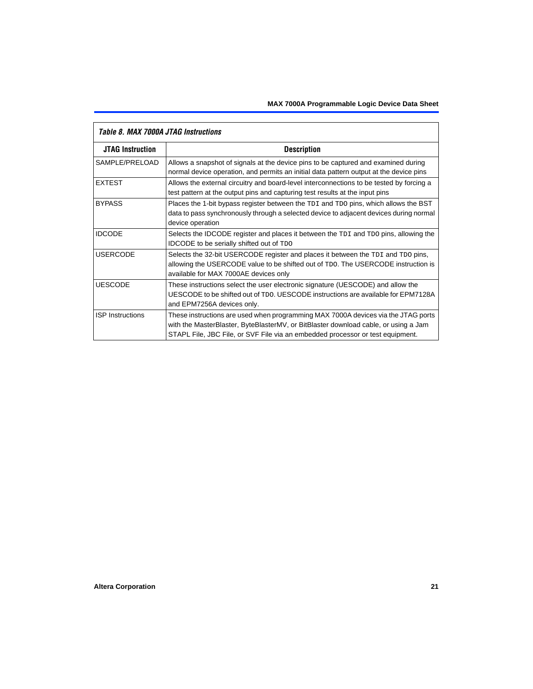| TADIE O. MAA TUUDA JTAG MSUUCUUS |                                                                                                                                                                                                                                                            |  |  |  |  |  |
|----------------------------------|------------------------------------------------------------------------------------------------------------------------------------------------------------------------------------------------------------------------------------------------------------|--|--|--|--|--|
| <b>JTAG Instruction</b>          | <b>Description</b>                                                                                                                                                                                                                                         |  |  |  |  |  |
| SAMPLE/PRELOAD                   | Allows a snapshot of signals at the device pins to be captured and examined during<br>normal device operation, and permits an initial data pattern output at the device pins                                                                               |  |  |  |  |  |
| <b>EXTEST</b>                    | Allows the external circuitry and board-level interconnections to be tested by forcing a<br>test pattern at the output pins and capturing test results at the input pins                                                                                   |  |  |  |  |  |
| <b>BYPASS</b>                    | Places the 1-bit bypass register between the TDI and TDO pins, which allows the BST<br>data to pass synchronously through a selected device to adjacent devices during normal<br>device operation                                                          |  |  |  |  |  |
| <b>IDCODE</b>                    | Selects the IDCODE register and places it between the TDI and TDO pins, allowing the<br><b>IDCODE</b> to be serially shifted out of TDO                                                                                                                    |  |  |  |  |  |
| <b>USERCODE</b>                  | Selects the 32-bit USERCODE register and places it between the TDI and TDO pins,<br>allowing the USERCODE value to be shifted out of TDO. The USERCODE instruction is<br>available for MAX 7000AE devices only                                             |  |  |  |  |  |
| <b>UESCODE</b>                   | These instructions select the user electronic signature (UESCODE) and allow the<br>UESCODE to be shifted out of TDO. UESCODE instructions are available for EPM7128A<br>and EPM7256A devices only.                                                         |  |  |  |  |  |
| <b>ISP</b> Instructions          | These instructions are used when programming MAX 7000A devices via the JTAG ports<br>with the MasterBlaster, ByteBlasterMV, or BitBlaster download cable, or using a Jam<br>STAPL File, JBC File, or SVF File via an embedded processor or test equipment. |  |  |  |  |  |

# <span id="page-20-0"></span>*Table 8. MAX 7000A JTAG Instructions*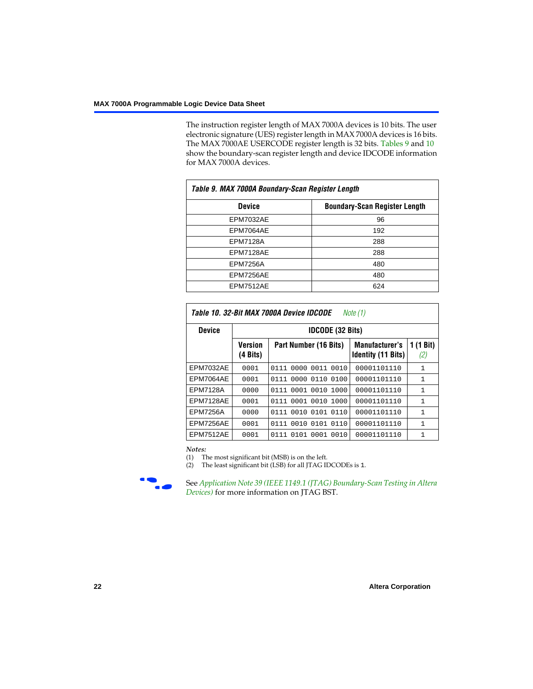The instruction register length of MAX 7000A devices is 10 bits. The user electronic signature (UES) register length in MAX 7000A devices is 16 bits. The MAX 7000AE USERCODE register length is 32 bits. [Tables 9](#page-21-0) and [10](#page-21-1) show the boundary-scan register length and device IDCODE information for MAX 7000A devices.

<span id="page-21-0"></span>

| Table 9. MAX 7000A Boundary-Scan Register Length |                                      |  |  |  |  |  |  |
|--------------------------------------------------|--------------------------------------|--|--|--|--|--|--|
| <b>Device</b>                                    | <b>Boundary-Scan Register Length</b> |  |  |  |  |  |  |
| <b>EPM7032AE</b>                                 | 96                                   |  |  |  |  |  |  |
| EPM7064AE                                        | 192                                  |  |  |  |  |  |  |
| <b>EPM7128A</b>                                  | 288                                  |  |  |  |  |  |  |
| EPM7128AE                                        | 288                                  |  |  |  |  |  |  |
| <b>EPM7256A</b>                                  | 480                                  |  |  |  |  |  |  |
| EPM7256AE                                        | 480                                  |  |  |  |  |  |  |
| EPM7512AE                                        | 624                                  |  |  |  |  |  |  |

<span id="page-21-1"></span>

| Table 10. 32-Bit MAX 7000A Device IDCODE<br>Note (1) |                            |                              |                                                    |                  |  |  |  |  |
|------------------------------------------------------|----------------------------|------------------------------|----------------------------------------------------|------------------|--|--|--|--|
| <b>Device</b>                                        | <b>IDCODE (32 Bits)</b>    |                              |                                                    |                  |  |  |  |  |
|                                                      | <b>Version</b><br>(4 Bits) | Part Number (16 Bits)        | <b>Manufacturer's</b><br><b>Identity (11 Bits)</b> | 1 (1 Bit)<br>(2) |  |  |  |  |
| <b>EPM7032AE</b>                                     | 0001                       | 0000<br>0011<br>0010<br>0111 | 00001101110                                        | 1                |  |  |  |  |
| EPM7064AE                                            | 0001                       | 0000 0110<br>0100<br>0111    | 00001101110                                        | 1                |  |  |  |  |
| <b>EPM7128A</b>                                      | 0000                       | 0111 0001 0010<br>1000       | 00001101110                                        | $\mathbf{1}$     |  |  |  |  |
| EPM7128AE                                            | 0001                       | 0111 0001 0010<br>1000       | 00001101110                                        | 1                |  |  |  |  |
| <b>EPM7256A</b>                                      | 0000                       | 0111 0010 0101 0110          | 00001101110                                        | 1                |  |  |  |  |
| EPM7256AE                                            | 0001                       | 0111 0010 0101 0110          | 00001101110                                        | 1                |  |  |  |  |
| <b>EPM7512AE</b>                                     | 0001                       | 0111 0101 0001 0010          | 00001101110                                        | 1                |  |  |  |  |

#### *Notes:*

<span id="page-21-2"></span>(1) The most significant bit (MSB) is on the left.

<span id="page-21-3"></span>(2) The least significant bit (LSB) for all JTAG IDCODEs is 1.



**f See Application Note 39 (IEEE 1149.1 (JTAG) Boundary-Scan Testing in Altera** *Devices)* for more information on JTAG BST.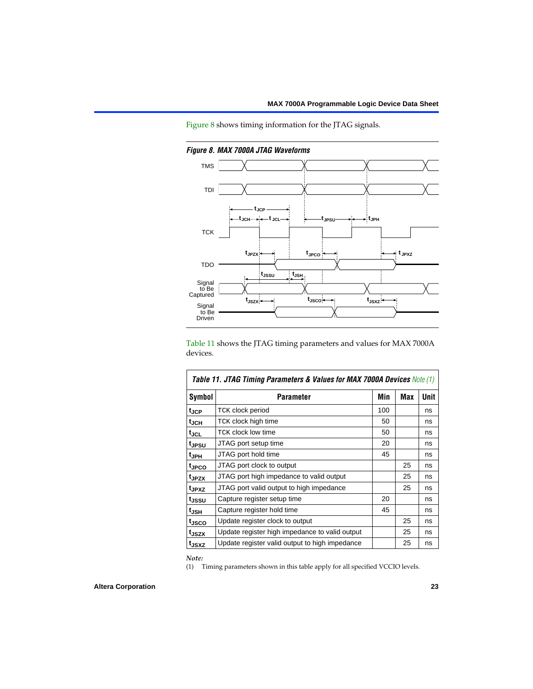[Figure 8](#page-22-1) shows timing information for the JTAG signals.



<span id="page-22-1"></span>*Figure 8. MAX 7000A JTAG Waveforms*

[Table 11](#page-22-2) shows the JTAG timing parameters and values for MAX 7000A devices.

<span id="page-22-2"></span>

| <b>Table 11. JTAG Timing Parameters &amp; Values for MAX 7000A Devices Note (1)</b> |                                                |     |     |             |  |  |  |  |
|-------------------------------------------------------------------------------------|------------------------------------------------|-----|-----|-------------|--|--|--|--|
| <b>Symbol</b>                                                                       | <b>Parameter</b>                               | Min | Max | <b>Unit</b> |  |  |  |  |
| t <sub>JCP</sub>                                                                    | TCK clock period                               | 100 |     | ns          |  |  |  |  |
| t <sub>JCH</sub>                                                                    | TCK clock high time                            | 50  |     | ns          |  |  |  |  |
| tjcl                                                                                | <b>TCK clock low time</b>                      | 50  |     | ns          |  |  |  |  |
| tjpsu                                                                               | JTAG port setup time                           | 20  |     | ns          |  |  |  |  |
| t <sub>JPH</sub>                                                                    | JTAG port hold time                            | 45  |     | ns          |  |  |  |  |
| tjpco                                                                               | JTAG port clock to output                      |     | 25  | ns          |  |  |  |  |
| t <sub>JPZX</sub>                                                                   | JTAG port high impedance to valid output       |     | 25  | ns          |  |  |  |  |
| t <sub>JPXZ</sub>                                                                   | JTAG port valid output to high impedance       |     | 25  | ns          |  |  |  |  |
| tjssu                                                                               | Capture register setup time                    | 20  |     | ns          |  |  |  |  |
| t <sub>JSH</sub>                                                                    | Capture register hold time                     | 45  |     | ns          |  |  |  |  |
| t <sub>JSCO</sub>                                                                   | Update register clock to output                |     | 25  | ns          |  |  |  |  |
| t <sub>JSZX</sub>                                                                   | Update register high impedance to valid output |     | 25  | ns          |  |  |  |  |
| t <sub>JSXZ</sub>                                                                   | Update register valid output to high impedance |     | 25  | ns          |  |  |  |  |

*Note:*

<span id="page-22-0"></span>(1) Timing parameters shown in this table apply for all specified VCCIO levels.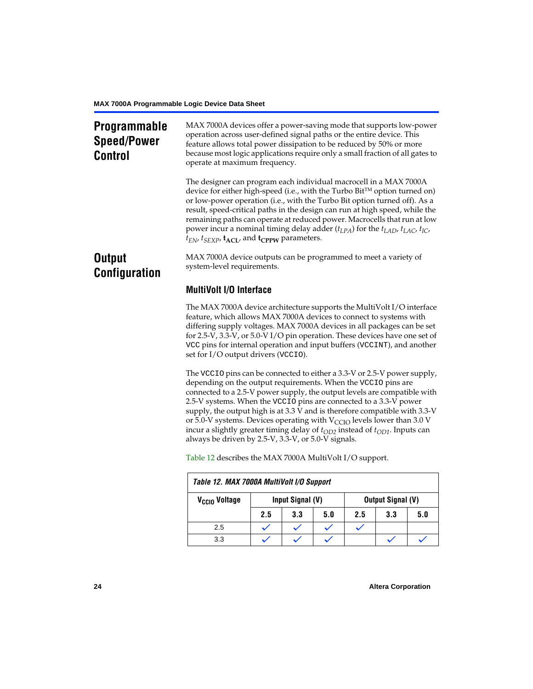# **Programmable Speed/Power Control**

MAX 7000A devices offer a power-saving mode that supports low-power operation across user-defined signal paths or the entire device. This feature allows total power dissipation to be reduced by 50% or more because most logic applications require only a small fraction of all gates to operate at maximum frequency.

The designer can program each individual macrocell in a MAX 7000A device for either high-speed (i.e., with the Turbo Bit $^{TM}$  option turned on) or low-power operation (i.e., with the Turbo Bit option turned off). As a result, speed-critical paths in the design can run at high speed, while the remaining paths can operate at reduced power. Macrocells that run at low power incur a nominal timing delay adder (*tLPA*) for the *tLAD*, *tLAC*, *tIC*,  $t_{EN}$ ,  $t_{SEXP}$ ,  $t_{ACL}$ , and  $t_{CPPW}$  parameters.

# **Output Configuration**

MAX 7000A device outputs can be programmed to meet a variety of system-level requirements.

# **MultiVolt I/O Interface**

The MAX 7000A device architecture supports the MultiVolt I/O interface feature, which allows MAX 7000A devices to connect to systems with differing supply voltages. MAX 7000A devices in all packages can be set for 2.5-V, 3.3-V, or 5.0-V I/O pin operation. These devices have one set of VCC pins for internal operation and input buffers (VCCINT), and another set for I/O output drivers (VCCIO).

The VCCIO pins can be connected to either a 3.3-V or 2.5-V power supply, depending on the output requirements. When the VCCIO pins are connected to a 2.5-V power supply, the output levels are compatible with 2.5-V systems. When the VCCIO pins are connected to a 3.3-V power supply, the output high is at 3.3 V and is therefore compatible with 3.3-V or 5.0-V systems. Devices operating with  $V_{\text{CCIO}}$  levels lower than 3.0 V incur a slightly greater timing delay of  $t_{OD2}$  instead of  $t_{OD1}$ . Inputs can always be driven by 2.5-V, 3.3-V, or 5.0-V signals.

<span id="page-23-0"></span>

| Table 12. MAX 7000A MultiVolt I/O Support |     |                  |     |                          |     |     |  |  |  |
|-------------------------------------------|-----|------------------|-----|--------------------------|-----|-----|--|--|--|
| V <sub>CCIO</sub> Voltage                 |     | Input Signal (V) |     | <b>Output Signal (V)</b> |     |     |  |  |  |
|                                           | 2.5 | 3.3              | 5.0 | 2.5                      | 3.3 | 5.0 |  |  |  |
| 2.5                                       |     |                  |     |                          |     |     |  |  |  |
| 3.3                                       |     |                  |     |                          |     |     |  |  |  |

[Table 12](#page-23-0) describes the MAX 7000A MultiVolt I/O support.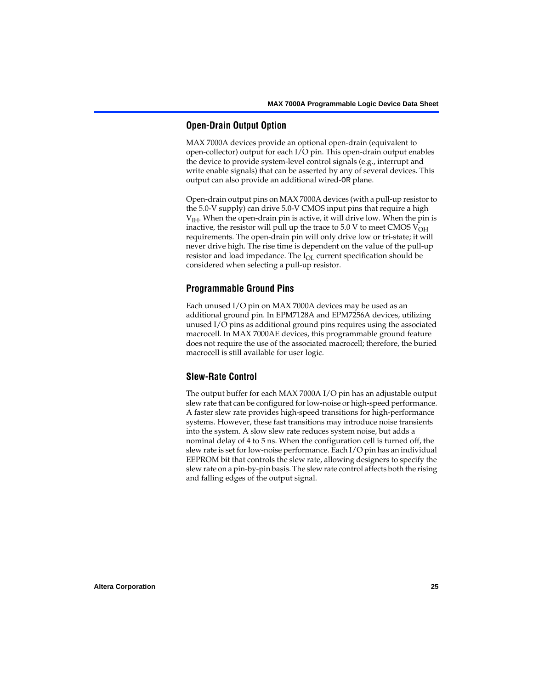# **Open-Drain Output Option**

MAX 7000A devices provide an optional open-drain (equivalent to open-collector) output for each I/O pin. This open-drain output enables the device to provide system-level control signals (e.g., interrupt and write enable signals) that can be asserted by any of several devices. This output can also provide an additional wired-OR plane.

Open-drain output pins on MAX 7000A devices (with a pull-up resistor to the 5.0-V supply) can drive 5.0-V CMOS input pins that require a high  $V<sub>IH</sub>$ . When the open-drain pin is active, it will drive low. When the pin is inactive, the resistor will pull up the trace to  $5.0$  V to meet CMOS V<sub>OH</sub> requirements. The open-drain pin will only drive low or tri-state; it will never drive high. The rise time is dependent on the value of the pull-up resistor and load impedance. The  $I_{OL}$  current specification should be considered when selecting a pull-up resistor.

# **Programmable Ground Pins**

Each unused I/O pin on MAX 7000A devices may be used as an additional ground pin. In EPM7128A and EPM7256A devices, utilizing unused I/O pins as additional ground pins requires using the associated macrocell. In MAX 7000AE devices, this programmable ground feature does not require the use of the associated macrocell; therefore, the buried macrocell is still available for user logic.

# **Slew-Rate Control**

The output buffer for each MAX 7000A I/O pin has an adjustable output slew rate that can be configured for low-noise or high-speed performance. A faster slew rate provides high-speed transitions for high-performance systems. However, these fast transitions may introduce noise transients into the system. A slow slew rate reduces system noise, but adds a nominal delay of 4 to 5 ns. When the configuration cell is turned off, the slew rate is set for low-noise performance. Each I/O pin has an individual EEPROM bit that controls the slew rate, allowing designers to specify the slew rate on a pin-by-pin basis. The slew rate control affects both the rising and falling edges of the output signal.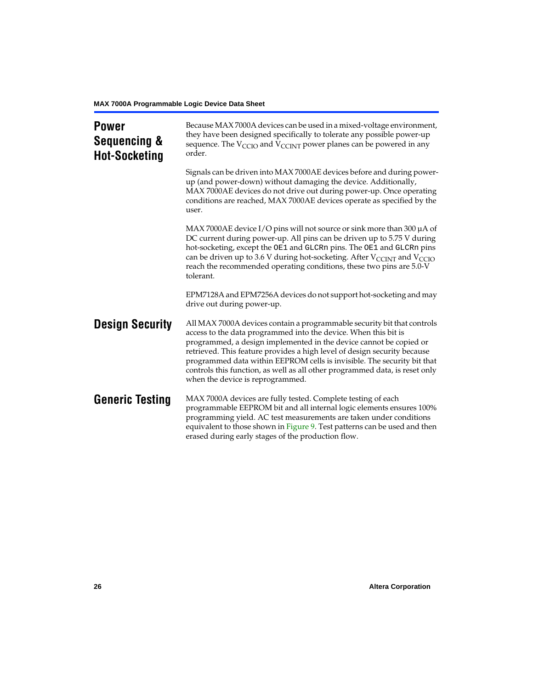<span id="page-25-0"></span>

| <b>Power</b><br>Sequencing &<br><b>Hot-Socketing</b> | Because MAX 7000A devices can be used in a mixed-voltage environment,<br>they have been designed specifically to tolerate any possible power-up<br>sequence. The $V_{\text{CCIO}}$ and $V_{\text{CCINT}}$ power planes can be powered in any<br>order.                                                                                                                                                                                                                                     |
|------------------------------------------------------|--------------------------------------------------------------------------------------------------------------------------------------------------------------------------------------------------------------------------------------------------------------------------------------------------------------------------------------------------------------------------------------------------------------------------------------------------------------------------------------------|
|                                                      | Signals can be driven into MAX 7000AE devices before and during power-<br>up (and power-down) without damaging the device. Additionally,<br>MAX 7000AE devices do not drive out during power-up. Once operating<br>conditions are reached, MAX 7000AE devices operate as specified by the<br>user.                                                                                                                                                                                         |
|                                                      | MAX 7000AE device I/O pins will not source or sink more than 300 $\mu$ A of<br>DC current during power-up. All pins can be driven up to 5.75 V during<br>hot-socketing, except the OE1 and GLCRn pins. The OE1 and GLCRn pins<br>can be driven up to 3.6 V during hot-socketing. After $V_{CCDNT}$ and $V_{CCD}$<br>reach the recommended operating conditions, these two pins are 5.0-V<br>tolerant.                                                                                      |
|                                                      | EPM7128A and EPM7256A devices do not support hot-socketing and may<br>drive out during power-up.                                                                                                                                                                                                                                                                                                                                                                                           |
| <b>Design Security</b>                               | All MAX 7000A devices contain a programmable security bit that controls<br>access to the data programmed into the device. When this bit is<br>programmed, a design implemented in the device cannot be copied or<br>retrieved. This feature provides a high level of design security because<br>programmed data within EEPROM cells is invisible. The security bit that<br>controls this function, as well as all other programmed data, is reset only<br>when the device is reprogrammed. |
| <b>Generic Testing</b>                               | MAX 7000A devices are fully tested. Complete testing of each<br>programmable EEPROM bit and all internal logic elements ensures 100%<br>programming yield. AC test measurements are taken under conditions<br>equivalent to those shown in Figure 9. Test patterns can be used and then<br>erased during early stages of the production flow.                                                                                                                                              |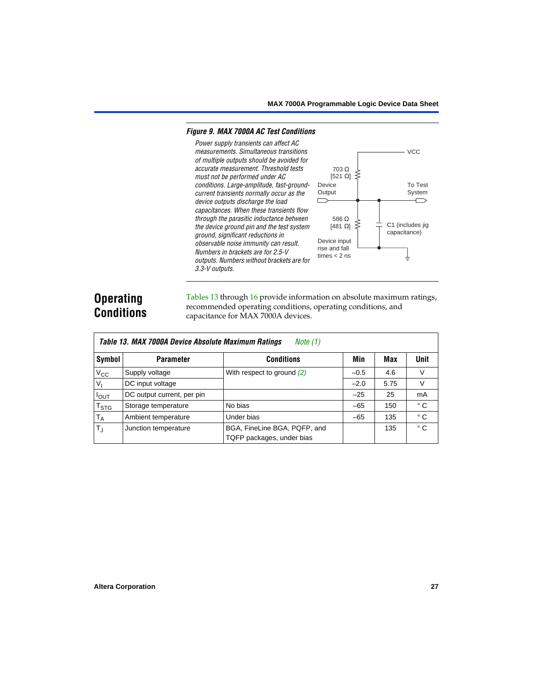VCC

To Test System

#### <span id="page-26-0"></span>*Figure 9. MAX 7000A AC Test Conditions*

*Power supply transients can affect AC measurements. Simultaneous transitions of multiple outputs should be avoided for accurate measurement. Threshold tests* 703 Ω *must not be performed under AC* [521 Ω] *conditions. Large-amplitude, fast-ground-*Device **Output** *current transients normally occur as the device outputs discharge the load*   $\Box$ *capacitances. When these transients flow through the parasitic inductance between*  586 Ω C1 (includes jig  $[481$  Ω]  $\geq$ *the device ground pin and the test system*  capacitance) *ground, significant reductions in*  Device input *observable noise immunity can result.*  rise and fall *Numbers in brackets are for 2.5-V*  times  $<$  2 ns *outputs. Numbers without brackets are for 3.3-V outputs.*

# **Operating Conditions**

Г

[Tables 13](#page-26-1) through [16](#page-28-0) provide information on absolute maximum ratings, recommended operating conditions, operating conditions, and capacitance for MAX 7000A devices.

<span id="page-26-1"></span>

|                        | Table 13. MAX 7000A Device Absolute Maximum Ratings<br>Note (1) |                                                           |        |      |              |  |  |  |  |  |  |  |
|------------------------|-----------------------------------------------------------------|-----------------------------------------------------------|--------|------|--------------|--|--|--|--|--|--|--|
| Symbol                 | <b>Parameter</b>                                                | <b>Conditions</b>                                         | Min    | Max  | <b>Unit</b>  |  |  |  |  |  |  |  |
| $V_{\rm CC}$           | Supply voltage                                                  | With respect to ground $(2)$                              | $-0.5$ | 4.6  |              |  |  |  |  |  |  |  |
| $V_{I}$                | DC input voltage                                                |                                                           | $-2.0$ | 5.75 | V            |  |  |  |  |  |  |  |
| $I_{OUT}$              | DC output current, per pin                                      |                                                           | $-25$  | 25   | mA           |  |  |  |  |  |  |  |
| <b>T<sub>STG</sub></b> | Storage temperature                                             | No bias                                                   | $-65$  | 150  | ° C          |  |  |  |  |  |  |  |
| $T_A$                  | Ambient temperature                                             | Under bias                                                | $-65$  | 135  | $^{\circ}$ C |  |  |  |  |  |  |  |
| $T_{\rm J}$            | Junction temperature                                            | BGA, FineLine BGA, PQFP, and<br>TQFP packages, under bias |        | 135  | $^{\circ}$ C |  |  |  |  |  |  |  |
|                        |                                                                 |                                                           |        |      |              |  |  |  |  |  |  |  |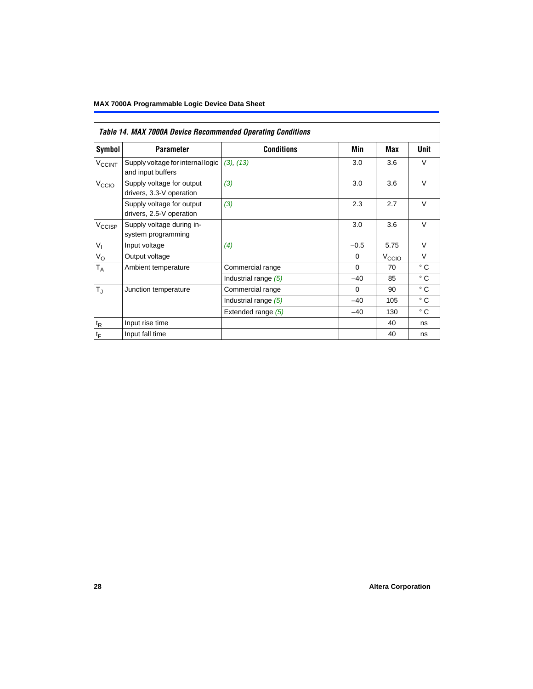# **MAX 7000A Programmable Logic Device Data Sheet**

<span id="page-27-0"></span>

|                             | Table 14. MAX 7000A Device Recommended Operating Conditions |                      |          |                   |              |  |  |  |  |  |  |  |
|-----------------------------|-------------------------------------------------------------|----------------------|----------|-------------------|--------------|--|--|--|--|--|--|--|
| Symbol                      | <b>Parameter</b>                                            | <b>Conditions</b>    | Min      | Max               | Unit         |  |  |  |  |  |  |  |
| <b>V<sub>CCINT</sub></b>    | Supply voltage for internal logic<br>and input buffers      | (3), (13)            | 3.0      | 3.6               | $\vee$       |  |  |  |  |  |  |  |
| V <sub>CCIO</sub>           | Supply voltage for output<br>drivers, 3.3-V operation       | (3)                  | 3.0      | 3.6               | $\vee$       |  |  |  |  |  |  |  |
|                             | Supply voltage for output<br>drivers, 2.5-V operation       | (3)                  | 2.3      | 2.7               | $\vee$       |  |  |  |  |  |  |  |
| V <sub>CCISP</sub>          | Supply voltage during in-<br>system programming             |                      | 3.0      | 3.6               | $\vee$       |  |  |  |  |  |  |  |
| $V_{I}$                     | Input voltage                                               | (4)                  | $-0.5$   | 5.75              | $\vee$       |  |  |  |  |  |  |  |
| $V_{\rm O}$                 | Output voltage                                              |                      | $\Omega$ | V <sub>CCIO</sub> | $\vee$       |  |  |  |  |  |  |  |
| $T_A$                       | Ambient temperature                                         | Commercial range     | $\Omega$ | 70                | $^{\circ}$ C |  |  |  |  |  |  |  |
|                             |                                                             | Industrial range (5) | $-40$    | 85                | $^{\circ}$ C |  |  |  |  |  |  |  |
| $T_{\rm J}$                 | Junction temperature                                        | Commercial range     | $\Omega$ | 90                | $^{\circ}$ C |  |  |  |  |  |  |  |
|                             |                                                             | Industrial range (5) | $-40$    | 105               | $^{\circ}$ C |  |  |  |  |  |  |  |
|                             |                                                             | Extended range (5)   | $-40$    | 130               | $^{\circ}$ C |  |  |  |  |  |  |  |
| $\mathfrak{t}_{\mathsf{R}}$ | Input rise time                                             |                      |          | 40                | ns           |  |  |  |  |  |  |  |
| $t_F$                       | Input fall time                                             |                      |          | 40                | ns           |  |  |  |  |  |  |  |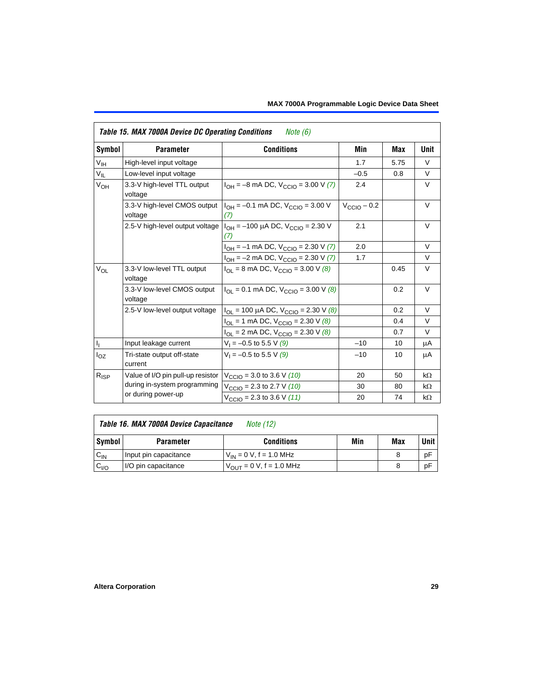<span id="page-28-1"></span>

|                 | Table 15. MAX 7000A Device DC Operating Conditions | <i>Note</i> $(6)$                                                           |                 |            |           |
|-----------------|----------------------------------------------------|-----------------------------------------------------------------------------|-----------------|------------|-----------|
| Symbol          | <b>Parameter</b>                                   | <b>Conditions</b>                                                           | Min             | <b>Max</b> | Unit      |
| $V_{\text{IH}}$ | High-level input voltage                           |                                                                             | 1.7             | 5.75       | $\vee$    |
| $V_{IL}$        | Low-level input voltage                            |                                                                             | $-0.5$          | 0.8        | $\vee$    |
| $V_{OH}$        | 3.3-V high-level TTL output<br>voltage             | $I_{OH} = -8$ mA DC, $V_{CCIO} = 3.00$ V (7)                                | 2.4             |            | V         |
|                 | 3.3-V high-level CMOS output<br>voltage            | $I_{OH} = -0.1$ mA DC, $V_{CCIO} = 3.00$ V<br>(7)                           | $V_{CCD}$ – 0.2 |            | $\vee$    |
|                 | 2.5-V high-level output voltage                    | $I_{OH}$ = -100 µA DC, $V_{CClO}$ = 2.30 V<br>(7)                           | 2.1             |            | $\vee$    |
|                 |                                                    | $I_{OH} = -1$ mA DC, $V_{CCIO} = 2.30$ V (7)                                | 2.0             |            | $\vee$    |
|                 |                                                    | $I_{OH} = -2$ mA DC, $V_{CCIO} = 2.30$ V (7)                                | 1.7             |            | V         |
| $V_{OL}$        | 3.3-V low-level TTL output<br>voltage              | $I_{OL}$ = 8 mA DC, $V_{CCIO}$ = 3.00 V (8)                                 |                 | 0.45       | $\vee$    |
|                 | 3.3-V low-level CMOS output<br>voltage             | $I_{\text{OI}} = 0.1 \text{ mA DC}$ , $V_{\text{CCl}} = 3.00 \text{ V}$ (8) |                 | 0.2        | $\vee$    |
|                 | 2.5-V low-level output voltage                     | $I_{OL}$ = 100 µA DC, $V_{CCIO}$ = 2.30 V (8)                               |                 | 0.2        | V         |
|                 |                                                    | $I_{OL}$ = 1 mA DC, $V_{CCIO}$ = 2.30 V (8)                                 |                 | 0.4        | V         |
|                 |                                                    | $I_{OL}$ = 2 mA DC, $V_{CCIO}$ = 2.30 V (8)                                 |                 | 0.7        | $\vee$    |
| $I_1$           | Input leakage current                              | $V_1 = -0.5$ to 5.5 V (9)                                                   | $-10$           | 10         | μA        |
| $I_{OZ}$        | Tri-state output off-state<br>current              | $V_1 = -0.5$ to 5.5 V (9)                                                   | $-10$           | 10         | μA        |
| $R_{ISP}$       | Value of I/O pin pull-up resistor                  | $V_{\text{CCIO}}$ = 3.0 to 3.6 V (10)                                       | 20              | 50         | $k\Omega$ |
|                 | during in-system programming                       | $V_{\text{CCIO}}$ = 2.3 to 2.7 V (10)                                       | 30              | 80         | $k\Omega$ |
|                 | or during power-up                                 | $V_{\text{CCIO}} = 2.3$ to 3.6 V (11)                                       | 20              | 74         | $k\Omega$ |

<span id="page-28-0"></span>

|  | $\vert$ Table 16. MAX 7000A Device Capacitance Note (12) |  |
|--|----------------------------------------------------------|--|
|  |                                                          |  |

| Symbol          | Parameter             | Conditions                   | Min | Max | Unit |
|-----------------|-----------------------|------------------------------|-----|-----|------|
| $V_{\text{IN}}$ | Input pin capacitance | $V_{IN} = 0 V$ , f = 1.0 MHz |     |     | рF   |
| $v_{1/0}$       | I/O pin capacitance   | $V_{OUT} = 0 V, f = 1.0 MHz$ |     |     | рF   |

 $\mathbf{r}$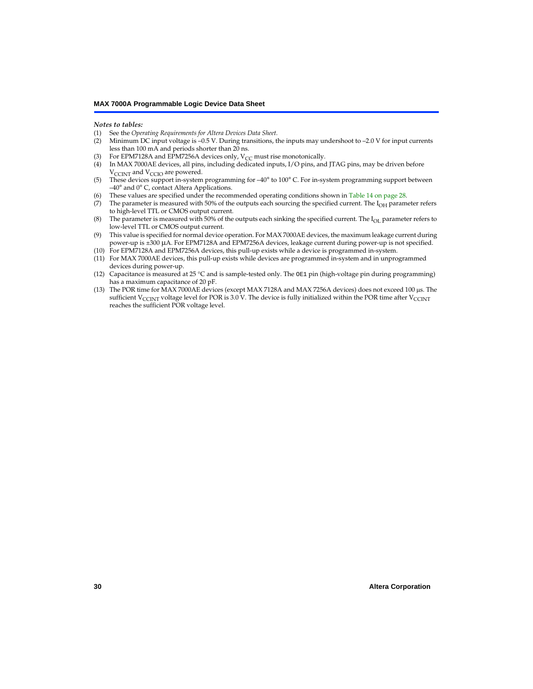#### *Notes to tables:*

- <span id="page-29-0"></span>(1) See the *[Operating Requirements for Altera Devices Data Sheet.](#page-0-0)*
- <span id="page-29-1"></span>Minimum DC input voltage is  $-0.5$  V. During transitions, the inputs may undershoot to  $-2.0$  V for input currents less than 100 mA and periods shorter than 20 ns.
- <span id="page-29-2"></span>(3) For EPM7128A and EPM7256A devices only,  $V_{CC}$  must rise monotonically.
- <span id="page-29-3"></span>(4) In MAX 7000AE devices, all pins, including dedicated inputs, I/O pins, and JTAG pins, may be driven before  $V_{\text{CCLNT}}$  and  $V_{\text{CCLO}}$  are powered.
- <span id="page-29-5"></span>(5) These devices support in-system programming for –40° to 100° C. For in-system programming support between –40° and 0° C, contact Altera Applications.
- <span id="page-29-6"></span>(6) These values are specified under the recommended operating conditions shown in [Table 14 on page 28](#page-27-0).
- <span id="page-29-7"></span>(7) The parameter is measured with 50% of the outputs each sourcing the specified current. The  $I_{OH}$  parameter refers to high-level TTL or CMOS output current.
- <span id="page-29-8"></span>(8) The parameter is measured with 50% of the outputs each sinking the specified current. The  $I_{OL}$  parameter refers to low-level TTL or CMOS output current.
- <span id="page-29-9"></span>(9) This value is specified for normal device operation. For MAX 7000AE devices, the maximum leakage current during power-up is ±300 µA. For EPM7128A and EPM7256A devices, leakage current during power-up is not specified.
- <span id="page-29-10"></span>(10) For EPM7128A and EPM7256A devices, this pull-up exists while a device is programmed in-system.
- <span id="page-29-11"></span>(11) For MAX 7000AE devices, this pull-up exists while devices are programmed in-system and in unprogrammed devices during power-up.
- <span id="page-29-12"></span>(12) Capacitance is measured at 25 °C and is sample-tested only. The OE1 pin (high-voltage pin during programming) has a maximum capacitance of 20 pF.
- <span id="page-29-4"></span>(13) The POR time for MAX 7000AE devices (except MAX 7128A and MAX 7256A devices) does not exceed 100 µs. The sufficient V<sub>CCINT</sub> voltage level for POR is 3.0 V. The device is fully initialized within the POR time after V<sub>CCINT</sub> reaches the sufficient POR voltage level.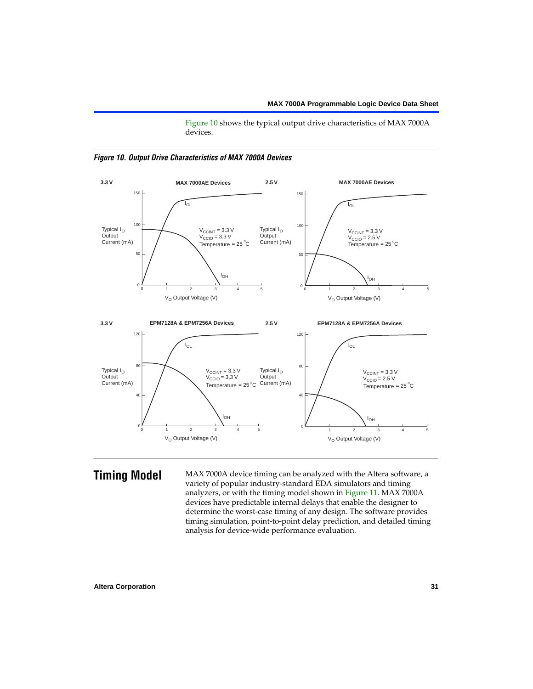[Figure 10](#page-30-0) shows the typical output drive characteristics of MAX 7000A devices.



#### <span id="page-30-0"></span>*Figure 10. Output Drive Characteristics of MAX 7000A Devices*

**Timing Model** MAX 7000A device timing can be analyzed with the Altera software, a variety of popular industry-standard EDA simulators and timing analyzers, or with the timing model shown in [Figure 11.](#page-31-0) MAX 7000A devices have predictable internal delays that enable the designer to determine the worst-case timing of any design. The software provides timing simulation, point-to-point delay prediction, and detailed timing analysis for device-wide performance evaluation.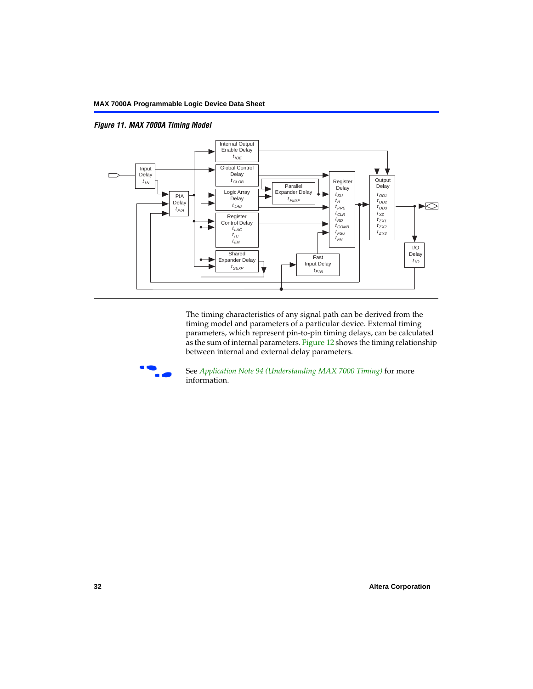<span id="page-31-0"></span>*Figure 11. MAX 7000A Timing Model*



The timing characteristics of any signal path can be derived from the timing model and parameters of a particular device. External timing parameters, which represent pin-to-pin timing delays, can be calculated as the sum of internal parameters. [Figure 12](#page-32-0) shows the timing relationship between internal and external delay parameters.



f See *Application Note 94 (Understanding MAX 7000 Timing)* for more information.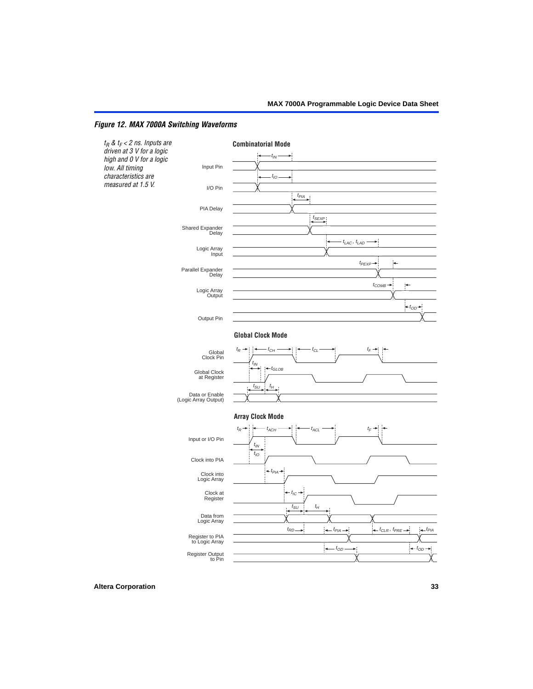# <span id="page-32-0"></span>*Figure 12. MAX 7000A Switching Waveforms*

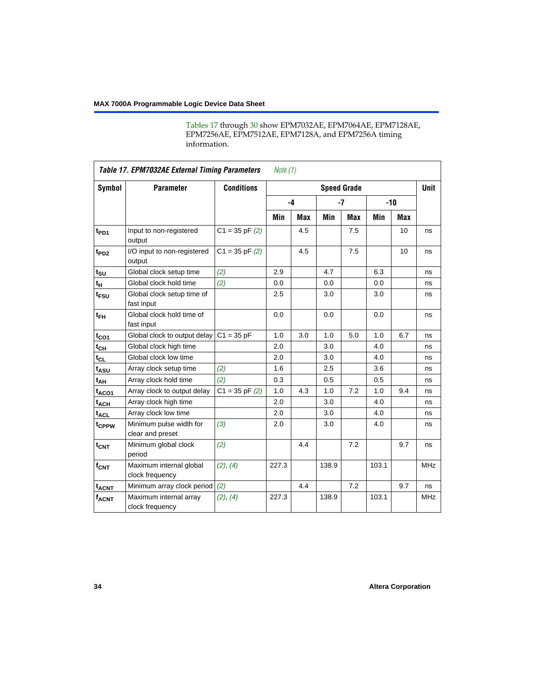[Tables 17](#page-33-0) through [30](#page-52-0) show EPM7032AE, EPM7064AE, EPM7128AE, EPM7256AE, EPM7512AE, EPM7128A, and EPM7256A timing information.

<span id="page-33-0"></span>

|                    | Table 17. EPM7032AE External Timing Parameters<br>Note $(1)$ |                    |       |            |                    |            |       |       |             |  |
|--------------------|--------------------------------------------------------------|--------------------|-------|------------|--------------------|------------|-------|-------|-------------|--|
| Symbol             | <b>Parameter</b>                                             | <b>Conditions</b>  |       |            | <b>Speed Grade</b> |            |       |       | <b>Unit</b> |  |
|                    |                                                              |                    |       | $-4$       |                    | $-7$       |       | $-10$ |             |  |
|                    |                                                              |                    | Min   | <b>Max</b> | Min                | <b>Max</b> | Min   | Max   |             |  |
| t <sub>PD1</sub>   | Input to non-registered<br>output                            | $C1 = 35$ pF $(2)$ |       | 4.5        |                    | 7.5        |       | 10    | ns          |  |
| t <sub>PD2</sub>   | I/O input to non-registered<br>output                        | $C1 = 35 pF(2)$    |       | 4.5        |                    | 7.5        |       | 10    | ns          |  |
| $t_{\text{SU}}$    | Global clock setup time                                      | (2)                | 2.9   |            | 4.7                |            | 6.3   |       | ns          |  |
| $t_H$              | Global clock hold time                                       | (2)                | 0.0   |            | 0.0                |            | 0.0   |       | ns          |  |
| t <sub>FSU</sub>   | Global clock setup time of<br>fast input                     |                    | 2.5   |            | 3.0                |            | 3.0   |       | ns          |  |
| $t_{FH}$           | Global clock hold time of<br>fast input                      |                    | 0.0   |            | 0.0                |            | 0.0   |       | ns          |  |
| $t_{CO1}$          | Global clock to output delay                                 | $C1 = 35 pF$       | 1.0   | 3.0        | 1.0                | 5.0        | 1.0   | 6.7   | ns          |  |
| $t_{CH}$           | Global clock high time                                       |                    | 2.0   |            | 3.0                |            | 4.0   |       | ns          |  |
| $t_{CL}$           | Global clock low time                                        |                    | 2.0   |            | 3.0                |            | 4.0   |       | ns          |  |
| t <sub>ASU</sub>   | Array clock setup time                                       | (2)                | 1.6   |            | 2.5                |            | 3.6   |       | ns          |  |
| t <sub>AH</sub>    | Array clock hold time                                        | (2)                | 0.3   |            | 0.5                |            | 0.5   |       | ns          |  |
| $t_{ACO1}$         | Array clock to output delay                                  | $C1 = 35$ pF $(2)$ | 1.0   | 4.3        | 1.0                | 7.2        | 1.0   | 9.4   | ns          |  |
| $t_{ACH}$          | Array clock high time                                        |                    | 2.0   |            | 3.0                |            | 4.0   |       | ns          |  |
| t <sub>ACL</sub>   | Array clock low time                                         |                    | 2.0   |            | 3.0                |            | 4.0   |       | ns          |  |
| t <sub>CPPW</sub>  | Minimum pulse width for<br>clear and preset                  | $(3)$              | 2.0   |            | 3.0                |            | 4.0   |       | ns          |  |
| $t_{CNT}$          | Minimum global clock<br>period                               | (2)                |       | 4.4        |                    | 7.2        |       | 9.7   | ns          |  |
| $f_{\mathsf{CNT}}$ | Maximum internal global<br>clock frequency                   | (2), (4)           | 227.3 |            | 138.9              |            | 103.1 |       | <b>MHz</b>  |  |
| $t_{ACN}$          | Minimum array clock period                                   | (2)                |       | 4.4        |                    | 7.2        |       | 9.7   | ns          |  |
| <b>fACNT</b>       | Maximum internal array<br>clock frequency                    | (2), (4)           | 227.3 |            | 138.9              |            | 103.1 |       | <b>MHz</b>  |  |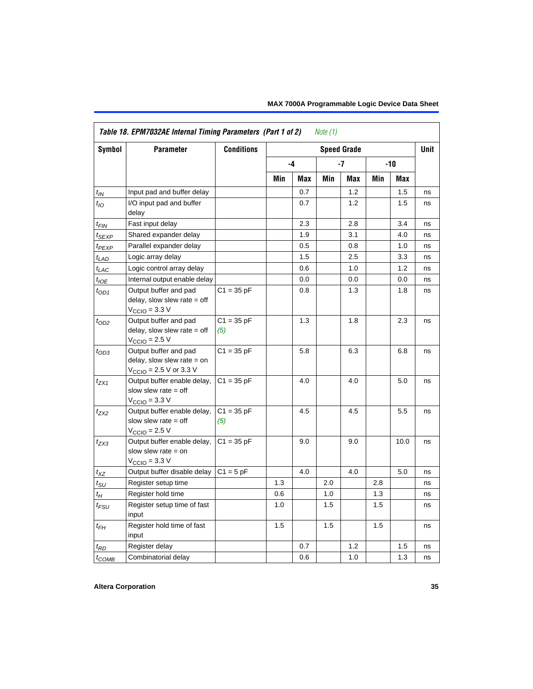|                   | Table 18. EPM7032AE Internal Timing Parameters (Part 1 of 2)                                                 | <b>Conditions</b>   |     |            | Note $(1)$ |                            |     |       | <b>Unit</b> |
|-------------------|--------------------------------------------------------------------------------------------------------------|---------------------|-----|------------|------------|----------------------------|-----|-------|-------------|
| <b>Symbol</b>     | <b>Parameter</b>                                                                                             |                     |     | $-4$       |            | <b>Speed Grade</b><br>$-7$ |     | $-10$ |             |
|                   |                                                                                                              |                     |     |            |            |                            |     |       |             |
|                   |                                                                                                              |                     | Min | <b>Max</b> | Min        | Max                        | Min | Max   |             |
| $t_{IN}$          | Input pad and buffer delay                                                                                   |                     |     | 0.7        |            | 1.2                        |     | 1.5   | ns          |
| $t_{IO}$          | I/O input pad and buffer<br>delay                                                                            |                     |     | 0.7        |            | 1.2                        |     | 1.5   | ns          |
| $t_{FIN}$         | Fast input delay                                                                                             |                     |     | 2.3        |            | 2.8                        |     | 3.4   | ns          |
| $t_{SEXP}$        | Shared expander delay                                                                                        |                     |     | 1.9        |            | 3.1                        |     | 4.0   | ns          |
| t <sub>PEXP</sub> | Parallel expander delay                                                                                      |                     |     | 0.5        |            | 0.8                        |     | 1.0   | ns          |
| $t_{LAD}$         | Logic array delay                                                                                            |                     |     | 1.5        |            | 2.5                        |     | 3.3   | ns          |
| $t_{LAC}$         | Logic control array delay                                                                                    |                     |     | 0.6        |            | 1.0                        |     | 1.2   | ns          |
| $t_{IOE}$         | Internal output enable delay                                                                                 |                     |     | 0.0        |            | 0.0                        |     | 0.0   | ns          |
| $t_{OD1}$         | Output buffer and pad<br>delay, slow slew rate $=$ off<br>$V_{\text{CCIO}} = 3.3 \text{ V}$                  | $C1 = 35 pF$        |     | 0.8        |            | 1.3                        |     | 1.8   | ns          |
| $t_{OD2}$         | Output buffer and pad<br>delay, slow slew rate $=$ off<br>$V_{\text{CCIO}}$ = 2.5 V                          | $C1 = 35 pF$<br>(5) |     | 1.3        |            | 1.8                        |     | 2.3   | ns          |
| $t_{OD3}$         | Output buffer and pad<br>delay, slow slew rate $=$ on<br>$V_{\text{CCIO}} = 2.5 \text{ V or } 3.3 \text{ V}$ | $C1 = 35 pF$        |     | 5.8        |            | 6.3                        |     | 6.8   | ns          |
| $t_{ZX1}$         | Output buffer enable delay,<br>slow slew rate $=$ off<br>$V_{\text{CCIO}} = 3.3 \text{ V}$                   | $C1 = 35 pF$        |     | 4.0        |            | 4.0                        |     | 5.0   | ns          |
| t <sub>ZX2</sub>  | Output buffer enable delay,<br>slow slew rate $=$ off<br>$V_{\text{CCIO}} = 2.5 V$                           | $C1 = 35 pF$<br>(5) |     | 4.5        |            | 4.5                        |     | 5.5   | ns          |
| $t_{ZX3}$         | Output buffer enable delay,<br>slow slew rate $=$ on<br>$V_{\text{CCIO}} = 3.3 \text{ V}$                    | $C1 = 35 pF$        |     | 9.0        |            | 9.0                        |     | 10.0  | ns          |
| $t_{XZ}$          | Output buffer disable delay                                                                                  | $C1 = 5$ pF         |     | 4.0        |            | 4.0                        |     | 5.0   | ns          |
| $t_{\text{SU}}$   | Register setup time                                                                                          |                     | 1.3 |            | 2.0        |                            | 2.8 |       | ns          |
| $t_H$             | Register hold time                                                                                           |                     | 0.6 |            | 1.0        |                            | 1.3 |       | ns          |
| $t_{FSU}$         | Register setup time of fast<br>input                                                                         |                     | 1.0 |            | 1.5        |                            | 1.5 |       | ns          |
| $t_{FH}$          | Register hold time of fast<br>input                                                                          |                     | 1.5 |            | 1.5        |                            | 1.5 |       | ns          |
| $t_{RD}$          | Register delay                                                                                               |                     |     | 0.7        |            | 1.2                        |     | 1.5   | ns          |
| $t_{COMB}$        | Combinatorial delay                                                                                          |                     |     | 0.6        |            | 1.0                        |     | 1.3   | ns          |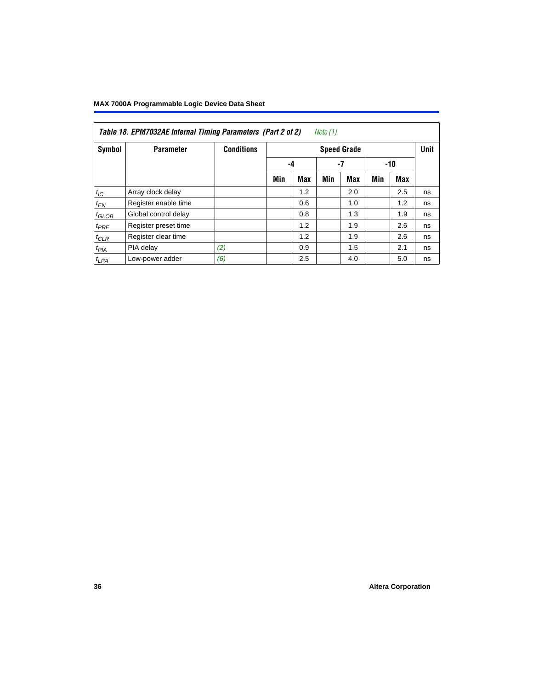|            | Table 18. EPM7032AE Internal Timing Parameters (Part 2 of 2)<br>Note (1) |                   |     |            |     |                    |     |     |             |  |
|------------|--------------------------------------------------------------------------|-------------------|-----|------------|-----|--------------------|-----|-----|-------------|--|
| Symbol     | <b>Parameter</b>                                                         | <b>Conditions</b> |     |            |     | <b>Speed Grade</b> |     |     | <b>Unit</b> |  |
|            |                                                                          |                   |     | -4         |     | -7                 |     | -10 |             |  |
|            |                                                                          |                   | Min | <b>Max</b> | Min | <b>Max</b>         | Min | Max |             |  |
| $t_{IC}$   | Array clock delay                                                        |                   |     | 1.2        |     | 2.0                |     | 2.5 | ns          |  |
| $t_{EN}$   | Register enable time                                                     |                   |     | 0.6        |     | 1.0                |     | 1.2 | ns          |  |
| $t_{GLOB}$ | Global control delay                                                     |                   |     | 0.8        |     | 1.3                |     | 1.9 | ns          |  |
| $t_{PRE}$  | Register preset time                                                     |                   |     | 1.2        |     | 1.9                |     | 2.6 | ns          |  |
| $t_{CLR}$  | Register clear time                                                      |                   |     | 1.2        |     | 1.9                |     | 2.6 | ns          |  |
| $t_{PIA}$  | PIA delay                                                                | (2)               |     | 0.9        |     | 1.5                |     | 2.1 | ns          |  |
| $t_{LPA}$  | Low-power adder                                                          | (6)               |     | 2.5        |     | 4.0                |     | 5.0 | ns          |  |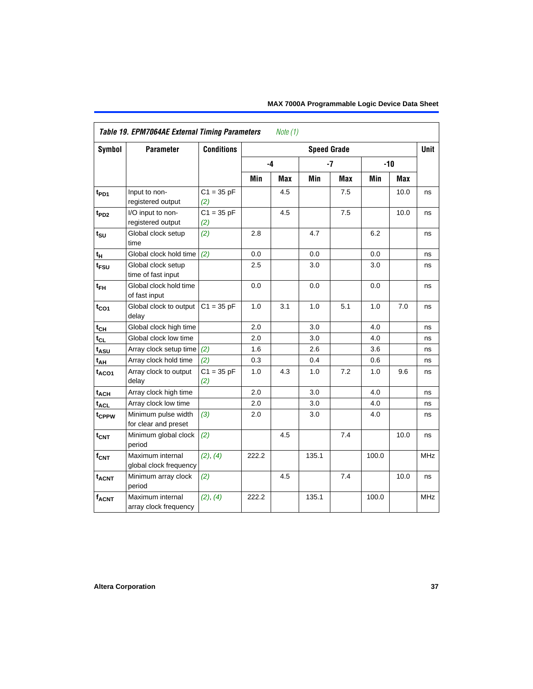|                             | Table 19. EPM7064AE External Timing Parameters<br>Note $(1)$ |                     |       |            |                    |      |       |       |            |  |  |
|-----------------------------|--------------------------------------------------------------|---------------------|-------|------------|--------------------|------|-------|-------|------------|--|--|
| Symbol                      | <b>Parameter</b>                                             | <b>Conditions</b>   |       |            | <b>Speed Grade</b> |      |       |       | Unit       |  |  |
|                             |                                                              |                     | $-4$  |            |                    | $-7$ |       | $-10$ |            |  |  |
|                             |                                                              |                     | Min   | <b>Max</b> | Min                | Max  | Min   | Max   |            |  |  |
| t <sub>PD1</sub>            | Input to non-<br>registered output                           | $C1 = 35 pF$<br>(2) |       | 4.5        |                    | 7.5  |       | 10.0  | ns         |  |  |
| $t_{PD2}$                   | I/O input to non-<br>registered output                       | $C1 = 35 pF$<br>(2) |       | 4.5        |                    | 7.5  |       | 10.0  | ns         |  |  |
| $t_{\scriptstyle\text{SU}}$ | Global clock setup<br>time                                   | (2)                 | 2.8   |            | 4.7                |      | 6.2   |       | ns         |  |  |
| t <sub>H</sub>              | Global clock hold time                                       | (2)                 | 0.0   |            | 0.0                |      | 0.0   |       | ns         |  |  |
| t <sub>FSU</sub>            | Global clock setup<br>time of fast input                     |                     | 2.5   |            | 3.0                |      | 3.0   |       | ns         |  |  |
| $t_{FH}$                    | Global clock hold time<br>of fast input                      |                     | 0.0   |            | 0.0                |      | 0.0   |       | ns         |  |  |
| $t_{CO1}$                   | Global clock to output<br>delay                              | $C1 = 35 pF$        | 1.0   | 3.1        | 1.0                | 5.1  | 1.0   | 7.0   | ns         |  |  |
| $t_{CH}$                    | Global clock high time                                       |                     | 2.0   |            | 3.0                |      | 4.0   |       | ns         |  |  |
| $t_{CL}$                    | Global clock low time                                        |                     | 2.0   |            | 3.0                |      | 4.0   |       | ns         |  |  |
| t <sub>ASU</sub>            | Array clock setup time                                       | (2)                 | 1.6   |            | 2.6                |      | 3.6   |       | ns         |  |  |
| $t_{AH}$                    | Array clock hold time                                        | (2)                 | 0.3   |            | 0.4                |      | 0.6   |       | ns         |  |  |
| $t_{ACO1}$                  | Array clock to output<br>delay                               | $C1 = 35 pF$<br>(2) | 1.0   | 4.3        | 1.0                | 7.2  | 1.0   | 9.6   | ns         |  |  |
| $t_{ACH}$                   | Array clock high time                                        |                     | 2.0   |            | 3.0                |      | 4.0   |       | ns         |  |  |
| t <sub>ACL</sub>            | Array clock low time                                         |                     | 2.0   |            | 3.0                |      | 4.0   |       | ns         |  |  |
| t <sub>CPPW</sub>           | Minimum pulse width<br>for clear and preset                  | (3)                 | 2.0   |            | 3.0                |      | 4.0   |       | ns         |  |  |
| $t_{\text{CNT}}$            | Minimum global clock<br>period                               | (2)                 |       | 4.5        |                    | 7.4  |       | 10.0  | ns         |  |  |
| $f_{\text{CNT}}$            | Maximum internal<br>global clock frequency                   | (2), (4)            | 222.2 |            | 135.1              |      | 100.0 |       | <b>MHz</b> |  |  |
| $t_{ACNT}$                  | Minimum array clock<br>period                                | (2)                 |       | 4.5        |                    | 7.4  |       | 10.0  | ns         |  |  |
| $f_{ACNT}$                  | Maximum internal<br>array clock frequency                    | (2), (4)            | 222.2 |            | 135.1              |      | 100.0 |       | <b>MHz</b> |  |  |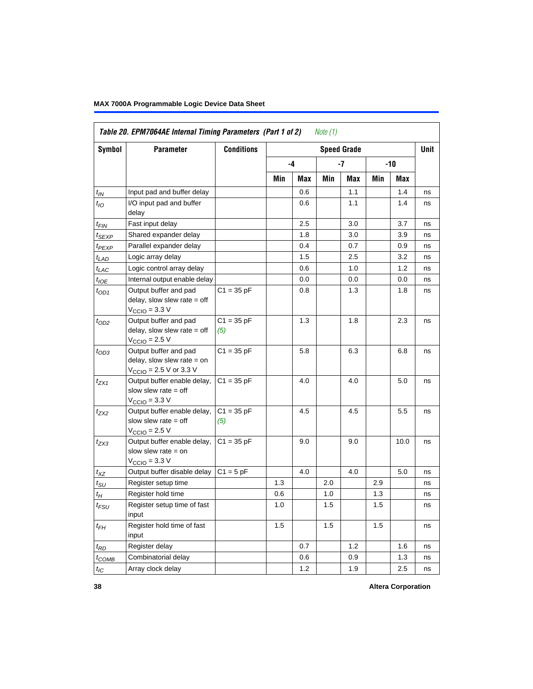|                    | Table 20. EPM7064AE Internal Timing Parameters (Part 1 of 2)                                |                     |     |      | Note (1) |                    |     |            |             |
|--------------------|---------------------------------------------------------------------------------------------|---------------------|-----|------|----------|--------------------|-----|------------|-------------|
| <b>Symbol</b>      | <b>Parameter</b>                                                                            | <b>Conditions</b>   |     |      |          | <b>Speed Grade</b> |     |            | <b>Unit</b> |
|                    |                                                                                             |                     |     | $-4$ |          | -7                 |     | -10        |             |
|                    |                                                                                             |                     | Min | Max  | Min      | Max                | Min | <b>Max</b> |             |
| $t_{IN}$           | Input pad and buffer delay                                                                  |                     |     | 0.6  |          | 1.1                |     | 1.4        | ns          |
| $t_{IO}$           | I/O input pad and buffer<br>delay                                                           |                     |     | 0.6  |          | 1.1                |     | 1.4        | ns          |
| $t_{\sf FIN}$      | Fast input delay                                                                            |                     |     | 2.5  |          | 3.0                |     | 3.7        | ns          |
| $t_{SEXP}$         | Shared expander delay                                                                       |                     |     | 1.8  |          | 3.0                |     | 3.9        | ns          |
| t <sub>PEXP</sub>  | Parallel expander delay                                                                     |                     |     | 0.4  |          | 0.7                |     | 0.9        | ns          |
| $t_{LAD}$          | Logic array delay                                                                           |                     |     | 1.5  |          | 2.5                |     | 3.2        | ns          |
| $t_{LAC}$          | Logic control array delay                                                                   |                     |     | 0.6  |          | 1.0                |     | 1.2        | ns          |
| $t_{IOE}$          | Internal output enable delay                                                                |                     |     | 0.0  |          | 0.0                |     | 0.0        | ns          |
| $t_{OD1}$          | Output buffer and pad<br>delay, slow slew rate $=$ off<br>$V_{\text{CCIO}} = 3.3 \text{ V}$ | $C1 = 35 pF$        |     | 0.8  |          | 1.3                |     | 1.8        | ns          |
| $t_{OD2}$          | Output buffer and pad<br>delay, slow slew rate $=$ off<br>$V_{\text{CCIO}}$ = 2.5 V         | $C1 = 35 pF$<br>(5) |     | 1.3  |          | 1.8                |     | 2.3        | ns          |
| $t_{OD3}$          | Output buffer and pad<br>delay, slow slew rate $=$ on<br>$V_{\text{CCIO}}$ = 2.5 V or 3.3 V | $C1 = 35 pF$        |     | 5.8  |          | 6.3                |     | 6.8        | ns          |
| $t_{ZX1}$          | Output buffer enable delay,<br>slow slew rate $=$ off<br>$V_{\text{CCIO}} = 3.3 \text{ V}$  | $C1 = 35 pF$        |     | 4.0  |          | 4.0                |     | 5.0        | ns          |
| $t_{ZX2}$          | Output buffer enable delay,<br>slow slew rate $=$ off<br>$V_{\text{CCIO}} = 2.5 V$          | $C1 = 35 pF$<br>(5) |     | 4.5  |          | 4.5                |     | 5.5        | ns          |
| $t_{ZX3}$          | Output buffer enable delay,<br>slow slew rate $=$ on<br>$V_{\text{CCIO}} = 3.3 \text{ V}$   | $C1 = 35 pF$        |     | 9.0  |          | 9.0                |     | 10.0       | ns          |
| $t_{XZ}$           | Output buffer disable delay                                                                 | $C1 = 5pF$          |     | 4.0  |          | 4.0                |     | 5.0        | ns          |
| $t_{\text{SU}}$    | Register setup time                                                                         |                     | 1.3 |      | 2.0      |                    | 2.9 |            | ns          |
| $t_H$              | Register hold time                                                                          |                     | 0.6 |      | 1.0      |                    | 1.3 |            | ns          |
| $t_{\mathit{FSU}}$ | Register setup time of fast<br>input                                                        |                     | 1.0 |      | 1.5      |                    | 1.5 |            | ns          |
| $t_{FH}$           | Register hold time of fast<br>input                                                         |                     | 1.5 |      | 1.5      |                    | 1.5 |            | ns          |
| $t_{RD}$           | Register delay                                                                              |                     |     | 0.7  |          | 1.2                |     | 1.6        | ns          |
| $t_{COMB}$         | Combinatorial delay                                                                         |                     |     | 0.6  |          | 0.9                |     | 1.3        | ns          |
| $t_{IC}$           | Array clock delay                                                                           |                     |     | 1.2  |          | 1.9                |     | 2.5        | ns          |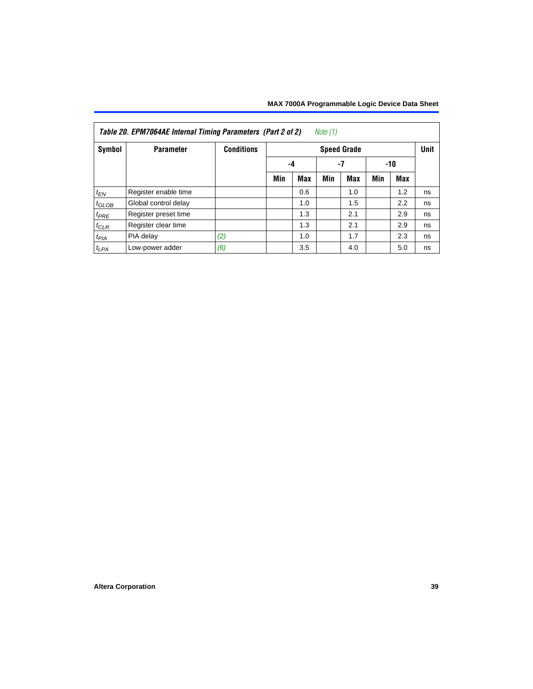| Note (1)<br>Table 20. EPM7064AE Internal Timing Parameters (Part 2 of 2) |                      |                   |     |     |             |            |       |     |    |
|--------------------------------------------------------------------------|----------------------|-------------------|-----|-----|-------------|------------|-------|-----|----|
| Symbol                                                                   | <b>Parameter</b>     | <b>Conditions</b> |     |     | <b>Unit</b> |            |       |     |    |
|                                                                          |                      |                   | -4  |     | -7          |            | $-10$ |     |    |
|                                                                          |                      |                   | Min | Max | Min         | <b>Max</b> | Min   | Max |    |
| $t_{EN}$                                                                 | Register enable time |                   |     | 0.6 |             | 1.0        |       | 1.2 | ns |
| $t_{\text{GLOB}}$                                                        | Global control delay |                   |     | 1.0 |             | 1.5        |       | 2.2 | ns |
| $t_{PRE}$                                                                | Register preset time |                   |     | 1.3 |             | 2.1        |       | 2.9 | ns |
| $t_{CLR}$                                                                | Register clear time  |                   |     | 1.3 |             | 2.1        |       | 2.9 | ns |
| $t_{PIA}$                                                                | PIA delay            | (2)               |     | 1.0 |             | 1.7        |       | 2.3 | ns |
| $t_{LPA}$                                                                | Low-power adder      | (6)               |     | 3.5 |             | 4.0        |       | 5.0 | ns |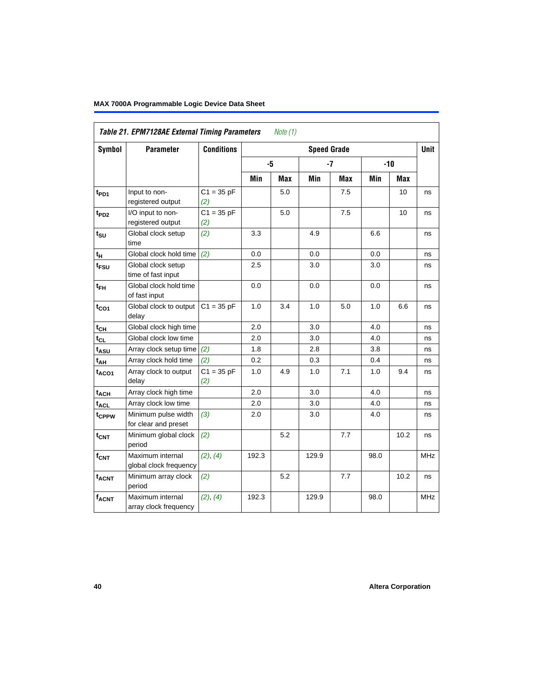| Symbol            | <b>Parameter</b>                            | <b>Conditions</b>   |       |            | <b>Speed Grade</b> |            |      |            | <b>Unit</b> |
|-------------------|---------------------------------------------|---------------------|-------|------------|--------------------|------------|------|------------|-------------|
|                   |                                             |                     | -5    |            |                    | $-7$       |      | $-10$      |             |
|                   |                                             |                     | Min   | <b>Max</b> | Min                | <b>Max</b> | Min  | <b>Max</b> |             |
| t <sub>PD1</sub>  | Input to non-<br>registered output          | $C1 = 35 pF$<br>(2) |       | 5.0        |                    | 7.5        |      | 10         | ns          |
| t <sub>PD2</sub>  | I/O input to non-<br>registered output      | $C1 = 35 pF$<br>(2) |       | 5.0        |                    | 7.5        |      | 10         | ns          |
| $t_{\text{SU}}$   | Global clock setup<br>time                  | (2)                 | 3.3   |            | 4.9                |            | 6.6  |            | ns          |
| $t_H$             | Global clock hold time                      | (2)                 | 0.0   |            | 0.0                |            | 0.0  |            | ns          |
| t <sub>FSU</sub>  | Global clock setup<br>time of fast input    |                     | 2.5   |            | 3.0                |            | 3.0  |            | ns          |
| $t_{FH}$          | Global clock hold time<br>of fast input     |                     | 0.0   |            | 0.0                |            | 0.0  |            | ns          |
| $t_{CO1}$         | Global clock to output<br>delay             | $C1 = 35 pF$        | 1.0   | 3.4        | 1.0                | 5.0        | 1.0  | 6.6        | ns          |
| $t_{CH}$          | Global clock high time                      |                     | 2.0   |            | 3.0                |            | 4.0  |            | ns          |
| $t_{CL}$          | Global clock low time                       |                     | 2.0   |            | 3.0                |            | 4.0  |            | ns          |
| t <sub>ASU</sub>  | Array clock setup time                      | (2)                 | 1.8   |            | 2.8                |            | 3.8  |            | ns          |
| $t_{AH}$          | Array clock hold time                       | (2)                 | 0.2   |            | 0.3                |            | 0.4  |            | ns          |
| t <sub>ACO1</sub> | Array clock to output<br>delay              | $C1 = 35 pF$<br>(2) | 1.0   | 4.9        | 1.0                | 7.1        | 1.0  | 9.4        | ns          |
| $t_{ACH}$         | Array clock high time                       |                     | 2.0   |            | 3.0                |            | 4.0  |            | ns          |
| t <sub>ACL</sub>  | Array clock low time                        |                     | 2.0   |            | 3.0                |            | 4.0  |            | ns          |
| t <sub>CPPW</sub> | Minimum pulse width<br>for clear and preset | (3)                 | 2.0   |            | 3.0                |            | 4.0  |            | ns          |
| $t_{\text{CNT}}$  | Minimum global clock<br>period              | (2)                 |       | 5.2        |                    | 7.7        |      | 10.2       | ns          |
| f <sub>CNT</sub>  | Maximum internal<br>global clock frequency  | (2), (4)            | 192.3 |            | 129.9              |            | 98.0 |            | MHz         |
| $t_{ACNT}$        | Minimum array clock<br>period               | (2)                 |       | 5.2        |                    | 7.7        |      | 10.2       | ns          |
| <b>fACNT</b>      | Maximum internal<br>array clock frequency   | (2), (4)            | 192.3 |            | 129.9              |            | 98.0 |            | <b>MHz</b>  |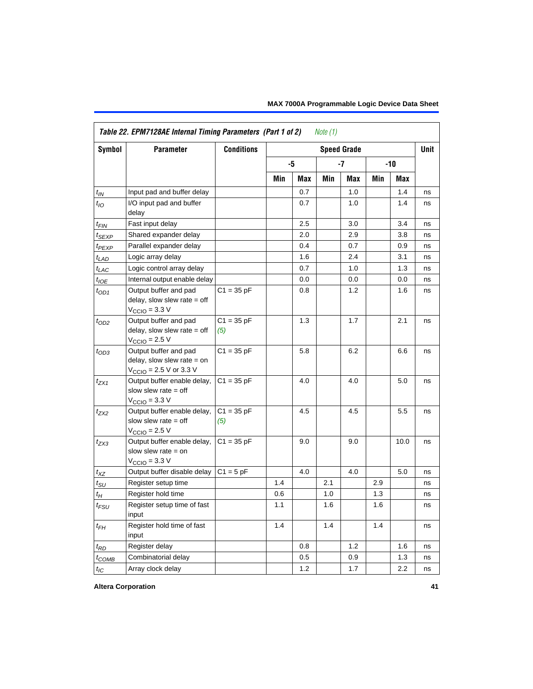|                    | Table 22. EPM7128AE Internal Timing Parameters (Part 1 of 2)                                |                     |     |            | Note (1) |                    |     |            |             |
|--------------------|---------------------------------------------------------------------------------------------|---------------------|-----|------------|----------|--------------------|-----|------------|-------------|
| Symbol             | <b>Parameter</b>                                                                            | <b>Conditions</b>   |     |            |          | <b>Speed Grade</b> |     |            | <b>Unit</b> |
|                    |                                                                                             |                     |     | -5         |          | $-7$               |     | $-10$      |             |
|                    |                                                                                             |                     | Min | <b>Max</b> | Min      | Max                | Min | <b>Max</b> |             |
| $t_{IN}$           | Input pad and buffer delay                                                                  |                     |     | 0.7        |          | 1.0                |     | 1.4        | ns          |
| $t_{IO}$           | I/O input pad and buffer<br>delay                                                           |                     |     | 0.7        |          | 1.0                |     | 1.4        | ns          |
| $t_{\sf FIN}$      | Fast input delay                                                                            |                     |     | 2.5        |          | 3.0                |     | 3.4        | ns          |
| $t_{SEXP}$         | Shared expander delay                                                                       |                     |     | 2.0        |          | 2.9                |     | 3.8        | ns          |
| t <sub>PEXP</sub>  | Parallel expander delay                                                                     |                     |     | 0.4        |          | 0.7                |     | 0.9        | ns          |
| $t_{LAD}$          | Logic array delay                                                                           |                     |     | 1.6        |          | 2.4                |     | 3.1        | ns          |
| $t_{LAC}$          | Logic control array delay                                                                   |                     |     | 0.7        |          | 1.0                |     | 1.3        | ns          |
| $t_{IOE}$          | Internal output enable delay                                                                |                     |     | 0.0        |          | 0.0                |     | 0.0        | ns          |
| $t_{OD1}$          | Output buffer and pad<br>delay, slow slew rate $=$ off<br>$V_{\text{CCIO}} = 3.3 \text{ V}$ | $C1 = 35 pF$        |     | 0.8        |          | 1.2                |     | 1.6        | ns          |
| $t_{OD2}$          | Output buffer and pad<br>delay, slow slew rate $=$ off<br>$V_{\text{CCIO}}$ = 2.5 V         | $C1 = 35 pF$<br>(5) |     | 1.3        |          | 1.7                |     | 2.1        | ns          |
| $t_{OD3}$          | Output buffer and pad<br>delay, slow slew rate $=$ on<br>$V_{\text{CCIO}}$ = 2.5 V or 3.3 V | $C1 = 35 pF$        |     | 5.8        |          | 6.2                |     | 6.6        | ns          |
| $t_{ZX1}$          | Output buffer enable delay,<br>slow slew rate $=$ off<br>$V_{\text{CCIO}} = 3.3 \text{ V}$  | $C1 = 35 pF$        |     | 4.0        |          | 4.0                |     | 5.0        | ns          |
| t <sub>ZX2</sub>   | Output buffer enable delay,<br>slow slew rate $=$ off<br>$VCCIO = 2.5 V$                    | $C1 = 35 pF$<br>(5) |     | 4.5        |          | 4.5                |     | 5.5        | ns          |
| $t_{ZX3}$          | Output buffer enable delay,<br>slow slew rate $=$ on<br>$V_{\text{CCIO}} = 3.3 \text{ V}$   | $C1 = 35 pF$        |     | 9.0        |          | 9.0                |     | 10.0       | ns          |
| $t_{XZ}$           | Output buffer disable delay                                                                 | $C1 = 5$ pF         |     | 4.0        |          | 4.0                |     | 5.0        | ns          |
| $t_{\rm SU}$       | Register setup time                                                                         |                     | 1.4 |            | 2.1      |                    | 2.9 |            | ns          |
| $t_{H}$            | Register hold time                                                                          |                     | 0.6 |            | 1.0      |                    | 1.3 |            | ns          |
| $t_{\mathit{FSU}}$ | Register setup time of fast<br>input                                                        |                     | 1.1 |            | 1.6      |                    | 1.6 |            | ns          |
| $t_{FH}$           | Register hold time of fast<br>input                                                         |                     | 1.4 |            | 1.4      |                    | 1.4 |            | ns          |
| $t_{RD}$           | Register delay                                                                              |                     |     | 0.8        |          | 1.2                |     | 1.6        | ns          |
| $t_{COMB}$         | Combinatorial delay                                                                         |                     |     | 0.5        |          | 0.9                |     | 1.3        | ns          |
| $t_{IC}$           | Array clock delay                                                                           |                     |     | 1.2        |          | 1.7                |     | 2.2        | ns          |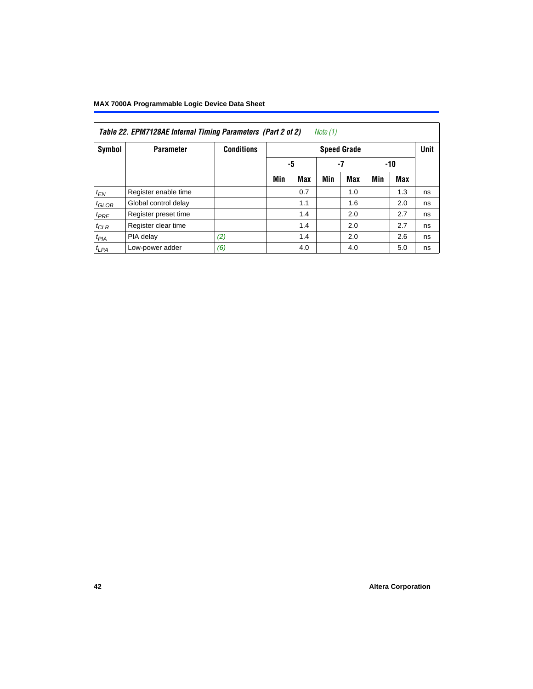| Table 22. EPM7128AE Internal Timing Parameters (Part 2 of 2)<br>Note (1) |                      |                   |     |     |             |     |       |     |    |  |  |
|--------------------------------------------------------------------------|----------------------|-------------------|-----|-----|-------------|-----|-------|-----|----|--|--|
| Symbol                                                                   | <b>Parameter</b>     | <b>Conditions</b> |     |     | <b>Unit</b> |     |       |     |    |  |  |
|                                                                          |                      |                   | -5  |     | $-7$        |     | $-10$ |     |    |  |  |
|                                                                          |                      |                   | Min | Max | Min         | Max | Min   | Max |    |  |  |
| $t_{EN}$                                                                 | Register enable time |                   |     | 0.7 |             | 1.0 |       | 1.3 | ns |  |  |
| $t_{GLOB}$                                                               | Global control delay |                   |     | 1.1 |             | 1.6 |       | 2.0 | ns |  |  |
| $t_{PRE}$                                                                | Register preset time |                   |     | 1.4 |             | 2.0 |       | 2.7 | ns |  |  |
| $t_{CLR}$                                                                | Register clear time  |                   |     | 1.4 |             | 2.0 |       | 2.7 | ns |  |  |
| t <sub>PIA</sub>                                                         | PIA delay            | (2)               |     | 1.4 |             | 2.0 |       | 2.6 | ns |  |  |
| $t_{LPA}$                                                                | Low-power adder      | (6)               |     | 4.0 |             | 4.0 |       | 5.0 | ns |  |  |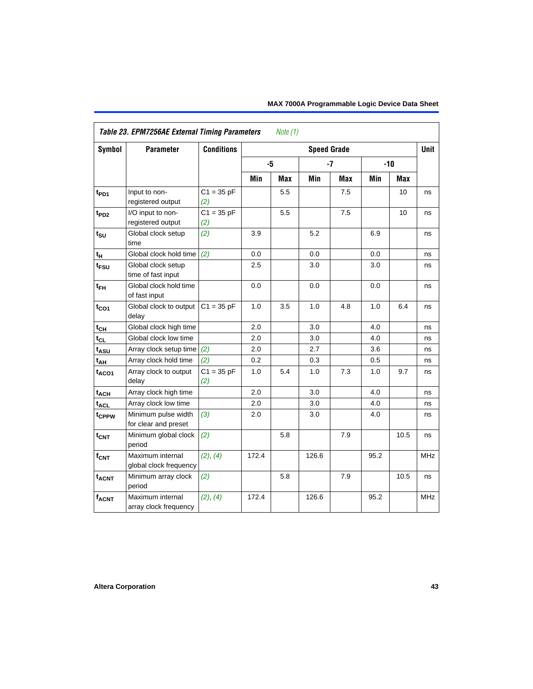|                  | Table 23. EPM7256AE External Timing Parameters |                     |       | Note $(1)$ |                    |      |      |       |            |
|------------------|------------------------------------------------|---------------------|-------|------------|--------------------|------|------|-------|------------|
| Symbol           | <b>Parameter</b>                               | <b>Conditions</b>   |       |            | <b>Speed Grade</b> |      |      |       | Unit       |
|                  |                                                |                     |       | -5         |                    | $-7$ |      | $-10$ |            |
|                  |                                                |                     | Min   | Max        | Min                | Max  | Min  | Max   |            |
| $t_{PD1}$        | Input to non-<br>registered output             | $C1 = 35 pF$<br>(2) |       | 5.5        |                    | 7.5  |      | 10    | ns         |
| t <sub>PD2</sub> | I/O input to non-<br>registered output         | $C1 = 35 pF$<br>(2) |       | 5.5        |                    | 7.5  |      | 10    | ns         |
| $t_{\rm SU}$     | Global clock setup<br>time                     | (2)                 | 3.9   |            | 5.2                |      | 6.9  |       | ns         |
| tμ               | Global clock hold time                         | (2)                 | 0.0   |            | 0.0                |      | 0.0  |       | ns         |
| t <sub>FSU</sub> | Global clock setup<br>time of fast input       |                     | 2.5   |            | 3.0                |      | 3.0  |       | ns         |
| $t_{FH}$         | Global clock hold time<br>of fast input        |                     | 0.0   |            | 0.0                |      | 0.0  |       | ns         |
| $t_{CO1}$        | Global clock to output<br>delay                | $C1 = 35 pF$        | 1.0   | 3.5        | 1.0                | 4.8  | 1.0  | 6.4   | ns         |
| $t_{CH}$         | Global clock high time                         |                     | 2.0   |            | 3.0                |      | 4.0  |       | ns         |
| $t_{CL}$         | Global clock low time                          |                     | 2.0   |            | 3.0                |      | 4.0  |       | ns         |
| t <sub>ASU</sub> | Array clock setup time                         | (2)                 | 2.0   |            | 2.7                |      | 3.6  |       | ns         |
| $t_{AH}$         | Array clock hold time                          | (2)                 | 0.2   |            | 0.3                |      | 0.5  |       | ns         |
| $t_{ACO1}$       | Array clock to output<br>delay                 | $C1 = 35 pF$<br>(2) | 1.0   | 5.4        | 1.0                | 7.3  | 1.0  | 9.7   | ns         |
| $t_{ACH}$        | Array clock high time                          |                     | 2.0   |            | 3.0                |      | 4.0  |       | ns         |
| t <sub>ACL</sub> | Array clock low time                           |                     | 2.0   |            | 3.0                |      | 4.0  |       | ns         |
| tcppw            | Minimum pulse width<br>for clear and preset    | (3)                 | 2.0   |            | 3.0                |      | 4.0  |       | ns         |
| $t_{\text{CNT}}$ | Minimum global clock<br>period                 | (2)                 |       | 5.8        |                    | 7.9  |      | 10.5  | ns         |
| $f_{CNT}$        | Maximum internal<br>global clock frequency     | (2), (4)            | 172.4 |            | 126.6              |      | 95.2 |       | <b>MHz</b> |
| $t_{ACNT}$       | Minimum array clock<br>period                  | (2)                 |       | 5.8        |                    | 7.9  |      | 10.5  | ns         |
| $f_{ACNT}$       | Maximum internal<br>array clock frequency      | (2), (4)            | 172.4 |            | 126.6              |      | 95.2 |       | <b>MHz</b> |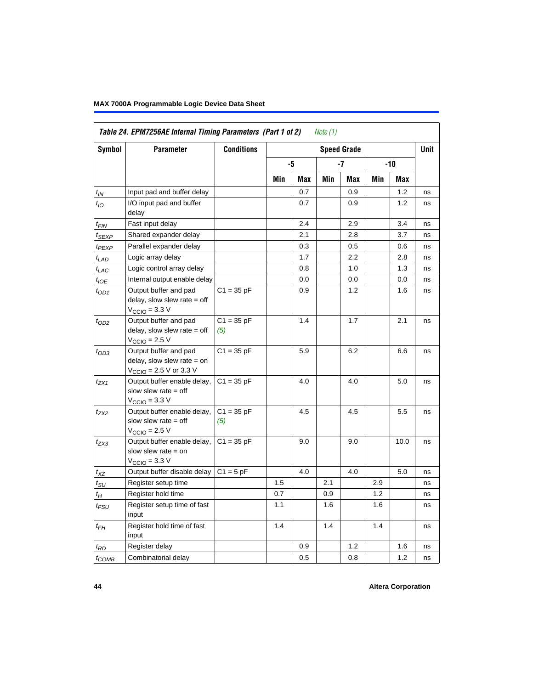| Symbol                      | <b>Parameter</b>                                                                                             | <b>Conditions</b>   |     |     |     | <b>Speed Grade</b> |     |       | Unit |
|-----------------------------|--------------------------------------------------------------------------------------------------------------|---------------------|-----|-----|-----|--------------------|-----|-------|------|
|                             |                                                                                                              |                     |     | -5  |     | -7                 |     | $-10$ |      |
|                             |                                                                                                              |                     | Min | Max | Min | Max                | Min | Max   |      |
| $t_{IN}$                    | Input pad and buffer delay                                                                                   |                     |     | 0.7 |     | 0.9                |     | 1.2   | ns   |
| $t_{IO}$                    | I/O input pad and buffer<br>delay                                                                            |                     |     | 0.7 |     | 0.9                |     | 1.2   | ns   |
| t <sub>FIN</sub>            | Fast input delay                                                                                             |                     |     | 2.4 |     | 2.9                |     | 3.4   | ns   |
| $t_{SEXP}$                  | Shared expander delay                                                                                        |                     |     | 2.1 |     | 2.8                |     | 3.7   | ns   |
| t <sub>PEXP</sub>           | Parallel expander delay                                                                                      |                     |     | 0.3 |     | 0.5                |     | 0.6   | ns   |
| t <sub>LAD</sub>            | Logic array delay                                                                                            |                     |     | 1.7 |     | 2.2                |     | 2.8   | ns   |
| $t_{LAC}$                   | Logic control array delay                                                                                    |                     |     | 0.8 |     | 1.0                |     | 1.3   | ns   |
| $t_{\text{IOE}}$            | Internal output enable delay                                                                                 |                     |     | 0.0 |     | 0.0                |     | 0.0   | ns   |
| $t_{OD1}$                   | Output buffer and pad<br>delay, slow slew rate $=$ off<br>$V_{\text{CCIO}} = 3.3 \text{ V}$                  | $C1 = 35 pF$        |     | 0.9 |     | 1.2                |     | 1.6   | ns   |
| $t_{OD2}$                   | Output buffer and pad<br>delay, slow slew rate $=$ off<br>$V_{\text{CCIO}} = 2.5 V$                          | $C1 = 35 pF$<br>(5) |     | 1.4 |     | 1.7                |     | 2.1   | ns   |
| $t_{OD3}$                   | Output buffer and pad<br>delay, slow slew rate $=$ on<br>$V_{\text{CCIO}} = 2.5 \text{ V or } 3.3 \text{ V}$ | $C1 = 35 pF$        |     | 5.9 |     | 6.2                |     | 6.6   | ns   |
| $t_{ZX1}$                   | Output buffer enable delay,<br>slow slew rate $=$ off<br>$V_{\text{CCIO}} = 3.3 \text{ V}$                   | $C1 = 35 pF$        |     | 4.0 |     | 4.0                |     | 5.0   | ns   |
| t <sub>ZX2</sub>            | Output buffer enable delay,<br>slow slew rate $=$ off<br>$V_{\text{CCIO}} = 2.5 V$                           | $C1 = 35 pF$<br>(5) |     | 4.5 |     | 4.5                |     | 5.5   | ns   |
| $t_{ZX3}$                   | Output buffer enable delay,<br>slow slew rate $=$ on<br>$V_{\text{CCIO}} = 3.3 \text{ V}$                    | $C1 = 35 pF$        |     | 9.0 |     | 9.0                |     | 10.0  | ns   |
| $t_{XZ}$                    | Output buffer disable delay                                                                                  | $C1 = 5pF$          |     | 4.0 |     | 4.0                |     | 5.0   | ns   |
| $t_{\scriptstyle\text{SU}}$ | Register setup time                                                                                          |                     | 1.5 |     | 2.1 |                    | 2.9 |       | ns   |
| t <sub>Η</sub>              | Register hold time                                                                                           |                     | 0.7 |     | 0.9 |                    | 1.2 |       | ns   |
| $t_{FSU}$                   | Register setup time of fast<br>input                                                                         |                     | 1.1 |     | 1.6 |                    | 1.6 |       | ns   |
| $t_{FH}$                    | Register hold time of fast<br>input                                                                          |                     | 1.4 |     | 1.4 |                    | 1.4 |       | ns   |
| $t_{RD}$                    | Register delay                                                                                               |                     |     | 0.9 |     | 1.2                |     | 1.6   | ns   |
| $t_{COMB}$                  | Combinatorial delay                                                                                          |                     |     | 0.5 |     | 0.8                |     | 1.2   | ns   |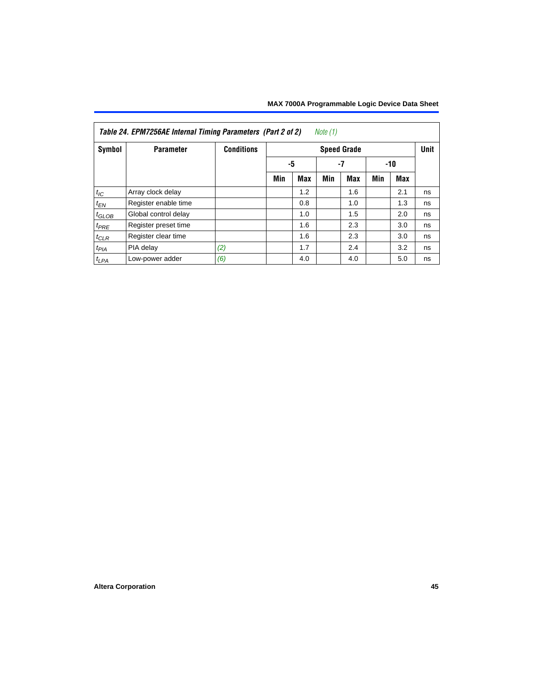|                   | Table 24. EPM7256AE Internal Timing Parameters (Part 2 of 2) |                   |     |            | Note $(1)$ |                    |     |     |             |
|-------------------|--------------------------------------------------------------|-------------------|-----|------------|------------|--------------------|-----|-----|-------------|
| Symbol            | <b>Parameter</b>                                             | <b>Conditions</b> |     |            |            | <b>Speed Grade</b> |     |     | <b>Unit</b> |
|                   |                                                              |                   | -5  |            |            | -7                 |     | -10 |             |
|                   |                                                              |                   | Min | <b>Max</b> | Min        | Max                | Min | Max |             |
| $t_{IC}$          | Array clock delay                                            |                   |     | 1.2        |            | 1.6                |     | 2.1 | ns          |
| $t_{EN}$          | Register enable time                                         |                   |     | 0.8        |            | 1.0                |     | 1.3 | ns          |
| $t_{\text{GLOB}}$ | Global control delay                                         |                   |     | 1.0        |            | 1.5                |     | 2.0 | ns          |
| $t_{PRE}$         | Register preset time                                         |                   |     | 1.6        |            | 2.3                |     | 3.0 | ns          |
| $t_{CLR}$         | Register clear time                                          |                   |     | 1.6        |            | 2.3                |     | 3.0 | ns          |
| $t_{PIA}$         | PIA delay                                                    | (2)               |     | 1.7        |            | 2.4                |     | 3.2 | ns          |
| $t_{LPA}$         | Low-power adder                                              | (6)               |     | 4.0        |            | 4.0                |     | 5.0 | ns          |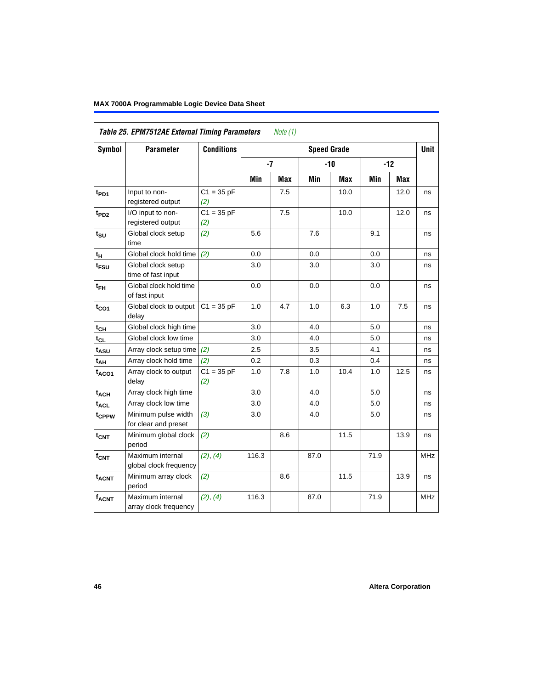|                          | Table 25. EPM7512AE External Timing Parameters | <b>Conditions</b>              |       | <i>Note</i> $(1)$ |                    |            |      |            | <b>Unit</b> |
|--------------------------|------------------------------------------------|--------------------------------|-------|-------------------|--------------------|------------|------|------------|-------------|
| Symbol                   | <b>Parameter</b>                               |                                |       |                   | <b>Speed Grade</b> |            |      |            |             |
|                          |                                                |                                | $-7$  |                   |                    | $-10$      |      | $-12$      |             |
|                          |                                                |                                | Min   | <b>Max</b>        | Min                | <b>Max</b> | Min  | <b>Max</b> |             |
| t <sub>PD1</sub>         | Input to non-<br>registered output             | $C1 = 35 pF$<br>(2)            |       | 7.5               |                    | 10.0       |      | 12.0       | ns          |
| t <sub>PD2</sub>         | I/O input to non-<br>registered output         | $\overline{C1}$ = 35 pF<br>(2) |       | 7.5               |                    | 10.0       |      | 12.0       | ns          |
| $\mathbf{t}_{\text{SU}}$ | Global clock setup<br>time                     | (2)                            | 5.6   |                   | 7.6                |            | 9.1  |            | ns          |
| $t_H$                    | Global clock hold time                         | (2)                            | 0.0   |                   | 0.0                |            | 0.0  |            | ns          |
| t <sub>FSU</sub>         | Global clock setup<br>time of fast input       |                                | 3.0   |                   | 3.0                |            | 3.0  |            | ns          |
| $t_{FH}$                 | Global clock hold time<br>of fast input        |                                | 0.0   |                   | 0.0                |            | 0.0  |            | ns          |
| $t_{CO1}$                | Global clock to output<br>delay                | $C1 = 35 pF$                   | 1.0   | 4.7               | 1.0                | 6.3        | 1.0  | 7.5        | ns          |
| $t_{CH}$                 | Global clock high time                         |                                | 3.0   |                   | 4.0                |            | 5.0  |            | ns          |
| $t_{CL}$                 | Global clock low time                          |                                | 3.0   |                   | 4.0                |            | 5.0  |            | ns          |
| $t_{ASU}$                | Array clock setup time                         | (2)                            | 2.5   |                   | 3.5                |            | 4.1  |            | ns          |
| t <sub>АН</sub>          | Array clock hold time                          | (2)                            | 0.2   |                   | 0.3                |            | 0.4  |            | ns          |
| $t_{ACO1}$               | Array clock to output<br>delay                 | $C1 = 35 pF$<br>(2)            | 1.0   | 7.8               | $1.0$              | 10.4       | 1.0  | 12.5       | ns          |
| $t_{ACH}$                | Array clock high time                          |                                | 3.0   |                   | 4.0                |            | 5.0  |            | ns          |
| $t_{\text{ACL}}$         | Array clock low time                           |                                | 3.0   |                   | 4.0                |            | 5.0  |            | ns          |
| t <sub>CPPW</sub>        | Minimum pulse width<br>for clear and preset    | (3)                            | 3.0   |                   | 4.0                |            | 5.0  |            | ns          |
| t <sub>CNT</sub>         | Minimum global clock<br>period                 | (2)                            |       | 8.6               |                    | 11.5       |      | 13.9       | ns          |
| $f_{CNT}$                | Maximum internal<br>global clock frequency     | (2), (4)                       | 116.3 |                   | 87.0               |            | 71.9 |            | <b>MHz</b>  |
| <b>t<sub>ACNT</sub></b>  | Minimum array clock<br>period                  | (2)                            |       | 8.6               |                    | 11.5       |      | 13.9       | ns          |
| <b>fACNT</b>             | Maximum internal<br>array clock frequency      | (2), (4)                       | 116.3 |                   | 87.0               |            | 71.9 |            | <b>MHz</b>  |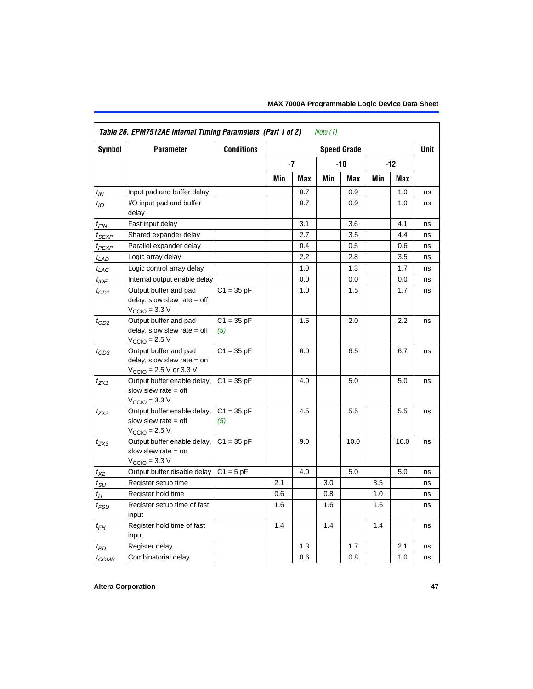| <b>Symbol</b>      | <b>Parameter</b>                                                                                             | <b>Conditions</b>   |     |      |     | <b>Speed Grade</b> |     |         | <b>Unit</b> |
|--------------------|--------------------------------------------------------------------------------------------------------------|---------------------|-----|------|-----|--------------------|-----|---------|-------------|
|                    |                                                                                                              |                     |     | $-7$ |     | -10                |     | $-12$   |             |
|                    |                                                                                                              |                     | Min | Max  | Min | Max                | Min | Max     |             |
| $t_{IN}$           | Input pad and buffer delay                                                                                   |                     |     | 0.7  |     | 0.9                |     | 1.0     | ns          |
| $t_{IO}$           | I/O input pad and buffer<br>delay                                                                            |                     |     | 0.7  |     | 0.9                |     | 1.0     | ns          |
| $t_{FIN}$          | Fast input delay                                                                                             |                     |     | 3.1  |     | 3.6                |     | 4.1     | ns          |
| $t_{SEXP}$         | Shared expander delay                                                                                        |                     |     | 2.7  |     | 3.5                |     | 4.4     | ns          |
| $t_{PEXP}$         | Parallel expander delay                                                                                      |                     |     | 0.4  |     | 0.5                |     | 0.6     | ns          |
| $t_{LAD}$          | Logic array delay                                                                                            |                     |     | 2.2  |     | 2.8                |     | 3.5     | ns          |
| $t_{LAC}$          | Logic control array delay                                                                                    |                     |     | 1.0  |     | 1.3                |     | 1.7     | ns          |
| $t_{IOE}$          | Internal output enable delay                                                                                 |                     |     | 0.0  |     | 0.0                |     | 0.0     | ns          |
| $t_{OD1}$          | Output buffer and pad<br>delay, slow slew rate $=$ off<br>$V_{\text{CCIO}} = 3.3 \text{ V}$                  | $C1 = 35 pF$        |     | 1.0  |     | 1.5                |     | 1.7     | ns          |
| $t_{OD2}$          | Output buffer and pad<br>delay, slow slew rate $=$ off<br>$VCCIO = 2.5 V$                                    | $C1 = 35 pF$<br>(5) |     | 1.5  |     | 2.0                |     | 2.2     | ns          |
| $t_{OD3}$          | Output buffer and pad<br>delay, slow slew rate $=$ on<br>$V_{\text{CCIO}} = 2.5 \text{ V or } 3.3 \text{ V}$ | $C1 = 35 pF$        |     | 6.0  |     | 6.5                |     | 6.7     | ns          |
| $t_{ZX1}$          | Output buffer enable delay,<br>slow slew rate $=$ off<br>$V_{\text{CCIO}} = 3.3 \text{ V}$                   | $C1 = 35 pF$        |     | 4.0  |     | 5.0                |     | 5.0     | ns          |
| $t_{ZX2}$          | Output buffer enable delay,<br>slow slew rate $=$ off<br>$V_{\text{CCIO}}$ = 2.5 V                           | $C1 = 35 pF$<br>(5) |     | 4.5  |     | 5.5                |     | 5.5     | ns          |
| $t_{ZX3}$          | Output buffer enable delay,<br>slow slew rate $=$ on<br>$VCCIO = 3.3 V$                                      | $C1 = 35 pF$        |     | 9.0  |     | 10.0               |     | 10.0    | ns          |
| $t_{XZ}$           | Output buffer disable delay                                                                                  | $C1 = 5$ pF         |     | 4.0  |     | 5.0                |     | $5.0\,$ | ns          |
| $t_{\text{SU}}$    | Register setup time                                                                                          |                     | 2.1 |      | 3.0 |                    | 3.5 |         | ns          |
| $t_H$              | Register hold time                                                                                           |                     | 0.6 |      | 0.8 |                    | 1.0 |         | ns          |
| $t_{\mathit{FSU}}$ | Register setup time of fast<br>input                                                                         |                     | 1.6 |      | 1.6 |                    | 1.6 |         | ns          |
| $t_{FH}$           | Register hold time of fast<br>input                                                                          |                     | 1.4 |      | 1.4 |                    | 1.4 |         | ns          |
| $t_{RD}$           | Register delay                                                                                               |                     |     | 1.3  |     | 1.7                |     | 2.1     | ns          |
| $t_{COMB}$         | Combinatorial delay                                                                                          |                     |     | 0.6  |     | 0.8                |     | 1.0     | ns          |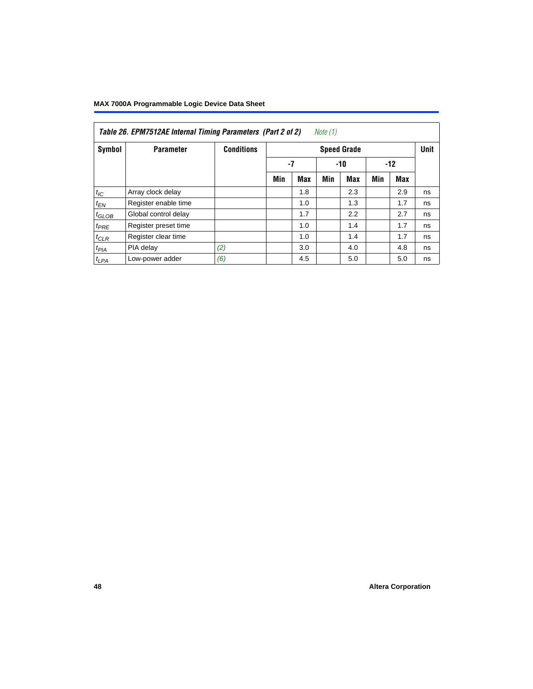|                   | Table 26. EPM7512AE Internal Timing Parameters (Part 2 of 2) |                   |     |            | Note (1) |                    |     |       |             |
|-------------------|--------------------------------------------------------------|-------------------|-----|------------|----------|--------------------|-----|-------|-------------|
| Symbol            | <b>Parameter</b>                                             | <b>Conditions</b> |     |            |          | <b>Speed Grade</b> |     |       | <b>Unit</b> |
|                   |                                                              |                   | -7  |            |          | $-10$              |     | $-12$ |             |
|                   |                                                              |                   | Min | <b>Max</b> | Min      | <b>Max</b>         | Min | Max   |             |
| $t_{IC}$          | Array clock delay                                            |                   |     | 1.8        |          | 2.3                |     | 2.9   | ns          |
| $t_{EN}$          | Register enable time                                         |                   |     | 1.0        |          | 1.3                |     | 1.7   | ns          |
| $t_{\text{GLOB}}$ | Global control delay                                         |                   |     | 1.7        |          | 2.2                |     | 2.7   | ns          |
| $t_{PRE}$         | Register preset time                                         |                   |     | 1.0        |          | 1.4                |     | 1.7   | ns          |
| $t_{CLR}$         | Register clear time                                          |                   |     | 1.0        |          | 1.4                |     | 1.7   | ns          |
| t <sub>PIA</sub>  | PIA delay                                                    | (2)               |     | 3.0        |          | 4.0                |     | 4.8   | ns          |
| $t_{LPA}$         | Low-power adder                                              | (6)               |     | 4.5        |          | 5.0                |     | 5.0   | ns          |

## **48 Altera Corporation**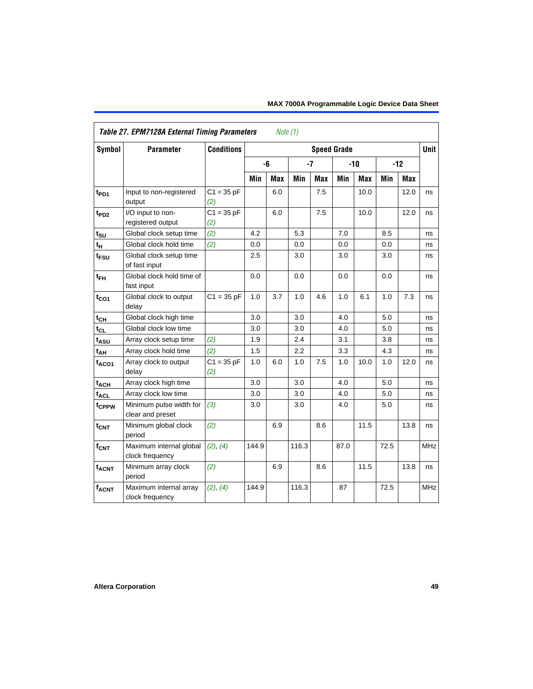|                   | <b>Table 27. EPM7128A External Timing Parameters</b> |                     |       | Note (1)   |       |            |                    |            |      |            |             |
|-------------------|------------------------------------------------------|---------------------|-------|------------|-------|------------|--------------------|------------|------|------------|-------------|
| Symbol            | <b>Parameter</b>                                     | <b>Conditions</b>   |       |            |       |            | <b>Speed Grade</b> |            |      |            | <b>Unit</b> |
|                   |                                                      |                     |       | -6         | $-7$  |            |                    | $-10$      |      | $-12$      |             |
|                   |                                                      |                     | Min   | <b>Max</b> | Min   | <b>Max</b> | Min                | <b>Max</b> | Min  | <b>Max</b> |             |
| t <sub>PD1</sub>  | Input to non-registered<br>output                    | $C1 = 35 pF$<br>(2) |       | 6.0        |       | 7.5        |                    | 10.0       |      | 12.0       | ns          |
| $t_{PD2}$         | I/O input to non-<br>registered output               | $C1 = 35 pF$<br>(2) |       | 6.0        |       | 7.5        |                    | 10.0       |      | 12.0       | ns          |
| t <sub>su</sub>   | Global clock setup time                              | (2)                 | 4.2   |            | 5.3   |            | 7.0                |            | 8.5  |            | ns          |
| t <sub>H</sub>    | Global clock hold time                               | (2)                 | 0.0   |            | 0.0   |            | 0.0                |            | 0.0  |            | ns          |
| t <sub>FSU</sub>  | Global clock setup time<br>of fast input             |                     | 2.5   |            | 3.0   |            | 3.0                |            | 3.0  |            | ns          |
| $t_{FH}$          | Global clock hold time of<br>fast input              |                     | 0.0   |            | 0.0   |            | 0.0                |            | 0.0  |            | ns          |
| $t_{CO1}$         | Global clock to output<br>delay                      | $C1 = 35 pF$        | 1.0   | 3.7        | 1.0   | 4.6        | 1.0                | 6.1        | 1.0  | 7.3        | ns          |
| $t_{\mathsf{CH}}$ | Global clock high time                               |                     | 3.0   |            | 3.0   |            | 4.0                |            | 5.0  |            | ns          |
| $t_{CL}$          | Global clock low time                                |                     | 3.0   |            | 3.0   |            | 4.0                |            | 5.0  |            | ns          |
| t <sub>ASU</sub>  | Array clock setup time                               | (2)                 | 1.9   |            | 2.4   |            | 3.1                |            | 3.8  |            | ns          |
| t <sub>АН</sub>   | Array clock hold time                                | (2)                 | 1.5   |            | 2.2   |            | 3.3                |            | 4.3  |            | ns          |
| t <sub>ACO1</sub> | Array clock to output<br>delay                       | $C1 = 35 pF$<br>(2) | 1.0   | 6.0        | 1.0   | 7.5        | 1.0                | 10.0       | 1.0  | 12.0       | ns          |
| $t_{ACH}$         | Array clock high time                                |                     | 3.0   |            | 3.0   |            | 4.0                |            | 5.0  |            | ns          |
| $t_{\sf ACL}$     | Array clock low time                                 |                     | 3.0   |            | 3.0   |            | 4.0                |            | 5.0  |            | ns          |
| t <sub>CPPW</sub> | Minimum pulse width for<br>clear and preset          | (3)                 | 3.0   |            | 3.0   |            | 4.0                |            | 5.0  |            | ns          |
| $t_{\text{CNT}}$  | Minimum global clock<br>period                       | (2)                 |       | 6.9        |       | 8.6        |                    | 11.5       |      | 13.8       | ns          |
| $f_{CNT}$         | Maximum internal global<br>clock frequency           | (2), (4)            | 144.9 |            | 116.3 |            | 87.0               |            | 72.5 |            | MHz.        |
| t <sub>ACNT</sub> | Minimum array clock<br>period                        | (2)                 |       | 6.9        |       | 8.6        |                    | 11.5       |      | 13.8       | ns          |
| f <sub>ACNT</sub> | Maximum internal array<br>clock frequency            | (2), (4)            | 144.9 |            | 116.3 |            | 87                 |            | 72.5 |            | <b>MHz</b>  |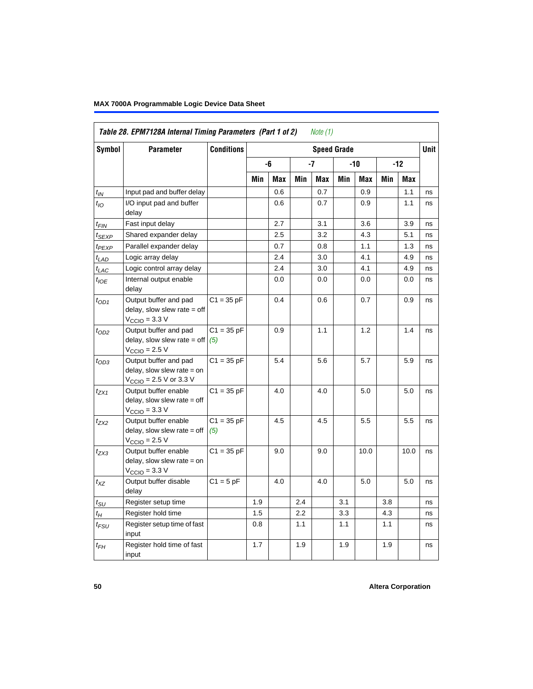|                   | Table 28. EPM7128A Internal Timing Parameters (Part 1 of 2)                                                  |                     |     |            |         | Note (1)   |                    |      |     |            |      |
|-------------------|--------------------------------------------------------------------------------------------------------------|---------------------|-----|------------|---------|------------|--------------------|------|-----|------------|------|
| <b>Symbol</b>     | <b>Parameter</b>                                                                                             | <b>Conditions</b>   |     |            |         |            | <b>Speed Grade</b> |      |     |            | Unit |
|                   |                                                                                                              |                     |     | -6         |         | $-7$       |                    | -10  |     | -12        |      |
|                   |                                                                                                              |                     | Min | <b>Max</b> | Min     | <b>Max</b> | Min                | Max  | Min | <b>Max</b> |      |
| $t_{IN}$          | Input pad and buffer delay                                                                                   |                     |     | 0.6        |         | 0.7        |                    | 0.9  |     | 1.1        | ns   |
| $t_{IO}$          | I/O input pad and buffer<br>delay                                                                            |                     |     | 0.6        |         | 0.7        |                    | 0.9  |     | 1.1        | ns   |
| t <sub>FIN</sub>  | Fast input delay                                                                                             |                     |     | 2.7        |         | 3.1        |                    | 3.6  |     | 3.9        | ns   |
| $t_{SEXP}$        | Shared expander delay                                                                                        |                     |     | 2.5        |         | 3.2        |                    | 4.3  |     | 5.1        | ns   |
| t <sub>PEXP</sub> | Parallel expander delay                                                                                      |                     |     | 0.7        |         | 0.8        |                    | 1.1  |     | 1.3        | ns   |
| $t_{LAD}$         | Logic array delay                                                                                            |                     |     | 2.4        |         | 3.0        |                    | 4.1  |     | 4.9        | ns   |
| $t_{LAC}$         | Logic control array delay                                                                                    |                     |     | 2.4        |         | 3.0        |                    | 4.1  |     | 4.9        | ns   |
| $t_{IOE}$         | Internal output enable<br>delay                                                                              |                     |     | 0.0        |         | 0.0        |                    | 0.0  |     | 0.0        | ns   |
| $t_{OD1}$         | Output buffer and pad<br>delay, slow slew rate $=$ off<br>$V_{\text{CCIO}} = 3.3 \text{ V}$                  | $C1 = 35 pF$        |     | 0.4        |         | 0.6        |                    | 0.7  |     | 0.9        | ns   |
| $t_{OD2}$         | Output buffer and pad<br>delay, slow slew rate = off $(5)$<br>$VCCIO = 2.5 V$                                | $C1 = 35 pF$        |     | 0.9        |         | 1.1        |                    | 1.2  |     | 1.4        | ns   |
| $t_{OD3}$         | Output buffer and pad<br>delay, slow slew rate $=$ on<br>$V_{\text{CCIO}} = 2.5 \text{ V or } 3.3 \text{ V}$ | $C1 = 35 pF$        |     | 5.4        |         | 5.6        |                    | 5.7  |     | 5.9        | ns   |
| $t_{ZX1}$         | Output buffer enable<br>$delay$ , slow slew rate = off<br>$V_{\text{CCIO}} = 3.3 \text{ V}$                  | $C1 = 35 pF$        |     | 4.0        |         | 4.0        |                    | 5.0  |     | 5.0        | ns   |
| $t_{ZX2}$         | Output buffer enable<br>$delay$ , slow slew rate = off<br>$V_{\text{CCIO}} = 2.5 V$                          | $C1 = 35 pF$<br>(5) |     | 4.5        |         | 4.5        |                    | 5.5  |     | 5.5        | ns   |
| $t_{ZX3}$         | Output buffer enable<br>delay, slow slew rate $=$ on<br>$V_{\text{CCIO}} = 3.3 \text{ V}$                    | $C1 = 35 pF$        |     | 9.0        |         | 9.0        |                    | 10.0 |     | 10.0       | ns   |
| $t_{XZ}$          | Output buffer disable<br>delay                                                                               | $C1 = 5 pF$         |     | 4.0        |         | 4.0        |                    | 5.0  |     | 5.0        | ns   |
| $t_{\text{SU}}$   | Register setup time                                                                                          |                     | 1.9 |            | 2.4     |            | 3.1                |      | 3.8 |            | ns   |
| $t_H$             | Register hold time                                                                                           |                     | 1.5 |            | $2.2\,$ |            | 3.3                |      | 4.3 |            | ns   |
| $t_{FSU}$         | Register setup time of fast<br>input                                                                         |                     | 0.8 |            | 1.1     |            | 1.1                |      | 1.1 |            | ns   |
| $t_{FH}$          | Register hold time of fast<br>input                                                                          |                     | 1.7 |            | 1.9     |            | 1.9                |      | 1.9 |            | ns   |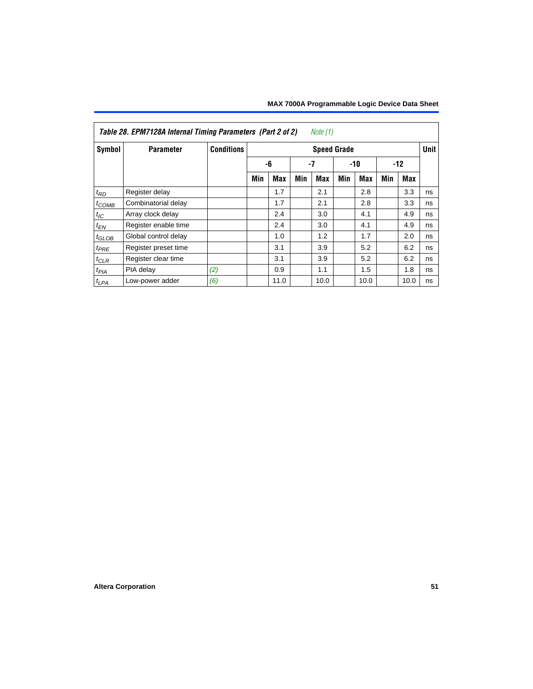| Symbol          | <b>Parameter</b>     | <b>Conditions</b> |     |            |     | <b>Speed Grade</b> |     |            |     |       | Unit |
|-----------------|----------------------|-------------------|-----|------------|-----|--------------------|-----|------------|-----|-------|------|
|                 |                      |                   |     | -6         |     | $-7$               |     | $-10$      |     | $-12$ |      |
|                 |                      |                   | Min | <b>Max</b> | Min | Max                | Min | <b>Max</b> | Min | Max   |      |
| $t_{RD}$        | Register delay       |                   |     | 1.7        |     | 2.1                |     | 2.8        |     | 3.3   | ns   |
| $t_{COMB}$      | Combinatorial delay  |                   |     | 1.7        |     | 2.1                |     | 2.8        |     | 3.3   | ns   |
| $t_{\text{IC}}$ | Array clock delay    |                   |     | 2.4        |     | 3.0                |     | 4.1        |     | 4.9   | ns   |
| $t_{EN}$        | Register enable time |                   |     | 2.4        |     | 3.0                |     | 4.1        |     | 4.9   | ns   |
| $t_{GLOB}$      | Global control delay |                   |     | 1.0        |     | 1.2                |     | 1.7        |     | 2.0   | ns   |
| $t_{PRE}$       | Register preset time |                   |     | 3.1        |     | 3.9                |     | 5.2        |     | 6.2   | ns   |
| $t_{CLR}$       | Register clear time  |                   |     | 3.1        |     | 3.9                |     | 5.2        |     | 6.2   | ns   |
| $t_{PIA}$       | PIA delay            | (2)               |     | 0.9        |     | 1.1                |     | 1.5        |     | 1.8   | ns   |
| $t_{LPA}$       | Low-power adder      | (6)               |     | 11.0       |     | 10.0               |     | 10.0       |     | 10.0  | ns   |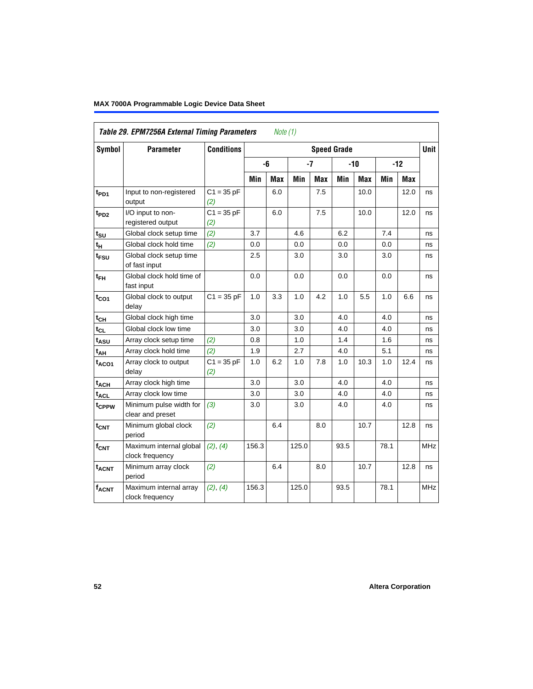| Table 29. EPM7256A External Timing Parameters<br>Note (1) |                                             |                     |                    |            |       |            |       |            |       |            |            |
|-----------------------------------------------------------|---------------------------------------------|---------------------|--------------------|------------|-------|------------|-------|------------|-------|------------|------------|
| <b>Symbol</b>                                             | <b>Parameter</b>                            | <b>Conditions</b>   | <b>Speed Grade</b> |            |       |            |       |            |       | Unit       |            |
|                                                           |                                             |                     |                    | -6         | $-7$  |            | $-10$ |            | $-12$ |            |            |
|                                                           |                                             |                     | Min                | <b>Max</b> | Min   | <b>Max</b> | Min   | <b>Max</b> | Min   | <b>Max</b> |            |
| $t_{PD1}$                                                 | Input to non-registered<br>output           | $C1 = 35 pF$<br>(2) |                    | 6.0        |       | 7.5        |       | 10.0       |       | 12.0       | ns         |
| $t_{PD2}$                                                 | I/O input to non-<br>registered output      | $C1 = 35 pF$<br>(2) |                    | 6.0        |       | 7.5        |       | 10.0       |       | 12.0       | ns         |
| $t_{SU}$                                                  | Global clock setup time                     | (2)                 | 3.7                |            | 4.6   |            | 6.2   |            | 7.4   |            | ns         |
| t <sub>Η</sub>                                            | Global clock hold time                      | (2)                 | 0.0                |            | 0.0   |            | 0.0   |            | 0.0   |            | ns         |
| $t_{\text{FSU}}$                                          | Global clock setup time<br>of fast input    |                     | 2.5                |            | 3.0   |            | 3.0   |            | 3.0   |            | ns         |
| $t_{FH}$                                                  | Global clock hold time of<br>fast input     |                     | 0.0                |            | 0.0   |            | 0.0   |            | 0.0   |            | ns         |
| $t_{CO1}$                                                 | Global clock to output<br>delay             | $C1 = 35 pF$        | 1.0                | 3.3        | 1.0   | 4.2        | 1.0   | 5.5        | 1.0   | 6.6        | ns         |
| $t_{CH}$                                                  | Global clock high time                      |                     | 3.0                |            | 3.0   |            | 4.0   |            | 4.0   |            | ns         |
| $t_{CL}$                                                  | Global clock low time                       |                     | 3.0                |            | 3.0   |            | 4.0   |            | 4.0   |            | ns         |
| t <sub>ASU</sub>                                          | Array clock setup time                      | (2)                 | 0.8                |            | 1.0   |            | 1.4   |            | 1.6   |            | ns         |
| t <sub>AH</sub>                                           | Array clock hold time                       | (2)                 | 1.9                |            | 2.7   |            | 4.0   |            | 5.1   |            | ns         |
| $t_{ACO1}$                                                | Array clock to output<br>delay              | $C1 = 35 pF$<br>(2) | 1.0                | 6.2        | 1.0   | 7.8        | 1.0   | 10.3       | 1.0   | 12.4       | ns         |
| $t_{ACH}$                                                 | Array clock high time                       |                     | 3.0                |            | 3.0   |            | 4.0   |            | 4.0   |            | ns         |
| t <sub>ACL</sub>                                          | Array clock low time                        |                     | 3.0                |            | 3.0   |            | 4.0   |            | 4.0   |            | ns         |
| t <sub>CPPW</sub>                                         | Minimum pulse width for<br>clear and preset | (3)                 | 3.0                |            | 3.0   |            | 4.0   |            | 4.0   |            | ns         |
| $t_{CNT}$                                                 | Minimum global clock<br>period              | (2)                 |                    | 6.4        |       | 8.0        |       | 10.7       |       | 12.8       | ns         |
| $f_{CNT}$                                                 | Maximum internal global<br>clock frequency  | (2), (4)            | 156.3              |            | 125.0 |            | 93.5  |            | 78.1  |            | <b>MHz</b> |
| t <sub>ACNT</sub>                                         | Minimum array clock<br>period               | (2)                 |                    | 6.4        |       | 8.0        |       | 10.7       |       | 12.8       | ns         |
| <b>fACNT</b>                                              | Maximum internal array<br>clock frequency   | (2), (4)            | 156.3              |            | 125.0 |            | 93.5  |            | 78.1  |            | <b>MHz</b> |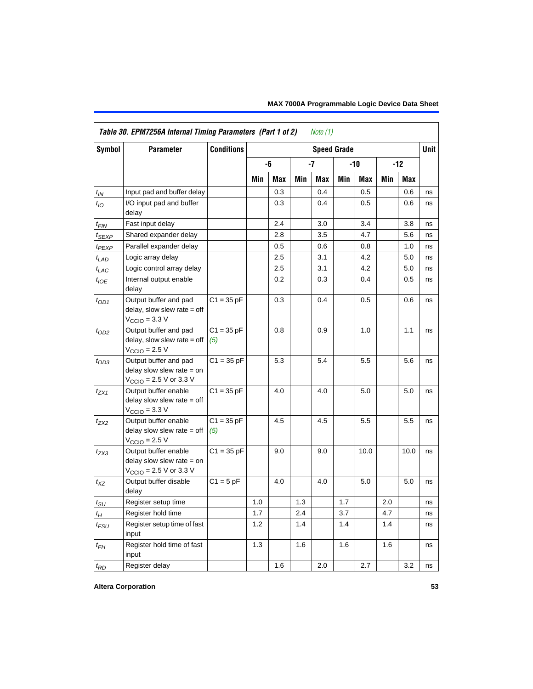<span id="page-52-0"></span>

| Table 30. EPM7256A Internal Timing Parameters (Part 1 of 2)<br>Note (1) |                                                                                                             |                     |                    |     |      |     |     |            |       |            |      |
|-------------------------------------------------------------------------|-------------------------------------------------------------------------------------------------------------|---------------------|--------------------|-----|------|-----|-----|------------|-------|------------|------|
| <b>Symbol</b>                                                           | <b>Parameter</b>                                                                                            | <b>Conditions</b>   | <b>Speed Grade</b> |     |      |     |     |            |       |            | Unit |
|                                                                         |                                                                                                             |                     |                    | -6  | $-7$ |     | -10 |            | $-12$ |            |      |
|                                                                         |                                                                                                             |                     | Min                | Max | Min  | Max | Min | <b>Max</b> | Min   | <b>Max</b> |      |
| $t_{IN}$                                                                | Input pad and buffer delay                                                                                  |                     |                    | 0.3 |      | 0.4 |     | 0.5        |       | 0.6        | ns   |
| $t_{IO}$                                                                | I/O input pad and buffer<br>delay                                                                           |                     |                    | 0.3 |      | 0.4 |     | 0.5        |       | 0.6        | ns   |
| t <sub>FIN</sub>                                                        | Fast input delay                                                                                            |                     |                    | 2.4 |      | 3.0 |     | 3.4        |       | 3.8        | ns   |
| $t_{SEXP}$                                                              | Shared expander delay                                                                                       |                     |                    | 2.8 |      | 3.5 |     | 4.7        |       | 5.6        | ns   |
| t <sub>PEXP</sub>                                                       | Parallel expander delay                                                                                     |                     |                    | 0.5 |      | 0.6 |     | 0.8        |       | 1.0        | ns   |
| $t_{LAD}$                                                               | Logic array delay                                                                                           |                     |                    | 2.5 |      | 3.1 |     | 4.2        |       | 5.0        | ns   |
| $t_{LAC}$                                                               | Logic control array delay                                                                                   |                     |                    | 2.5 |      | 3.1 |     | 4.2        |       | 5.0        | ns   |
| $t_{\mathit{IOE}}$                                                      | Internal output enable<br>delay                                                                             |                     |                    | 0.2 |      | 0.3 |     | 0.4        |       | 0.5        | ns   |
| $t_{OD1}$                                                               | Output buffer and pad<br>$delay$ , slow slew rate = off<br>$V_{\text{CCIO}} = 3.3 \text{ V}$                | $C1 = 35 pF$        |                    | 0.3 |      | 0.4 |     | 0.5        |       | 0.6        | ns   |
| $t_{OD2}$                                                               | Output buffer and pad<br>$delay$ , slow slew rate = off<br>$VCCIO = 2.5 V$                                  | $C1 = 35 pF$<br>(5) |                    | 0.8 |      | 0.9 |     | 1.0        |       | 1.1        | ns   |
| $t_{OD3}$                                                               | Output buffer and pad<br>delay slow slew rate $=$ on<br>$V_{\text{CCIO}} = 2.5 \text{ V or } 3.3 \text{ V}$ | $C1 = 35 pF$        |                    | 5.3 |      | 5.4 |     | 5.5        |       | 5.6        | ns   |
| tzx1                                                                    | Output buffer enable<br>delay slow slew rate $=$ off<br>$VCCIO = 3.3 V$                                     | $C1 = 35 pF$        |                    | 4.0 |      | 4.0 |     | 5.0        |       | 5.0        | ns   |
| $t_{ZX2}$                                                               | Output buffer enable<br>delay slow slew rate $=$ off<br>$VCCIO = 2.5 V$                                     | $C1 = 35 pF$<br>(5) |                    | 4.5 |      | 4.5 |     | 5.5        |       | 5.5        | ns   |
| $t_{ZX3}$                                                               | Output buffer enable<br>delay slow slew rate $=$ on<br>$V_{\text{CCIO}} = 2.5 \text{ V or } 3.3 \text{ V}$  | $C1 = 35 pF$        |                    | 9.0 |      | 9.0 |     | 10.0       |       | 10.0       | ns   |
| $t_{XZ}$                                                                | Output buffer disable<br>delay                                                                              | $C1 = 5pF$          |                    | 4.0 |      | 4.0 |     | $5.0\,$    |       | $5.0\,$    | ns   |
| $t_{\text{SU}}$                                                         | Register setup time                                                                                         |                     | 1.0                |     | 1.3  |     | 1.7 |            | 2.0   |            | ns   |
| $t_{H}$                                                                 | Register hold time                                                                                          |                     | 1.7                |     | 2.4  |     | 3.7 |            | 4.7   |            | ns   |
| $t_{\mathsf{FSU}}$                                                      | Register setup time of fast<br>input                                                                        |                     | 1.2                |     | 1.4  |     | 1.4 |            | 1.4   |            | ns   |
| $t_{FH}$                                                                | Register hold time of fast<br>input                                                                         |                     | 1.3                |     | 1.6  |     | 1.6 |            | 1.6   |            | ns   |
| $t_{RD}$                                                                | Register delay                                                                                              |                     |                    | 1.6 |      | 2.0 |     | 2.7        |       | 3.2        | ns   |

## **Altera Corporation 53**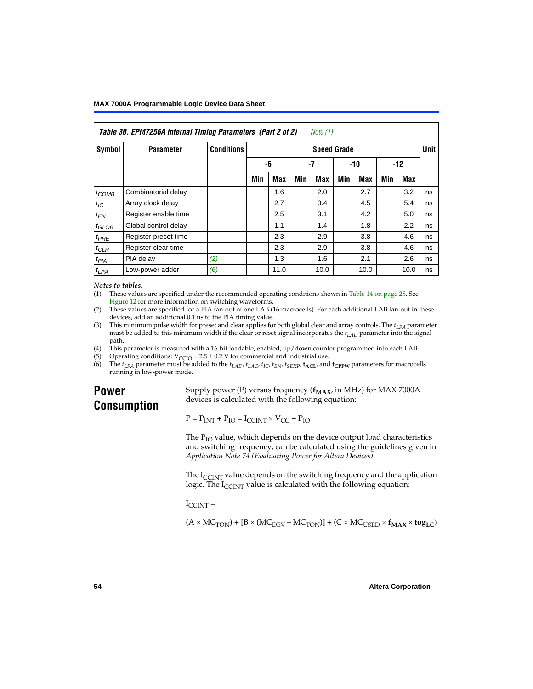| Table 30. EFTNTZ30A MICHIAI THIMIY FAIAMELETS (FAILZ 01 Z)<br>$IVUUU + I$ |                      |                   |                    |            |     |            |     |            |       |      |             |
|---------------------------------------------------------------------------|----------------------|-------------------|--------------------|------------|-----|------------|-----|------------|-------|------|-------------|
| Symbol                                                                    | <b>Parameter</b>     | <b>Conditions</b> | <b>Speed Grade</b> |            |     |            |     |            |       |      | <b>Unit</b> |
|                                                                           |                      |                   |                    | -6         | -7  |            | -10 |            | $-12$ |      |             |
|                                                                           |                      |                   | Min                | <b>Max</b> | Min | <b>Max</b> | Min | <b>Max</b> | Min   | Max  |             |
| $t_{COMB}$                                                                | Combinatorial delay  |                   |                    | 1.6        |     | 2.0        |     | 2.7        |       | 3.2  | ns          |
| $t_{IC}$                                                                  | Array clock delay    |                   |                    | 2.7        |     | 3.4        |     | 4.5        |       | 5.4  | ns          |
| $t_{EN}$                                                                  | Register enable time |                   |                    | 2.5        |     | 3.1        |     | 4.2        |       | 5.0  | ns          |
| $t_{GLOB}$                                                                | Global control delay |                   |                    | 1.1        |     | 1.4        |     | 1.8        |       | 2.2  | ns          |
| $t_{PRE}$                                                                 | Register preset time |                   |                    | 2.3        |     | 2.9        |     | 3.8        |       | 4.6  | ns          |
| $t_{CLR}$                                                                 | Register clear time  |                   |                    | 2.3        |     | 2.9        |     | 3.8        |       | 4.6  | ns          |
| $t_{PIA}$                                                                 | PIA delay            | (2)               |                    | 1.3        |     | 1.6        |     | 2.1        |       | 2.6  | ns          |
| $t_{LPA}$                                                                 | Low-power adder      | (6)               |                    | 11.0       |     | 10.0       |     | 10.0       |       | 10.0 | ns          |

# *Table 30. EPM7256A Internal Timing Parameters (Part 2 of 2) Note (1)*

#### *Notes to tables:*

<span id="page-53-3"></span>(1) These values are specified under the recommended operating conditions shown in [Table 14 on page 28](#page-27-0). See [Figure 12](#page-32-0) for more information on switching waveforms.

- <span id="page-53-0"></span>(2) These values are specified for a PIA fan-out of one LAB (16 macrocells). For each additional LAB fan-out in these devices, add an additional 0.1 ns to the PIA timing value.
- <span id="page-53-1"></span>(3) This minimum pulse width for preset and clear applies for both global clear and array controls. The  $t_{LPA}$  parameter must be added to this minimum width if the clear or reset signal incorporates the  $t_{LAD}$  parameter into the signal path.
- <span id="page-53-2"></span>(4) This parameter is measured with a 16-bit loadable, enabled, up/down counter programmed into each LAB.
- <span id="page-53-4"></span>(5) Operating conditions:  $V_{\text{CCIO}} = 2.5 \pm 0.2 \text{ V}$  for commercial and industrial use.<br>(6) The  $t_{I}$  parameter must be added to the  $t_{I}$  AD,  $t_{I}$  ac,  $t_{\text{IC}}$ ,  $t_{\text{EN}}$ ,  $t_{\text{SVP}}$ ,  $t_{\text{ACI}}$ , and
- <span id="page-53-5"></span>The  $t_{LPA}$  parameter must be added to the  $t_{LAD}$ ,  $t_{LAC}$ ,  $t_{IC}$ ,  $t_{EN}$ ,  $t_{SEXP}$ ,  $t_{ACL}$  and  $t_{CPPW}$  parameters for macrocells running in low-power mode.

# **Power Consumption**

Supply power (P) versus frequency  $(f_{MAX}$ , in MHz) for MAX 7000A devices is calculated with the following equation:

 $P = P_{INT} + P_{IO} = I_{CCINT} \times V_{CC} + P_{IO}$ 

The  $P_{IO}$  value, which depends on the device output load characteristics and switching frequency, can be calculated using the guidelines given in *[Application Note 74 \(Evaluating Power for Altera Devices\)](#page-0-0)*.

The  $I_{CUNT}$  value depends on the switching frequency and the application logic. The  $I_{\text{CCINT}}$  value is calculated with the following equation:

 $I_{\text{CCTNT}} =$ 

 $(A \times MC_{TON}) + [B \times (MC_{DEV} - MC_{TON})] + (C \times MC_{USED} \times f_{MAX} \times tog_{LC})$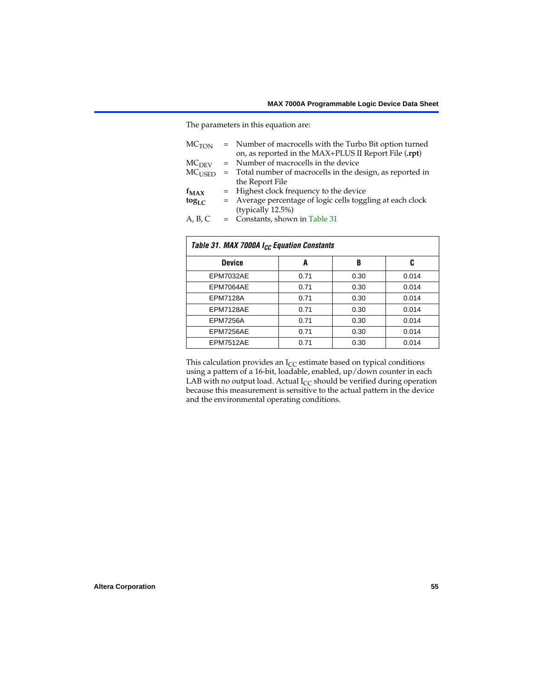The parameters in this equation are:

| = Number of macrocells with the Turbo Bit option turned    |
|------------------------------------------------------------|
| on, as reported in the MAX+PLUS II Report File (.rpt)      |
| = Number of macrocells in the device                       |
| Total number of macrocells in the design, as reported in   |
| the Report File                                            |
| = Highest clock frequency to the device                    |
| = Average percentage of logic cells toggling at each clock |
| (typically 12.5%)                                          |
| = Constants, shown in Table 31                             |
| $=$                                                        |

<span id="page-54-0"></span>

| Table 31. MAX 7000A I <sub>CC</sub> Equation Constants |      |      |       |  |  |  |  |  |  |
|--------------------------------------------------------|------|------|-------|--|--|--|--|--|--|
| <b>Device</b>                                          | A    | B    | C     |  |  |  |  |  |  |
| EPM7032AE                                              | 0.71 | 0.30 | 0.014 |  |  |  |  |  |  |
| EPM7064AE                                              | 0.71 | 0.30 | 0.014 |  |  |  |  |  |  |
| <b>EPM7128A</b>                                        | 0.71 | 0.30 | 0.014 |  |  |  |  |  |  |
| EPM7128AE                                              | 0.71 | 0.30 | 0.014 |  |  |  |  |  |  |
| <b>EPM7256A</b>                                        | 0.71 | 0.30 | 0.014 |  |  |  |  |  |  |
| EPM7256AE                                              | 0.71 | 0.30 | 0.014 |  |  |  |  |  |  |
| EPM7512AE                                              | 0.71 | 0.30 | 0.014 |  |  |  |  |  |  |

This calculation provides an  $I_{CC}$  estimate based on typical conditions using a pattern of a 16-bit, loadable, enabled, up/down counter in each LAB with no output load. Actual  $I_{CC}$  should be verified during operation because this measurement is sensitive to the actual pattern in the device and the environmental operating conditions.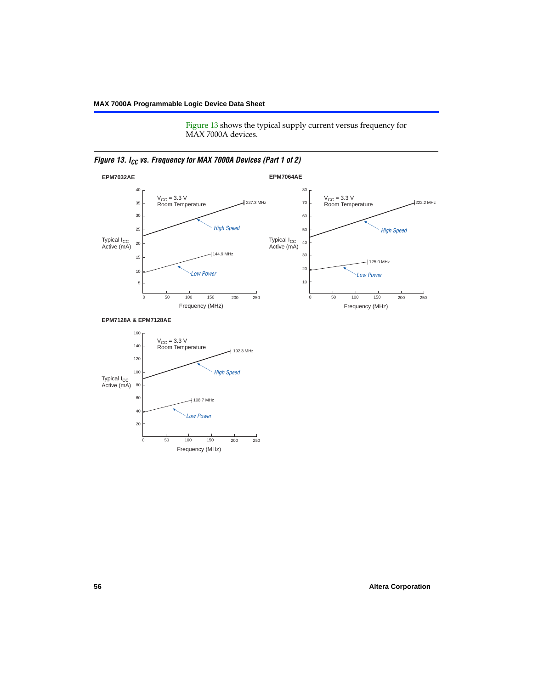[Figure 13](#page-55-0) shows the typical supply current versus frequency for MAX 7000A devices.

<span id="page-55-0"></span>



#### **EPM7128A & EPM7128AE**

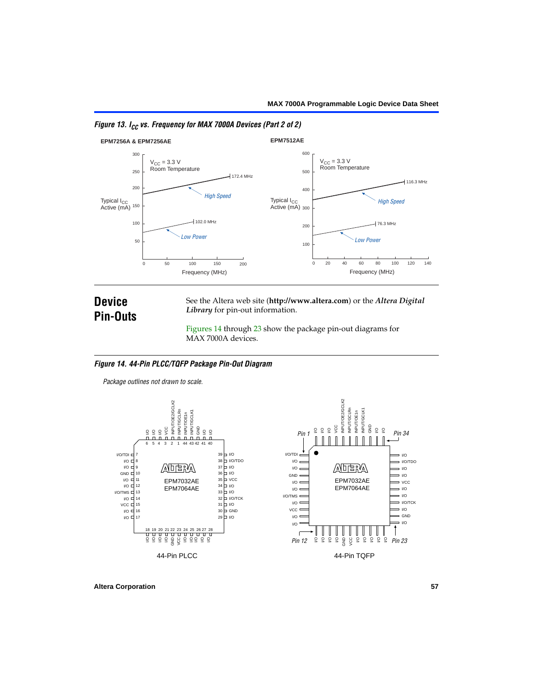

## *Figure 13. I<sub>CC</sub> vs. Frequency for MAX 7000A Devices (Part 2 of 2)*

# **Device Pin-Outs**

See the Altera web site (**http://www.altera.com**) or the *Altera Digital Library* for pin-out information.

[Figures 14](#page-56-0) through [23](#page-62-0) show the package pin-out diagrams for MAX 7000A devices.

## <span id="page-56-0"></span>*Figure 14. 44-Pin PLCC/TQFP Package Pin-Out Diagram*

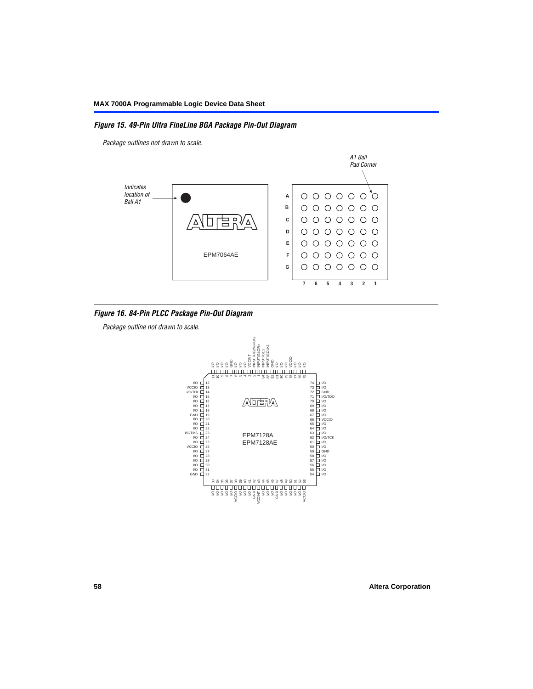## *Figure 15. 49-Pin Ultra FineLine BGA Package Pin-Out Diagram*

*Package outlines not drawn to scale.*



#### *Figure 16. 84-Pin PLCC Package Pin-Out Diagram*

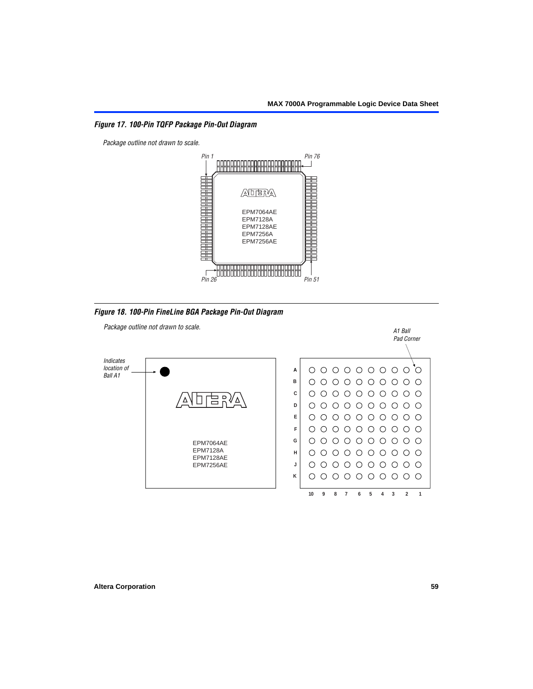*Figure 17. 100-Pin TQFP Package Pin-Out Diagram*



*Figure 18. 100-Pin FineLine BGA Package Pin-Out Diagram*

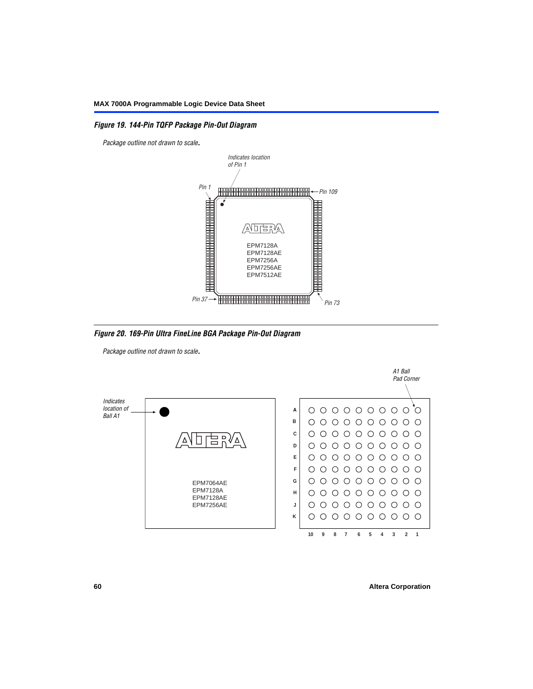## *Figure 19. 144-Pin TQFP Package Pin-Out Diagram*

*Package outline not drawn to scale*.



*Figure 20. 169-Pin Ultra FineLine BGA Package Pin-Out Diagram*

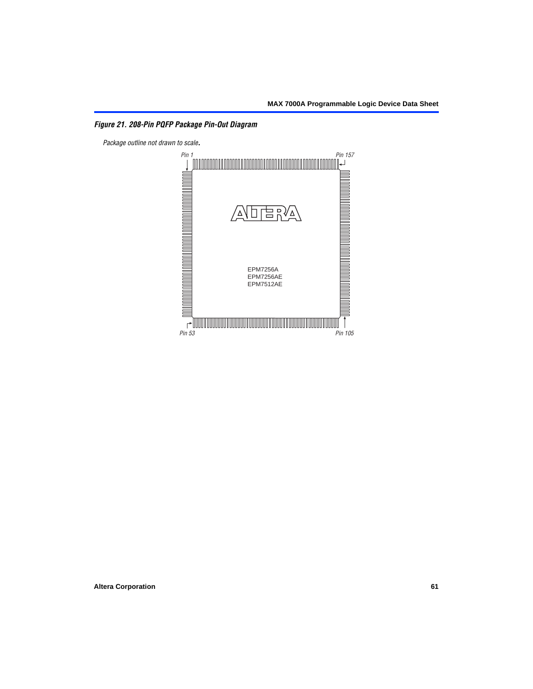# *Figure 21. 208-Pin PQFP Package Pin-Out Diagram*

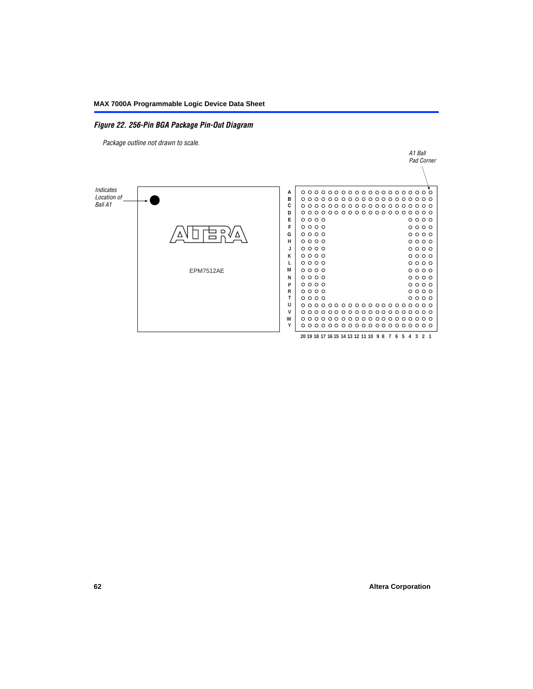## *Figure 22. 256-Pin BGA Package Pin-Out Diagram*

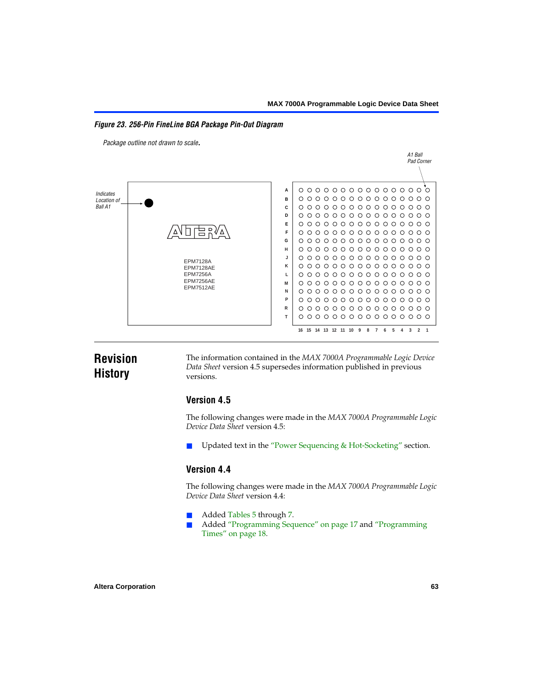<span id="page-62-0"></span>*Figure 23. 256-Pin FineLine BGA Package Pin-Out Diagram*

*Package outline not drawn to scale*.



# **Revision History**

The information contained in the *MAX 7000A Programmable Logic Device Data Sheet* version 4.5 supersedes information published in previous versions.

# **Version 4.5**

The following changes were made in the *MAX 7000A Programmable Logic Device Data Sheet* version 4.5:

Updated text in the ["Power Sequencing & Hot-Socketing"](#page-25-0) section.

# **Version 4.4**

The following changes were made in the *MAX 7000A Programmable Logic Device Data Sheet* version 4.4:

- Added [Tables 5](#page-18-0) through [7.](#page-19-0)
	- Added ["Programming Sequence" on page 17](#page-16-0) and "Programming [Times" on page 18.](#page-17-0)